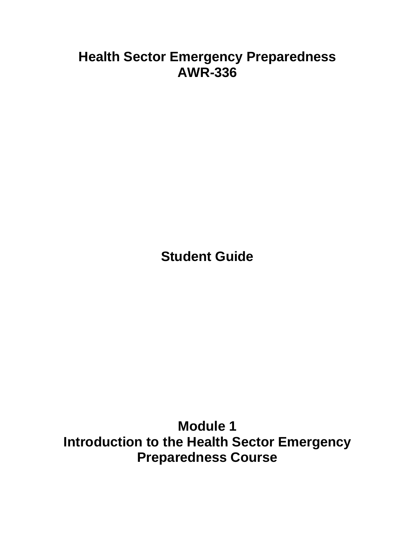# **Health Sector Emergency Preparedness AWR-336**

**Student Guide**

**Module 1 Introduction to the Health Sector Emergency Preparedness Course**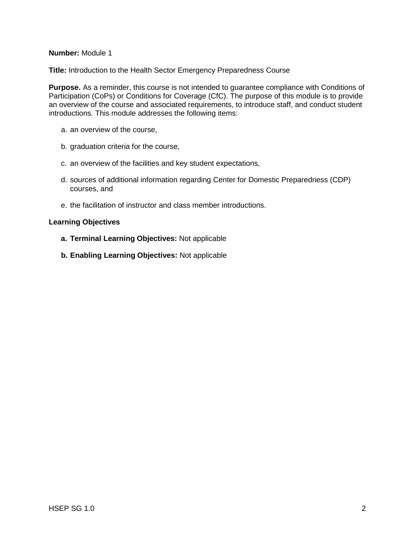### **Number:** Module 1

**Title:** Introduction to the Health Sector Emergency Preparedness Course

**Purpose.** As a reminder, this course is not intended to guarantee compliance with Conditions of Participation (CoPs) or Conditions for Coverage (CfC). The purpose of this module is to provide an overview of the course and associated requirements, to introduce staff, and conduct student introductions. This module addresses the following items:

- a. an overview of the course,
- b. graduation criteria for the course,
- c. an overview of the facilities and key student expectations,
- d. sources of additional information regarding Center for Domestic Preparedness (CDP) courses, and
- e. the facilitation of instructor and class member introductions.

#### **Learning Objectives**

- **a. Terminal Learning Objectives:** Not applicable
- **b. Enabling Learning Objectives:** Not applicable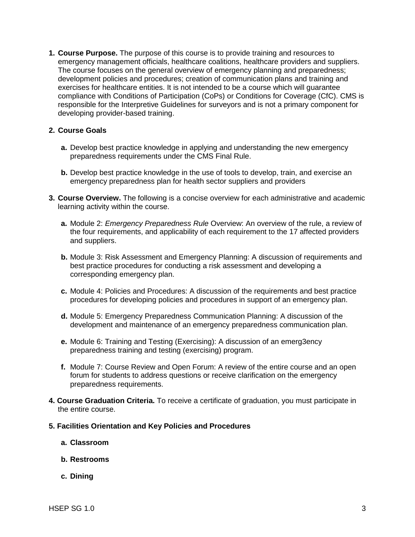**1. Course Purpose.** The purpose of this course is to provide training and resources to emergency management officials, healthcare coalitions, healthcare providers and suppliers. The course focuses on the general overview of emergency planning and preparedness; development policies and procedures; creation of communication plans and training and exercises for healthcare entities. It is not intended to be a course which will guarantee compliance with Conditions of Participation (CoPs) or Conditions for Coverage (CfC). CMS is responsible for the Interpretive Guidelines for surveyors and is not a primary component for developing provider-based training.

#### **2. Course Goals**

- **a.** Develop best practice knowledge in applying and understanding the new emergency preparedness requirements under the CMS Final Rule.
- **b.** Develop best practice knowledge in the use of tools to develop, train, and exercise an emergency preparedness plan for health sector suppliers and providers
- **3. Course Overview.** The following is a concise overview for each administrative and academic learning activity within the course.
	- **a.** Module 2: *Emergency Preparedness Rule* Overview: An overview of the rule, a review of the four requirements, and applicability of each requirement to the 17 affected providers and suppliers.
	- **b.** Module 3: Risk Assessment and Emergency Planning: A discussion of requirements and best practice procedures for conducting a risk assessment and developing a corresponding emergency plan.
	- **c.** Module 4: Policies and Procedures: A discussion of the requirements and best practice procedures for developing policies and procedures in support of an emergency plan.
	- **d.** Module 5: Emergency Preparedness Communication Planning: A discussion of the development and maintenance of an emergency preparedness communication plan.
	- **e.** Module 6: Training and Testing (Exercising): A discussion of an emerg3ency preparedness training and testing (exercising) program.
	- **f.** Module 7: Course Review and Open Forum: A review of the entire course and an open forum for students to address questions or receive clarification on the emergency preparedness requirements.
- **4. Course Graduation Criteria.** To receive a certificate of graduation, you must participate in the entire course.
- **5. Facilities Orientation and Key Policies and Procedures**
	- **a. Classroom**
	- **b. Restrooms**
	- **c. Dining**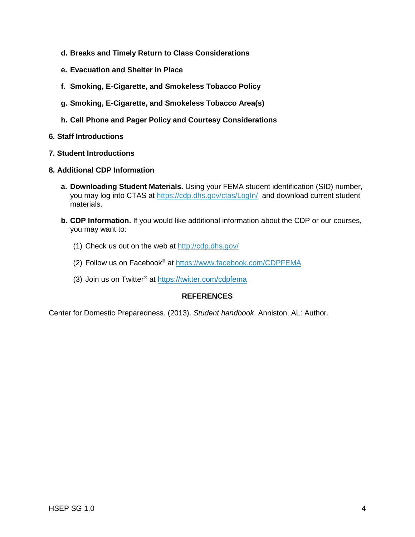- **d. Breaks and Timely Return to Class Considerations**
- **e. Evacuation and Shelter in Place**
- **f. Smoking, E-Cigarette, and Smokeless Tobacco Policy**
- **g. Smoking, E-Cigarette, and Smokeless Tobacco Area(s)**
- **h. Cell Phone and Pager Policy and Courtesy Considerations**
- **6. Staff Introductions**
- **7. Student Introductions**
- **8. Additional CDP Information**
	- **a. Downloading Student Materials.** Using your FEMA student identification (SID) number, you may log into CTAS at [https://cdp.dhs.gov/ctas/LogIn/](https://cdp.dhs.gov/ctas/LogIn/tabid/74/Default.aspx?returnurl=%2fctas%2f) and download current student materials.
	- **b. CDP Information.** If you would like additional information about the CDP or our courses, you may want to:
		- (1) Check us out on the web at<http://cdp.dhs.gov/>
		- (2) Follow us on Facebook® at<https://www.facebook.com/CDPFEMA>
		- (3) Join us on Twitter<sup>®</sup> at<https://twitter.com/cdpfema>

## **REFERENCES**

Center for Domestic Preparedness. (2013). *Student handbook*. Anniston, AL: Author.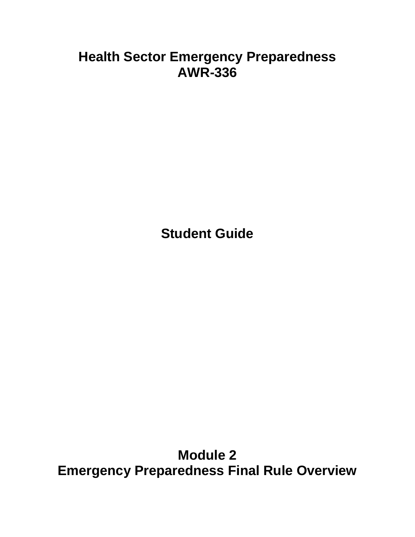# **Health Sector Emergency Preparedness AWR-336**

**Student Guide**

**Module 2 Emergency Preparedness Final Rule Overview**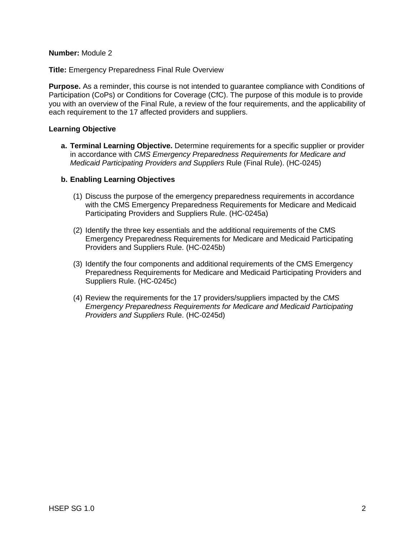#### **Number:** Module 2

**Title:** Emergency Preparedness Final Rule Overview

**Purpose.** As a reminder, this course is not intended to guarantee compliance with Conditions of Participation (CoPs) or Conditions for Coverage (CfC). The purpose of this module is to provide you with an overview of the Final Rule, a review of the four requirements, and the applicability of each requirement to the 17 affected providers and suppliers.

#### **Learning Objective**

**a. Terminal Learning Objective.** Determine requirements for a specific supplier or provider in accordance with *CMS Emergency Preparedness Requirements for Medicare and Medicaid Participating Providers and Suppliers* Rule (Final Rule). (HC-0245)

### **b. Enabling Learning Objectives**

- (1) Discuss the purpose of the emergency preparedness requirements in accordance with the CMS Emergency Preparedness Requirements for Medicare and Medicaid Participating Providers and Suppliers Rule. (HC-0245a)
- (2) Identify the three key essentials and the additional requirements of the CMS Emergency Preparedness Requirements for Medicare and Medicaid Participating Providers and Suppliers Rule. (HC-0245b)
- (3) Identify the four components and additional requirements of the CMS Emergency Preparedness Requirements for Medicare and Medicaid Participating Providers and Suppliers Rule. (HC-0245c)
- (4) Review the requirements for the 17 providers/suppliers impacted by the *CMS Emergency Preparedness Requirements for Medicare and Medicaid Participating Providers and Suppliers* Rule. (HC-0245d)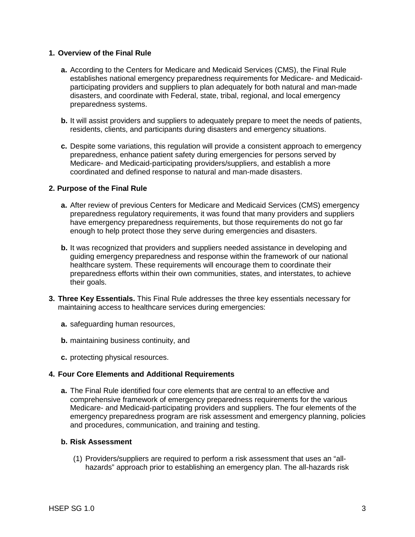#### **1. Overview of the Final Rule**

- **a.** According to the Centers for Medicare and Medicaid Services (CMS), the Final Rule establishes national emergency preparedness requirements for Medicare- and Medicaidparticipating providers and suppliers to plan adequately for both natural and man-made disasters, and coordinate with Federal, state, tribal, regional, and local emergency preparedness systems.
- **b.** It will assist providers and suppliers to adequately prepare to meet the needs of patients, residents, clients, and participants during disasters and emergency situations.
- **c.** Despite some variations, this regulation will provide a consistent approach to emergency preparedness, enhance patient safety during emergencies for persons served by Medicare- and Medicaid-participating providers/suppliers, and establish a more coordinated and defined response to natural and man-made disasters.

### **2. Purpose of the Final Rule**

- **a.** After review of previous Centers for Medicare and Medicaid Services (CMS) emergency preparedness regulatory requirements, it was found that many providers and suppliers have emergency preparedness requirements, but those requirements do not go far enough to help protect those they serve during emergencies and disasters.
- **b.** It was recognized that providers and suppliers needed assistance in developing and guiding emergency preparedness and response within the framework of our national healthcare system. These requirements will encourage them to coordinate their preparedness efforts within their own communities, states, and interstates, to achieve their goals.
- **3. Three Key Essentials.** This Final Rule addresses the three key essentials necessary for maintaining access to healthcare services during emergencies:
	- **a.** safeguarding human resources,
	- **b.** maintaining business continuity, and
	- **c.** protecting physical resources.

## **4. Four Core Elements and Additional Requirements**

**a.** The Final Rule identified four core elements that are central to an effective and comprehensive framework of emergency preparedness requirements for the various Medicare- and Medicaid-participating providers and suppliers. The four elements of the emergency preparedness program are risk assessment and emergency planning, policies and procedures, communication, and training and testing.

#### **b. Risk Assessment**

(1) Providers/suppliers are required to perform a risk assessment that uses an "allhazards" approach prior to establishing an emergency plan. The all-hazards risk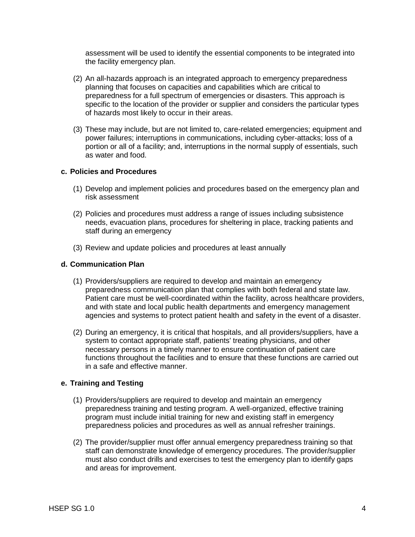assessment will be used to identify the essential components to be integrated into the facility emergency plan.

- (2) An all-hazards approach is an integrated approach to emergency preparedness planning that focuses on capacities and capabilities which are critical to preparedness for a full spectrum of emergencies or disasters. This approach is specific to the location of the provider or supplier and considers the particular types of hazards most likely to occur in their areas.
- (3) These may include, but are not limited to, care-related emergencies; equipment and power failures; interruptions in communications, including cyber-attacks; loss of a portion or all of a facility; and, interruptions in the normal supply of essentials, such as water and food.

### **c. Policies and Procedures**

- (1) Develop and implement policies and procedures based on the emergency plan and risk assessment
- (2) Policies and procedures must address a range of issues including subsistence needs, evacuation plans, procedures for sheltering in place, tracking patients and staff during an emergency
- (3) Review and update policies and procedures at least annually

#### **d. Communication Plan**

- (1) Providers/suppliers are required to develop and maintain an emergency preparedness communication plan that complies with both federal and state law. Patient care must be well-coordinated within the facility, across healthcare providers, and with state and local public health departments and emergency management agencies and systems to protect patient health and safety in the event of a disaster.
- (2) During an emergency, it is critical that hospitals, and all providers/suppliers, have a system to contact appropriate staff, patients' treating physicians, and other necessary persons in a timely manner to ensure continuation of patient care functions throughout the facilities and to ensure that these functions are carried out in a safe and effective manner.

#### **e. Training and Testing**

- (1) Providers/suppliers are required to develop and maintain an emergency preparedness training and testing program. A well-organized, effective training program must include initial training for new and existing staff in emergency preparedness policies and procedures as well as annual refresher trainings.
- (2) The provider/supplier must offer annual emergency preparedness training so that staff can demonstrate knowledge of emergency procedures. The provider/supplier must also conduct drills and exercises to test the emergency plan to identify gaps and areas for improvement.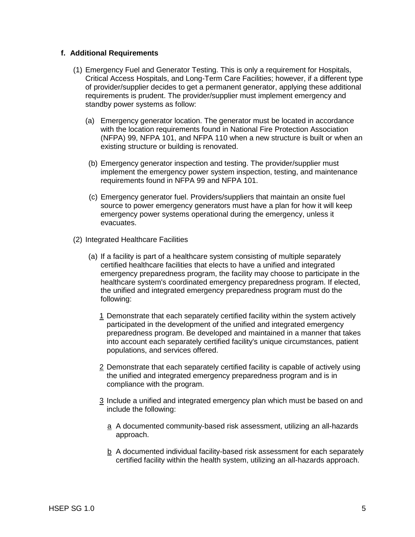#### **f. Additional Requirements**

- (1) Emergency Fuel and Generator Testing. This is only a requirement for Hospitals, Critical Access Hospitals, and Long-Term Care Facilities; however, if a different type of provider/supplier decides to get a permanent generator, applying these additional requirements is prudent. The provider/supplier must implement emergency and standby power systems as follow:
	- (a) Emergency generator location. The generator must be located in accordance with the location requirements found in National Fire Protection Association (NFPA) 99, NFPA 101, and NFPA 110 when a new structure is built or when an existing structure or building is renovated.
	- (b) Emergency generator inspection and testing. The provider/supplier must implement the emergency power system inspection, testing, and maintenance requirements found in NFPA 99 and NFPA 101.
	- (c) Emergency generator fuel. Providers/suppliers that maintain an onsite fuel source to power emergency generators must have a plan for how it will keep emergency power systems operational during the emergency, unless it evacuates.
- (2) Integrated Healthcare Facilities
	- (a) If a facility is part of a healthcare system consisting of multiple separately certified healthcare facilities that elects to have a unified and integrated emergency preparedness program, the facility may choose to participate in the healthcare system's coordinated emergency preparedness program. If elected, the unified and integrated emergency preparedness program must do the following:
		- 1 Demonstrate that each separately certified facility within the system actively participated in the development of the unified and integrated emergency preparedness program. Be developed and maintained in a manner that takes into account each separately certified facility's unique circumstances, patient populations, and services offered.
		- 2 Demonstrate that each separately certified facility is capable of actively using the unified and integrated emergency preparedness program and is in compliance with the program.
		- 3 Include a unified and integrated emergency plan which must be based on and include the following:
			- a A documented community-based risk assessment, utilizing an all-hazards approach.
			- b A documented individual facility-based risk assessment for each separately certified facility within the health system, utilizing an all-hazards approach.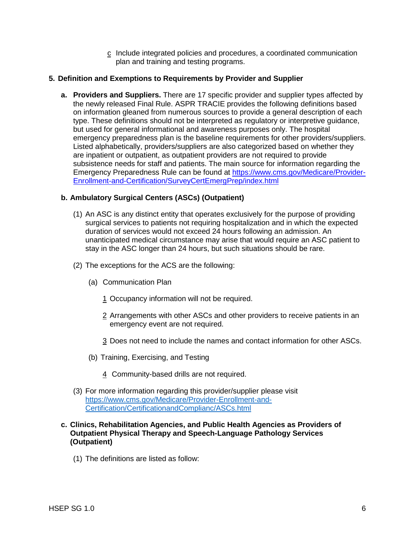c Include integrated policies and procedures, a coordinated communication plan and training and testing programs.

## **5. Definition and Exemptions to Requirements by Provider and Supplier**

**a. Providers and Suppliers.** There are 17 specific provider and supplier types affected by the newly released Final Rule. ASPR TRACIE provides the following definitions based on information gleaned from numerous sources to provide a general description of each type. These definitions should not be interpreted as regulatory or interpretive guidance, but used for general informational and awareness purposes only. The hospital emergency preparedness plan is the baseline requirements for other providers/suppliers. Listed alphabetically, providers/suppliers are also categorized based on whether they are inpatient or outpatient, as outpatient providers are not required to provide subsistence needs for staff and patients. The main source for information regarding the Emergency Preparedness Rule can be found at [https://www.cms.gov/Medicare/Provider-](https://www.cms.gov/Medicare/Provider-Enrollment-and-Certification/SurveyCertEmergPrep/index.html)[Enrollment-and-Certification/SurveyCertEmergPrep/index.html](https://www.cms.gov/Medicare/Provider-Enrollment-and-Certification/SurveyCertEmergPrep/index.html)

## **b. Ambulatory Surgical Centers (ASCs) (Outpatient)**

- (1) An ASC is any distinct entity that operates exclusively for the purpose of providing surgical services to patients not requiring hospitalization and in which the expected duration of services would not exceed 24 hours following an admission. An unanticipated medical circumstance may arise that would require an ASC patient to stay in the ASC longer than 24 hours, but such situations should be rare.
- (2) The exceptions for the ACS are the following:
	- (a) Communication Plan
		- 1 Occupancy information will not be required.
		- 2 Arrangements with other ASCs and other providers to receive patients in an emergency event are not required.
		- 3 Does not need to include the names and contact information for other ASCs.
	- (b) Training, Exercising, and Testing
		- 4 Community-based drills are not required.
- (3) For more information regarding this provider/supplier please visit [https://www.cms.gov/Medicare/Provider-Enrollment-and-](https://www.cms.gov/Medicare/Provider-Enrollment-and-Certification/CertificationandComplianc/ASCs.html)[Certification/CertificationandComplianc/ASCs.html](https://www.cms.gov/Medicare/Provider-Enrollment-and-Certification/CertificationandComplianc/ASCs.html)

#### **c. Clinics, Rehabilitation Agencies, and Public Health Agencies as Providers of Outpatient Physical Therapy and Speech-Language Pathology Services (Outpatient)**

(1) The definitions are listed as follow: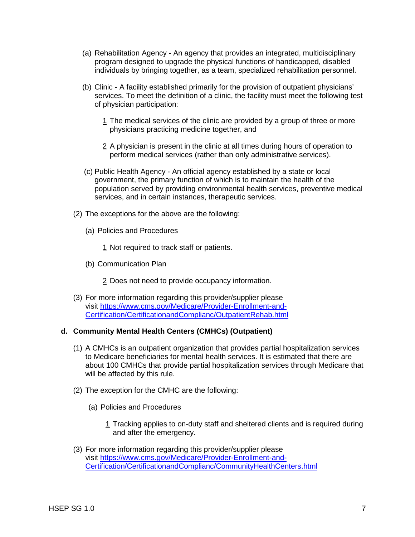- (a) Rehabilitation Agency An agency that provides an integrated, multidisciplinary program designed to upgrade the physical functions of handicapped, disabled individuals by bringing together, as a team, specialized rehabilitation personnel.
- (b) Clinic A facility established primarily for the provision of outpatient physicians' services. To meet the definition of a clinic, the facility must meet the following test of physician participation:
	- 1 The medical services of the clinic are provided by a group of three or more physicians practicing medicine together, and
	- 2 A physician is present in the clinic at all times during hours of operation to perform medical services (rather than only administrative services).
- (c) Public Health Agency An official agency established by a state or local government, the primary function of which is to maintain the health of the population served by providing environmental health services, preventive medical services, and in certain instances, therapeutic services.
- (2) The exceptions for the above are the following:
	- (a) Policies and Procedures

1 Not required to track staff or patients.

(b) Communication Plan

2 Does not need to provide occupancy information.

(3) For more information regarding this provider/supplier please visit [https://www.cms.gov/Medicare/Provider-Enrollment-and-](https://www.cms.gov/Medicare/Provider-Enrollment-and-Certification/CertificationandComplianc/OutpatientRehab.html)[Certification/CertificationandComplianc/OutpatientRehab.html](https://www.cms.gov/Medicare/Provider-Enrollment-and-Certification/CertificationandComplianc/OutpatientRehab.html)

## **d. Community Mental Health Centers (CMHCs) (Outpatient)**

- (1) A CMHCs is an outpatient organization that provides partial hospitalization services to Medicare beneficiaries for mental health services. It is estimated that there are about 100 CMHCs that provide partial hospitalization services through Medicare that will be affected by this rule.
- (2) The exception for the CMHC are the following:
	- (a) Policies and Procedures
		- 1 Tracking applies to on-duty staff and sheltered clients and is required during and after the emergency.
- (3) For more information regarding this provider/supplier please visit [https://www.cms.gov/Medicare/Provider-Enrollment-and-](https://www.cms.gov/Medicare/Provider-Enrollment-and-Certification/CertificationandComplianc/CommunityHealthCenters.html)[Certification/CertificationandComplianc/CommunityHealthCenters.html](https://www.cms.gov/Medicare/Provider-Enrollment-and-Certification/CertificationandComplianc/CommunityHealthCenters.html)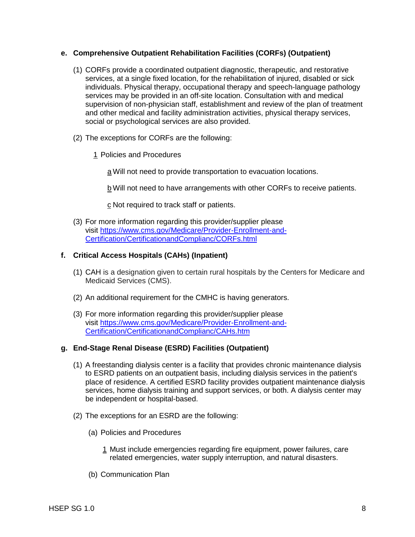## **e. Comprehensive Outpatient Rehabilitation Facilities (CORFs) (Outpatient)**

- (1) CORFs provide a coordinated outpatient diagnostic, therapeutic, and restorative services, at a single fixed location, for the rehabilitation of injured, disabled or sick individuals. Physical therapy, occupational therapy and speech-language pathology services may be provided in an off-site location. Consultation with and medical supervision of non-physician staff, establishment and review of the plan of treatment and other medical and facility administration activities, physical therapy services, social or psychological services are also provided.
- (2) The exceptions for CORFs are the following:
	- 1 Policies and Procedures

a Will not need to provide transportation to evacuation locations.

b Will not need to have arrangements with other CORFs to receive patients.

c Not required to track staff or patients.

(3) For more information regarding this provider/supplier please visit [https://www.cms.gov/Medicare/Provider-Enrollment-and-](https://www.cms.gov/Medicare/Provider-Enrollment-and-Certification/CertificationandComplianc/CORFs.html)[Certification/CertificationandComplianc/CORFs.html](https://www.cms.gov/Medicare/Provider-Enrollment-and-Certification/CertificationandComplianc/CORFs.html)

### **f. Critical Access Hospitals (CAHs) (Inpatient)**

- (1) CAH is a designation given to certain rural hospitals by the Centers for Medicare and Medicaid Services (CMS).
- (2) An additional requirement for the CMHC is having generators.
- (3) For more information regarding this provider/supplier please visit [https://www.cms.gov/Medicare/Provider-Enrollment-and-](https://www.cms.gov/Medicare/Provider-Enrollment-and-Certification/CertificationandComplianc/CAHs.htm)[Certification/CertificationandComplianc/CAHs.htm](https://www.cms.gov/Medicare/Provider-Enrollment-and-Certification/CertificationandComplianc/CAHs.htm)

## **g. End-Stage Renal Disease (ESRD) Facilities (Outpatient)**

- (1) A freestanding dialysis center is a facility that provides chronic maintenance dialysis to ESRD patients on an outpatient basis, including dialysis services in the patient's place of residence. A certified ESRD facility provides outpatient maintenance dialysis services, home dialysis training and support services, or both. A dialysis center may be independent or hospital-based.
- (2) The exceptions for an ESRD are the following:
	- (a) Policies and Procedures
		- 1 Must include emergencies regarding fire equipment, power failures, care related emergencies, water supply interruption, and natural disasters.
	- (b) Communication Plan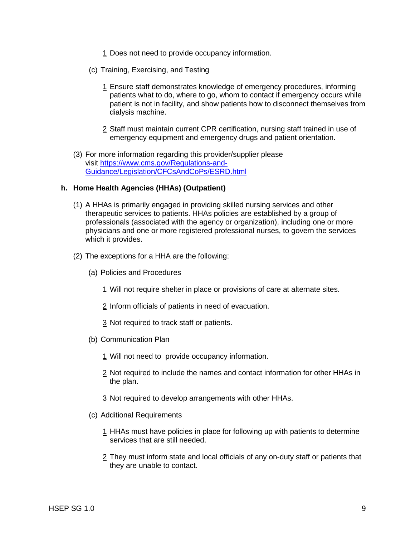- 1 Does not need to provide occupancy information.
- (c) Training, Exercising, and Testing
	- 1 Ensure staff demonstrates knowledge of emergency procedures, informing patients what to do, where to go, whom to contact if emergency occurs while patient is not in facility, and show patients how to disconnect themselves from dialysis machine.
	- 2 Staff must maintain current CPR certification, nursing staff trained in use of emergency equipment and emergency drugs and patient orientation.
- (3) For more information regarding this provider/supplier please visit [https://www.cms.gov/Regulations-and-](https://www.cms.gov/Regulations-and-Guidance/Legislation/CFCsAndCoPs/ESRD.html)[Guidance/Legislation/CFCsAndCoPs/ESRD.html](https://www.cms.gov/Regulations-and-Guidance/Legislation/CFCsAndCoPs/ESRD.html)

### **h. Home Health Agencies (HHAs) (Outpatient)**

- (1) A HHAs is primarily engaged in providing skilled nursing services and other therapeutic services to patients. HHAs policies are established by a group of professionals (associated with the agency or organization), including one or more physicians and one or more registered professional nurses, to govern the services which it provides.
- (2) The exceptions for a HHA are the following:
	- (a) Policies and Procedures
		- 1 Will not require shelter in place or provisions of care at alternate sites.
		- 2 Inform officials of patients in need of evacuation.
		- 3 Not required to track staff or patients.
	- (b) Communication Plan
		- 1 Will not need to provide occupancy information.
		- 2 Not required to include the names and contact information for other HHAs in the plan.
		- 3 Not required to develop arrangements with other HHAs.
	- (c) Additional Requirements
		- 1 HHAs must have policies in place for following up with patients to determine services that are still needed.
		- 2 They must inform state and local officials of any on-duty staff or patients that they are unable to contact.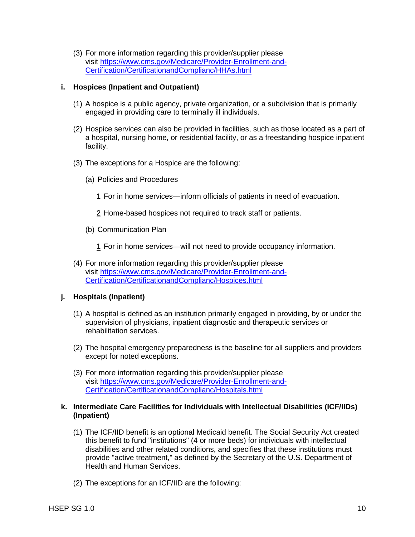(3) For more information regarding this provider/supplier please visit [https://www.cms.gov/Medicare/Provider-Enrollment-and-](https://www.cms.gov/Medicare/Provider-Enrollment-and-Certification/CertificationandComplianc/HHAs.html)[Certification/CertificationandComplianc/HHAs.html](https://www.cms.gov/Medicare/Provider-Enrollment-and-Certification/CertificationandComplianc/HHAs.html)

## **i. Hospices (Inpatient and Outpatient)**

- (1) A hospice is a public agency, private organization, or a subdivision that is primarily engaged in providing care to terminally ill individuals.
- (2) Hospice services can also be provided in facilities, such as those located as a part of a hospital, nursing home, or residential facility, or as a freestanding hospice inpatient facility.
- (3) The exceptions for a Hospice are the following:
	- (a) Policies and Procedures
		- 1 For in home services—inform officials of patients in need of evacuation.
		- 2 Home-based hospices not required to track staff or patients.
	- (b) Communication Plan
		- 1 For in home services—will not need to provide occupancy information.
- (4) For more information regarding this provider/supplier please visit [https://www.cms.gov/Medicare/Provider-Enrollment-and-](https://www.cms.gov/Medicare/Provider-Enrollment-and-Certification/CertificationandComplianc/Hospices.html)[Certification/CertificationandComplianc/Hospices.html](https://www.cms.gov/Medicare/Provider-Enrollment-and-Certification/CertificationandComplianc/Hospices.html)

## **j. Hospitals (Inpatient)**

- (1) A hospital is defined as an institution primarily engaged in providing, by or under the supervision of physicians, inpatient diagnostic and therapeutic services or rehabilitation services.
- (2) The hospital emergency preparedness is the baseline for all suppliers and providers except for noted exceptions.
- (3) For more information regarding this provider/supplier please visit [https://www.cms.gov/Medicare/Provider-Enrollment-and-](https://www.cms.gov/Medicare/Provider-Enrollment-and-Certification/CertificationandComplianc/Hospitals.html)[Certification/CertificationandComplianc/Hospitals.html](https://www.cms.gov/Medicare/Provider-Enrollment-and-Certification/CertificationandComplianc/Hospitals.html)

### **k. Intermediate Care Facilities for Individuals with Intellectual Disabilities (ICF/IIDs) (Inpatient)**

- (1) The ICF/IID benefit is an optional Medicaid benefit. The Social Security Act created this benefit to fund "institutions" (4 or more beds) for individuals with intellectual disabilities and other related conditions, and specifies that these institutions must provide "active treatment," as defined by the Secretary of the U.S. Department of Health and Human Services.
- (2) The exceptions for an ICF/IID are the following: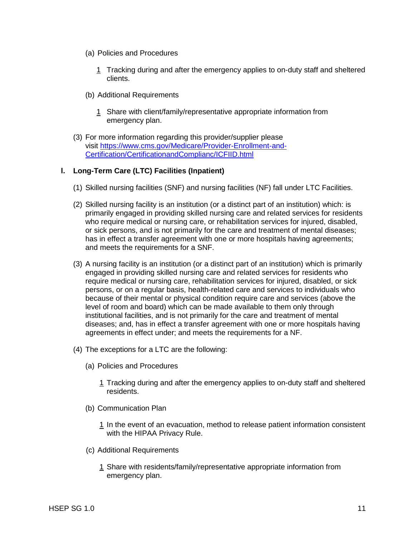- (a) Policies and Procedures
	- 1 Tracking during and after the emergency applies to on-duty staff and sheltered clients.
- (b) Additional Requirements
	- 1 Share with client/family/representative appropriate information from emergency plan.
- (3) For more information regarding this provider/supplier please visit [https://www.cms.gov/Medicare/Provider-Enrollment-and-](https://www.cms.gov/Medicare/Provider-Enrollment-and-Certification/CertificationandComplianc/ICFIID.html)[Certification/CertificationandComplianc/ICFIID.html](https://www.cms.gov/Medicare/Provider-Enrollment-and-Certification/CertificationandComplianc/ICFIID.html)

## **l. Long-Term Care (LTC) Facilities (Inpatient)**

- (1) Skilled nursing facilities (SNF) and nursing facilities (NF) fall under LTC Facilities.
- (2) Skilled nursing facility is an institution (or a distinct part of an institution) which: is primarily engaged in providing skilled nursing care and related services for residents who require medical or nursing care, or rehabilitation services for injured, disabled, or sick persons, and is not primarily for the care and treatment of mental diseases; has in effect a transfer agreement with one or more hospitals having agreements; and meets the requirements for a SNF.
- (3) A nursing facility is an institution (or a distinct part of an institution) which is primarily engaged in providing skilled nursing care and related services for residents who require medical or nursing care, rehabilitation services for injured, disabled, or sick persons, or on a regular basis, health-related care and services to individuals who because of their mental or physical condition require care and services (above the level of room and board) which can be made available to them only through institutional facilities, and is not primarily for the care and treatment of mental diseases; and, has in effect a transfer agreement with one or more hospitals having agreements in effect under; and meets the requirements for a NF.
- (4) The exceptions for a LTC are the following:
	- (a) Policies and Procedures
		- 1 Tracking during and after the emergency applies to on-duty staff and sheltered residents.
	- (b) Communication Plan
		- 1 In the event of an evacuation, method to release patient information consistent with the HIPAA Privacy Rule.
	- (c) Additional Requirements
		- 1 Share with residents/family/representative appropriate information from emergency plan.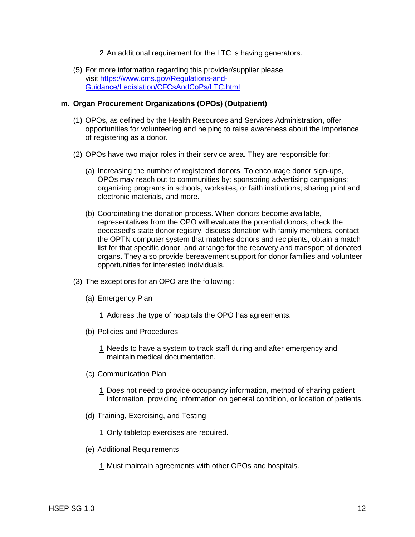- 2 An additional requirement for the LTC is having generators.
- (5) For more information regarding this provider/supplier please visit [https://www.cms.gov/Regulations-and-](https://www.cms.gov/Regulations-and-Guidance/Legislation/CFCsAndCoPs/LTC.html)[Guidance/Legislation/CFCsAndCoPs/LTC.html](https://www.cms.gov/Regulations-and-Guidance/Legislation/CFCsAndCoPs/LTC.html)

#### **m. Organ Procurement Organizations (OPOs) (Outpatient)**

- (1) OPOs, as defined by the Health Resources and Services Administration, offer opportunities for volunteering and helping to raise awareness about the importance of registering as a donor.
- (2) OPOs have two major roles in their service area. They are responsible for:
	- (a) Increasing the number of registered donors. To encourage donor sign-ups, OPOs may reach out to communities by: sponsoring advertising campaigns; organizing programs in schools, worksites, or faith institutions; sharing print and electronic materials, and more.
	- (b) Coordinating the donation process. When donors become available, representatives from the OPO will evaluate the potential donors, check the deceased's state donor registry, discuss donation with family members, contact the OPTN computer system that matches donors and recipients, obtain a match list for that specific donor, and arrange for the recovery and transport of donated organs. They also provide bereavement support for donor families and volunteer opportunities for interested individuals.
- (3) The exceptions for an OPO are the following:
	- (a) Emergency Plan
		- 1 Address the type of hospitals the OPO has agreements.
	- (b) Policies and Procedures
		- 1 Needs to have a system to track staff during and after emergency and maintain medical documentation.
	- (c) Communication Plan
		- 1 Does not need to provide occupancy information, method of sharing patient information, providing information on general condition, or location of patients.
	- (d) Training, Exercising, and Testing

1 Only tabletop exercises are required.

- (e) Additional Requirements
	- 1 Must maintain agreements with other OPOs and hospitals.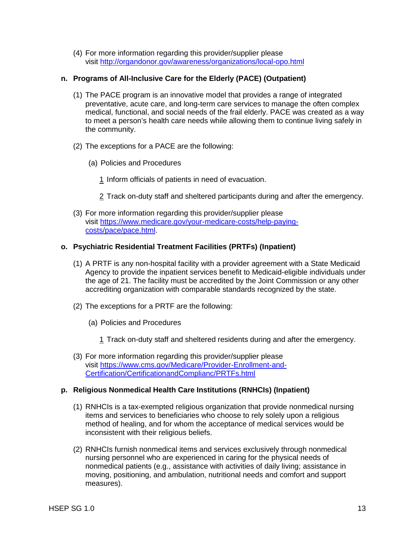(4) For more information regarding this provider/supplier please visit <http://organdonor.gov/awareness/organizations/local-opo.html>

## **n. Programs of All-Inclusive Care for the Elderly (PACE) (Outpatient)**

- (1) The PACE program is an innovative model that provides a range of integrated preventative, acute care, and long-term care services to manage the often complex medical, functional, and social needs of the frail elderly. PACE was created as a way to meet a person's health care needs while allowing them to continue living safely in the community.
- (2) The exceptions for a PACE are the following:
	- (a) Policies and Procedures
		- 1 Inform officials of patients in need of evacuation.
		- 2 Track on-duty staff and sheltered participants during and after the emergency.
- (3) For more information regarding this provider/supplier please visit [https://www.medicare.gov/your-medicare-costs/help-paying](https://www.medicare.gov/your-medicare-costs/help-paying-costs/pace/pace.html)[costs/pace/pace.html.](https://www.medicare.gov/your-medicare-costs/help-paying-costs/pace/pace.html)

## **o. Psychiatric Residential Treatment Facilities (PRTFs) (Inpatient)**

- (1) A PRTF is any non-hospital facility with a provider agreement with a State Medicaid Agency to provide the inpatient services benefit to Medicaid-eligible individuals under the age of 21. The facility must be accredited by the Joint Commission or any other accrediting organization with comparable standards recognized by the state.
- (2) The exceptions for a PRTF are the following:
	- (a) Policies and Procedures
		- 1 Track on-duty staff and sheltered residents during and after the emergency.
- (3) For more information regarding this provider/supplier please visit [https://www.cms.gov/Medicare/Provider-Enrollment-and-](https://www.cms.gov/Medicare/Provider-Enrollment-and-Certification/CertificationandComplianc/PRTFs.html)[Certification/CertificationandComplianc/PRTFs.html](https://www.cms.gov/Medicare/Provider-Enrollment-and-Certification/CertificationandComplianc/PRTFs.html)

## **p. Religious Nonmedical Health Care Institutions (RNHCIs) (Inpatient)**

- (1) RNHCIs is a tax-exempted religious organization that provide nonmedical nursing items and services to beneficiaries who choose to rely solely upon a religious method of healing, and for whom the acceptance of medical services would be inconsistent with their religious beliefs.
- (2) RNHCIs furnish nonmedical items and services exclusively through nonmedical nursing personnel who are experienced in caring for the physical needs of nonmedical patients (e.g., assistance with activities of daily living; assistance in moving, positioning, and ambulation, nutritional needs and comfort and support measures).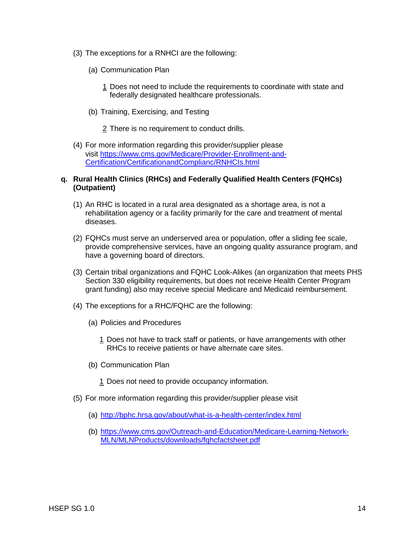- (3) The exceptions for a RNHCI are the following:
	- (a) Communication Plan
		- 1 Does not need to include the requirements to coordinate with state and federally designated healthcare professionals.
	- (b) Training, Exercising, and Testing

2 There is no requirement to conduct drills.

(4) For more information regarding this provider/supplier please visit [https://www.cms.gov/Medicare/Provider-Enrollment-and-](https://www.cms.gov/Medicare/Provider-Enrollment-and-Certification/CertificationandComplianc/RNHCIs.html)[Certification/CertificationandComplianc/RNHCIs.html](https://www.cms.gov/Medicare/Provider-Enrollment-and-Certification/CertificationandComplianc/RNHCIs.html)

### **q. Rural Health Clinics (RHCs) and Federally Qualified Health Centers (FQHCs) (Outpatient)**

- (1) An RHC is located in a rural area designated as a shortage area, is not a rehabilitation agency or a facility primarily for the care and treatment of mental diseases.
- (2) FQHCs must serve an underserved area or population, offer a sliding fee scale, provide comprehensive services, have an ongoing quality assurance program, and have a governing board of directors.
- (3) Certain tribal organizations and FQHC Look-Alikes (an organization that meets PHS Section 330 eligibility requirements, but does not receive Health Center Program grant funding) also may receive special Medicare and Medicaid reimbursement.
- (4) The exceptions for a RHC/FQHC are the following:
	- (a) Policies and Procedures
		- 1 Does not have to track staff or patients, or have arrangements with other RHCs to receive patients or have alternate care sites.
	- (b) Communication Plan
		- 1 Does not need to provide occupancy information.
- (5) For more information regarding this provider/supplier please visit
	- (a) <http://bphc.hrsa.gov/about/what-is-a-health-center/index.html>
	- (b) [https://www.cms.gov/Outreach-and-Education/Medicare-Learning-Network-](https://www.cms.gov/Outreach-and-Education/Medicare-Learning-Network-MLN/MLNProducts/downloads/fqhcfactsheet.pdf)[MLN/MLNProducts/downloads/fqhcfactsheet.pdf](https://www.cms.gov/Outreach-and-Education/Medicare-Learning-Network-MLN/MLNProducts/downloads/fqhcfactsheet.pdf)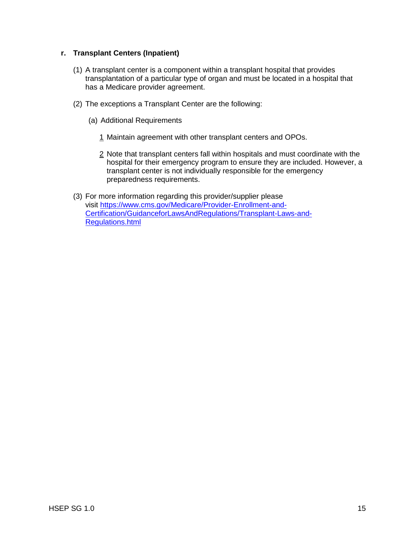## **r. Transplant Centers (Inpatient)**

- (1) A transplant center is a component within a transplant hospital that provides transplantation of a particular type of organ and must be located in a hospital that has a Medicare provider agreement.
- (2) The exceptions a Transplant Center are the following:
	- (a) Additional Requirements
		- 1 Maintain agreement with other transplant centers and OPOs.
		- 2 Note that transplant centers fall within hospitals and must coordinate with the hospital for their emergency program to ensure they are included. However, a transplant center is not individually responsible for the emergency preparedness requirements.
- (3) For more information regarding this provider/supplier please visit [https://www.cms.gov/Medicare/Provider-Enrollment-and-](https://www.cms.gov/Medicare/Provider-Enrollment-and-Certification/GuidanceforLawsAndRegulations/Transplant-Laws-and-Regulations.html)[Certification/GuidanceforLawsAndRegulations/Transplant-Laws-and-](https://www.cms.gov/Medicare/Provider-Enrollment-and-Certification/GuidanceforLawsAndRegulations/Transplant-Laws-and-Regulations.html)[Regulations.html](https://www.cms.gov/Medicare/Provider-Enrollment-and-Certification/GuidanceforLawsAndRegulations/Transplant-Laws-and-Regulations.html)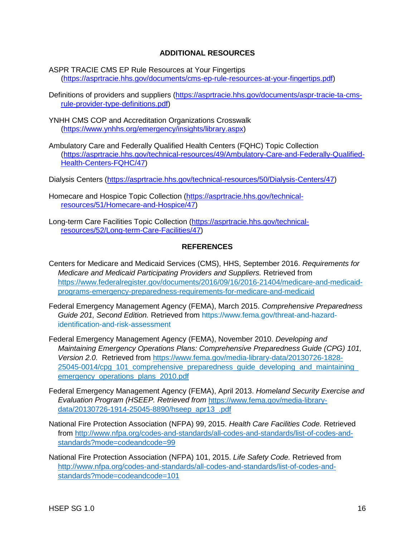## **ADDITIONAL RESOURCES**

- ASPR TRACIE CMS EP Rule Resources at Your Fingertips [\(https://asprtracie.hhs.gov/documents/cms-ep-rule-resources-at-your-fingertips.pdf\)](https://asprtracie.hhs.gov/documents/cms-ep-rule-resources-at-your-fingertips.pdf)
- Definitions of providers and suppliers [\(https://asprtracie.hhs.gov/documents/aspr-tracie-ta-cms](https://asprtracie.hhs.gov/documents/aspr-tracie-ta-cms-rule-provider-type-definitions.pdf)[rule-provider-type-definitions.pdf\)](https://asprtracie.hhs.gov/documents/aspr-tracie-ta-cms-rule-provider-type-definitions.pdf)
- YNHH CMS COP and Accreditation Organizations Crosswalk [\(https://www.ynhhs.org/emergency/insights/library.aspx\)](https://www.ynhhs.org/emergency/insights/library.aspx)
- Ambulatory Care and Federally Qualified Health Centers (FQHC) Topic Collection [\(https://asprtracie.hhs.gov/technical-resources/49/Ambulatory-Care-and-Federally-Qualified-](https://asprtracie.hhs.gov/technical-resources/49/Ambulatory-Care-and-Federally-Qualified-Health-Centers-FQHC/47)[Health-Centers-FQHC/47\)](https://asprtracie.hhs.gov/technical-resources/49/Ambulatory-Care-and-Federally-Qualified-Health-Centers-FQHC/47)
- Dialysis Centers [\(https://asprtracie.hhs.gov/technical-resources/50/Dialysis-Centers/47\)](https://asprtracie.hhs.gov/technical-resources/50/Dialysis-Centers/47)
- Homecare and Hospice Topic Collection [\(https://asprtracie.hhs.gov/technical](https://asprtracie.hhs.gov/technical-resources/51/Homecare-and-Hospice/47)[resources/51/Homecare-and-Hospice/47\)](https://asprtracie.hhs.gov/technical-resources/51/Homecare-and-Hospice/47)
- Long-term Care Facilities Topic Collection [\(https://asprtracie.hhs.gov/technical](https://asprtracie.hhs.gov/technical-resources/52/Long-term-Care-Facilities/47)[resources/52/Long-term-Care-Facilities/47\)](https://asprtracie.hhs.gov/technical-resources/52/Long-term-Care-Facilities/47)

#### **REFERENCES**

- Centers for Medicare and Medicaid Services (CMS), HHS, September 2016. *Requirements for Medicare and Medicaid Participating Providers and Suppliers.* Retrieved from [https://www.federalregister.gov/documents/2016/09/16/2016-21404/medicare-and-medicaid](https://www.federalregister.gov/documents/2016/09/16/2016-21404/medicare-and-medicaid-programs-emergency-preparedness-requirements-for-medicare-and-medicaid)[programs-emergency-preparedness-requirements-for-medicare-and-medicaid](https://www.federalregister.gov/documents/2016/09/16/2016-21404/medicare-and-medicaid-programs-emergency-preparedness-requirements-for-medicare-and-medicaid)
- Federal Emergency Management Agency (FEMA), March 2015. *[Comprehensive Preparedness](https://www.fema.gov/threat-and-hazard-identification-and-risk-assessment)  [Guide 201, Second Edition.](https://www.fema.gov/threat-and-hazard-identification-and-risk-assessment)* Retrieved from [https://www.fema.gov/threat-and-hazard](https://www.fema.gov/threat-and-hazard-identification-and-risk-assessment)[identification-and-risk-assessment](https://www.fema.gov/threat-and-hazard-identification-and-risk-assessment)
- Federal Emergency Management Agency (FEMA), November 2010. *Developing and Maintaining Emergency Operations Plans: Comprehensive Preparedness Guide (CPG) 101, Version 2.0*. Retrieved from [https://www.fema.gov/media-library-data/20130726-1828-](https://www.fema.gov/media-library-data/20130726-1828-25045-0014/cpg_101_comprehensive_preparedness_guide_developing_and_maintaining_emergency_operations_plans_2010.pdf) 25045-0014/cpg\_101\_comprehensive\_preparedness\_guide\_developing\_and\_maintaining emergency operations plans 2010.pdf
- Federal Emergency Management Agency (FEMA), April 2013. *Homeland Security Exercise and Evaluation Program (HSEEP. Retrieved from* [https://www.fema.gov/media-library](https://www.fema.gov/media-library-data/20130726-1914-25045-8890/hseep_apr13_.pdf)[data/20130726-1914-25045-8890/hseep\\_apr13\\_.pdf](https://www.fema.gov/media-library-data/20130726-1914-25045-8890/hseep_apr13_.pdf)
- National Fire Protection Association (NFPA) 99, 2015. *Health Care Facilities Code.* Retrieved from [http://www.nfpa.org/codes-and-standards/all-codes-and-standards/list-of-codes-and](http://www.nfpa.org/codes-and-standards/all-codes-and-standards/list-of-codes-and-standards?mode=code&code=99)[standards?mode=codeandcode=99](http://www.nfpa.org/codes-and-standards/all-codes-and-standards/list-of-codes-and-standards?mode=code&code=99)
- National Fire Protection Association (NFPA) 101, 2015. *Life Safety Code.* Retrieved from [http://www.nfpa.org/codes-and-standards/all-codes-and-standards/list-of-codes-and](http://www.nfpa.org/codes-and-standards/all-codes-and-standards/list-of-codes-and-standards?mode=code&code=101)[standards?mode=codeandcode=101](http://www.nfpa.org/codes-and-standards/all-codes-and-standards/list-of-codes-and-standards?mode=code&code=101)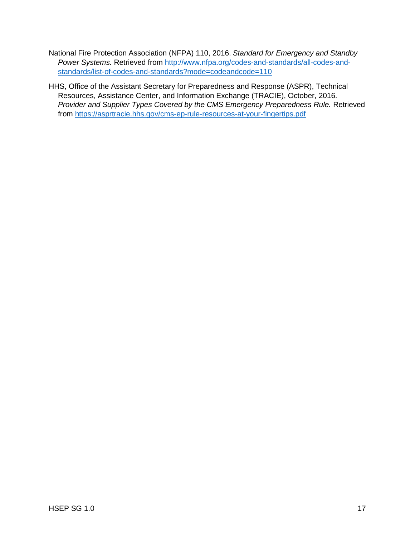- National Fire Protection Association (NFPA) 110, 2016. *Standard for Emergency and Standby Power Systems.* Retrieved from [http://www.nfpa.org/codes-and-standards/all-codes-and](http://www.nfpa.org/codes-and-standards/all-codes-and-standards/list-of-codes-and-standards?mode=code&code=110)[standards/list-of-codes-and-standards?mode=codeandcode=110](http://www.nfpa.org/codes-and-standards/all-codes-and-standards/list-of-codes-and-standards?mode=code&code=110)
- HHS, Office of the Assistant Secretary for Preparedness and Response (ASPR), Technical Resources, Assistance Center, and Information Exchange (TRACIE), October, 2016. *Provider and Supplier Types Covered by the CMS Emergency Preparedness Rule.* Retrieved from<https://asprtracie.hhs.gov/cms-ep-rule-resources-at-your-fingertips.pdf>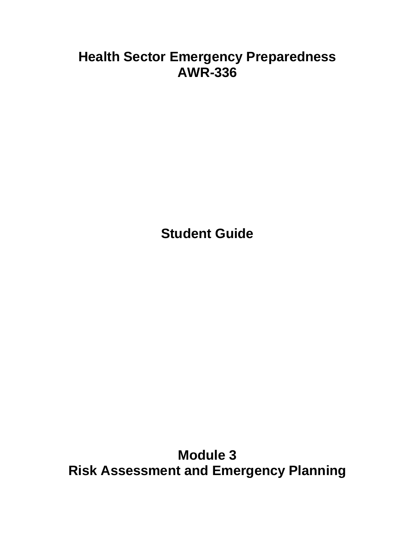# **Health Sector Emergency Preparedness AWR-336**

**Student Guide**

**Module 3 Risk Assessment and Emergency Planning**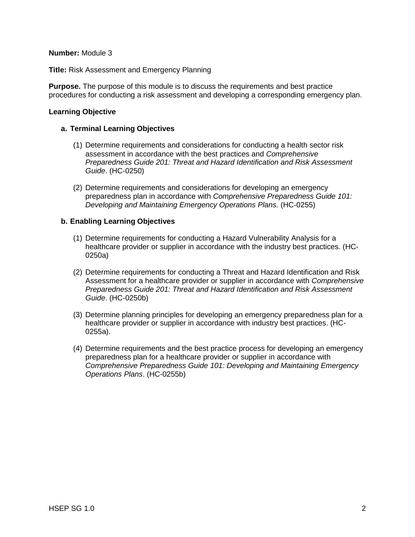#### **Number:** Module 3

**Title:** Risk Assessment and Emergency Planning

**Purpose.** The purpose of this module is to discuss the requirements and best practice procedures for conducting a risk assessment and developing a corresponding emergency plan.

### **Learning Objective**

### **a. Terminal Learning Objectives**

- (1) Determine requirements and considerations for conducting a health sector risk assessment in accordance with the best practices and *Comprehensive Preparedness Guide 201: Threat and Hazard Identification and Risk Assessment Guide*. (HC-0250)
- (2) Determine requirements and considerations for developing an emergency preparedness plan in accordance with *Comprehensive Preparedness Guide 101: Developing and Maintaining Emergency Operations Plans.* (HC-0255)

### **b. Enabling Learning Objectives**

- (1) Determine requirements for conducting a Hazard Vulnerability Analysis for a healthcare provider or supplier in accordance with the industry best practices. (HC-0250a)
- (2) Determine requirements for conducting a Threat and Hazard Identification and Risk Assessment for a healthcare provider or supplier in accordance with *Comprehensive Preparedness Guide 201: Threat and Hazard Identification and Risk Assessment Guide*. (HC-0250b)
- (3) Determine planning principles for developing an emergency preparedness plan for a healthcare provider or supplier in accordance with industry best practices. (HC-0255a).
- (4) Determine requirements and the best practice process for developing an emergency preparedness plan for a healthcare provider or supplier in accordance with *Comprehensive Preparedness Guide 101: Developing and Maintaining Emergency Operations Plans*. (HC-0255b)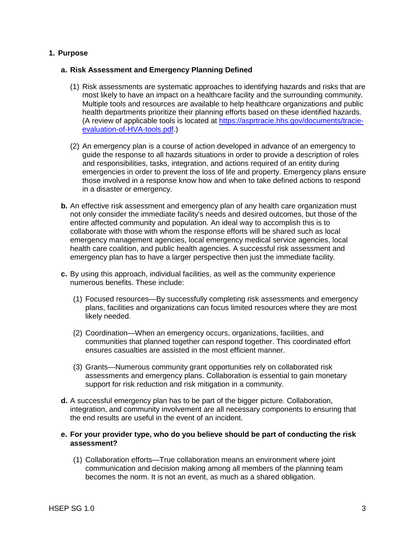## **1. Purpose**

#### **a. Risk Assessment and Emergency Planning Defined**

- (1) Risk assessments are systematic approaches to identifying hazards and risks that are most likely to have an impact on a healthcare facility and the surrounding community. Multiple tools and resources are available to help healthcare organizations and public health departments prioritize their planning efforts based on these identified hazards. (A review of applicable tools is located at [https://asprtracie.hhs.gov/documents/tracie](https://asprtracie.hhs.gov/documents/tracie-evaluation-of-HVA-tools.pdf)[evaluation-of-HVA-tools.pdf.](https://asprtracie.hhs.gov/documents/tracie-evaluation-of-HVA-tools.pdf))
- (2) An emergency plan is a course of action developed in advance of an emergency to guide the response to all hazards situations in order to provide a description of roles and responsibilities, tasks, integration, and actions required of an entity during emergencies in order to prevent the loss of life and property. Emergency plans ensure those involved in a response know how and when to take defined actions to respond in a disaster or emergency.
- **b.** An effective risk assessment and emergency plan of any health care organization must not only consider the immediate facility's needs and desired outcomes, but those of the entire affected community and population. An ideal way to accomplish this is to collaborate with those with whom the response efforts will be shared such as local emergency management agencies, local emergency medical service agencies, local health care coalition, and public health agencies. A successful risk assessment and emergency plan has to have a larger perspective then just the immediate facility.
- **c.** By using this approach, individual facilities, as well as the community experience numerous benefits. These include:
	- (1) Focused resources—By successfully completing risk assessments and emergency plans, facilities and organizations can focus limited resources where they are most likely needed.
	- (2) Coordination—When an emergency occurs, organizations, facilities, and communities that planned together can respond together. This coordinated effort ensures casualties are assisted in the most efficient manner.
	- (3) Grants—Numerous community grant opportunities rely on collaborated risk assessments and emergency plans. Collaboration is essential to gain monetary support for risk reduction and risk mitigation in a community.
- **d.** A successful emergency plan has to be part of the bigger picture. Collaboration, integration, and community involvement are all necessary components to ensuring that the end results are useful in the event of an incident.

### **e. For your provider type, who do you believe should be part of conducting the risk assessment?**

(1) Collaboration efforts—True collaboration means an environment where joint communication and decision making among all members of the planning team becomes the norm. It is not an event, as much as a shared obligation.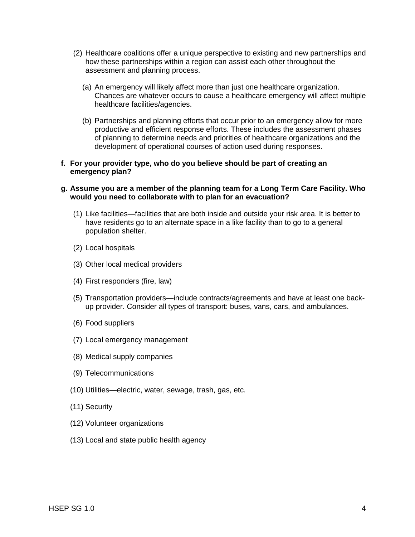- (2) Healthcare coalitions offer a unique perspective to existing and new partnerships and how these partnerships within a region can assist each other throughout the assessment and planning process.
	- (a) An emergency will likely affect more than just one healthcare organization. Chances are whatever occurs to cause a healthcare emergency will affect multiple healthcare facilities/agencies.
	- (b) Partnerships and planning efforts that occur prior to an emergency allow for more productive and efficient response efforts. These includes the assessment phases of planning to determine needs and priorities of healthcare organizations and the development of operational courses of action used during responses.

#### **f. For your provider type, who do you believe should be part of creating an emergency plan?**

#### **g. Assume you are a member of the planning team for a Long Term Care Facility. Who would you need to collaborate with to plan for an evacuation?**

- (1) Like facilities—facilities that are both inside and outside your risk area. It is better to have residents go to an alternate space in a like facility than to go to a general population shelter.
- (2) Local hospitals
- (3) Other local medical providers
- (4) First responders (fire, law)
- (5) Transportation providers—include contracts/agreements and have at least one backup provider. Consider all types of transport: buses, vans, cars, and ambulances.
- (6) Food suppliers
- (7) Local emergency management
- (8) Medical supply companies
- (9) Telecommunications
- (10) Utilities—electric, water, sewage, trash, gas, etc.
- (11) Security
- (12) Volunteer organizations
- (13) Local and state public health agency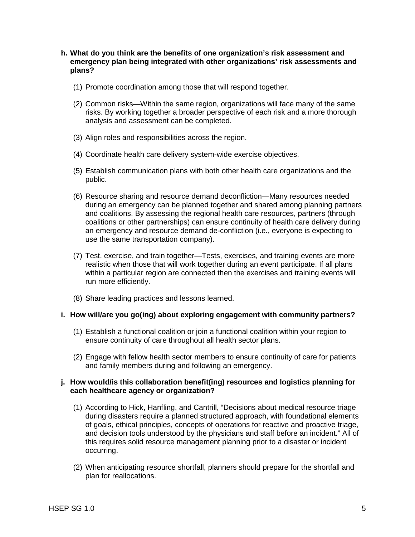#### **h. What do you think are the benefits of one organization's risk assessment and emergency plan being integrated with other organizations' risk assessments and plans?**

- (1) Promote coordination among those that will respond together.
- (2) Common risks—Within the same region, organizations will face many of the same risks. By working together a broader perspective of each risk and a more thorough analysis and assessment can be completed.
- (3) Align roles and responsibilities across the region.
- (4) Coordinate health care delivery system-wide exercise objectives.
- (5) Establish communication plans with both other health care organizations and the public.
- (6) Resource sharing and resource demand deconfliction—Many resources needed during an emergency can be planned together and shared among planning partners and coalitions. By assessing the regional health care resources, partners (through coalitions or other partnerships) can ensure continuity of health care delivery during an emergency and resource demand de-confliction (i.e., everyone is expecting to use the same transportation company).
- (7) Test, exercise, and train together—Tests, exercises, and training events are more realistic when those that will work together during an event participate. If all plans within a particular region are connected then the exercises and training events will run more efficiently.
- (8) Share leading practices and lessons learned.

#### **i. How will/are you go(ing) about exploring engagement with community partners?**

- (1) Establish a functional coalition or join a functional coalition within your region to ensure continuity of care throughout all health sector plans.
- (2) Engage with fellow health sector members to ensure continuity of care for patients and family members during and following an emergency.

### **j. How would/is this collaboration benefit(ing) resources and logistics planning for each healthcare agency or organization?**

- (1) According to Hick, Hanfling, and Cantrill, "Decisions about medical resource triage during disasters require a planned structured approach, with foundational elements of goals, ethical principles, concepts of operations for reactive and proactive triage, and decision tools understood by the physicians and staff before an incident." All of this requires solid resource management planning prior to a disaster or incident occurring.
- (2) When anticipating resource shortfall, planners should prepare for the shortfall and plan for reallocations.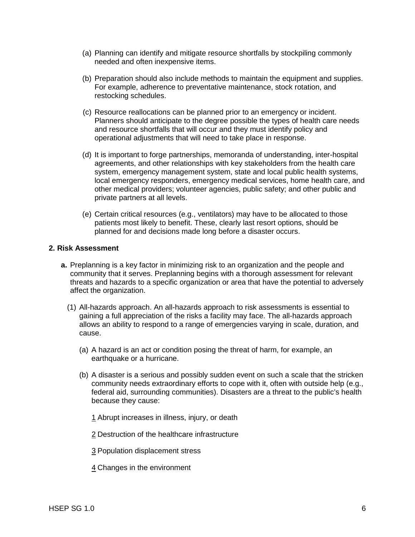- (a) Planning can identify and mitigate resource shortfalls by stockpiling commonly needed and often inexpensive items.
- (b) Preparation should also include methods to maintain the equipment and supplies. For example, adherence to preventative maintenance, stock rotation, and restocking schedules.
- (c) Resource reallocations can be planned prior to an emergency or incident. Planners should anticipate to the degree possible the types of health care needs and resource shortfalls that will occur and they must identify policy and operational adjustments that will need to take place in response.
- (d) It is important to forge partnerships, memoranda of understanding, inter-hospital agreements, and other relationships with key stakeholders from the health care system, emergency management system, state and local public health systems, local emergency responders, emergency medical services, home health care, and other medical providers; volunteer agencies, public safety; and other public and private partners at all levels.
- (e) Certain critical resources (e.g., ventilators) may have to be allocated to those patients most likely to benefit. These, clearly last resort options, should be planned for and decisions made long before a disaster occurs.

#### **2. Risk Assessment**

- **a.** Preplanning is a key factor in minimizing risk to an organization and the people and community that it serves. Preplanning begins with a thorough assessment for relevant threats and hazards to a specific organization or area that have the potential to adversely affect the organization.
	- (1) All-hazards approach. An all-hazards approach to risk assessments is essential to gaining a full appreciation of the risks a facility may face. The all-hazards approach allows an ability to respond to a range of emergencies varying in scale, duration, and cause.
		- (a) A hazard is an act or condition posing the threat of harm, for example, an earthquake or a hurricane.
		- (b) A disaster is a serious and possibly sudden event on such a scale that the stricken community needs extraordinary efforts to cope with it, often with outside help (e.g., federal aid, surrounding communities). Disasters are a threat to the public's health because they cause:
			- 1 Abrupt increases in illness, injury, or death
			- 2 Destruction of the healthcare infrastructure
			- 3 Population displacement stress
			- 4 Changes in the environment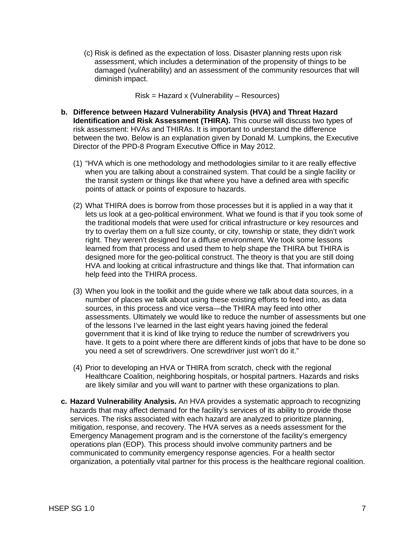(c) Risk is defined as the expectation of loss. Disaster planning rests upon risk assessment, which includes a determination of the propensity of things to be damaged (vulnerability) and an assessment of the community resources that will diminish impact.

Risk = Hazard x (Vulnerability – Resources)

- **b. Difference between Hazard Vulnerability Analysis (HVA) and Threat Hazard Identification and Risk Assessment (THIRA).** This course will discuss two types of risk assessment: HVAs and THIRAs. It is important to understand the difference between the two. Below is an explanation given by Donald M. Lumpkins, the Executive Director of the PPD-8 Program Executive Office in May 2012.
	- (1) "HVA which is one methodology and methodologies similar to it are really effective when you are talking about a constrained system. That could be a single facility or the transit system or things like that where you have a defined area with specific points of attack or points of exposure to hazards.
	- (2) What THIRA does is borrow from those processes but it is applied in a way that it lets us look at a geo-political environment. What we found is that if you took some of the traditional models that were used for critical infrastructure or key resources and try to overlay them on a full size county, or city, township or state, they didn't work right. They weren't designed for a diffuse environment. We took some lessons learned from that process and used them to help shape the THIRA but THIRA is designed more for the geo-political construct. The theory is that you are still doing HVA and looking at critical infrastructure and things like that. That information can help feed into the THIRA process.
	- (3) When you look in the toolkit and the guide where we talk about data sources, in a number of places we talk about using these existing efforts to feed into, as data sources, in this process and vice versa—the THIRA may feed into other assessments. Ultimately we would like to reduce the number of assessments but one of the lessons I've learned in the last eight years having joined the federal government that it is kind of like trying to reduce the number of screwdrivers you have. It gets to a point where there are different kinds of jobs that have to be done so you need a set of screwdrivers. One screwdriver just won't do it."
	- (4) Prior to developing an HVA or THIRA from scratch, check with the regional Healthcare Coalition, neighboring hospitals, or hospital partners. Hazards and risks are likely similar and you will want to partner with these organizations to plan.
- **c. Hazard Vulnerability Analysis.** An HVA provides a systematic approach to recognizing hazards that may affect demand for the facility's services of its ability to provide those services. The risks associated with each hazard are analyzed to prioritize planning, mitigation, response, and recovery. The HVA serves as a needs assessment for the Emergency Management program and is the cornerstone of the facility's emergency operations plan (EOP). This process should involve community partners and be communicated to community emergency response agencies. For a health sector organization, a potentially vital partner for this process is the healthcare regional coalition.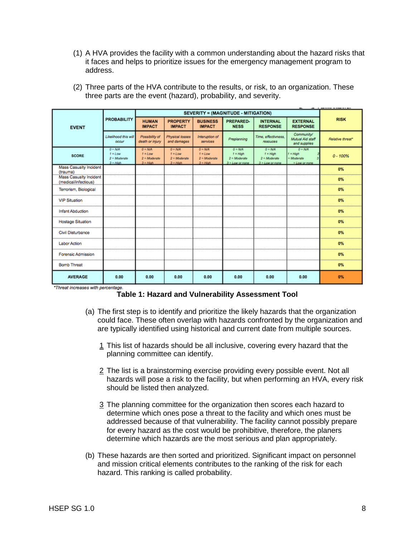(1) A HVA provides the facility with a common understanding about the hazard risks that it faces and helps to prioritize issues for the emergency management program to address.

| <b>EVENT</b>                                          | <b>PROBABILITY</b>                                      | SEVERITY = (MAGNITUDE - MITIGATION)                    |                                                         |                                                        |                                                                 |                                                                 |                                                           |                  |
|-------------------------------------------------------|---------------------------------------------------------|--------------------------------------------------------|---------------------------------------------------------|--------------------------------------------------------|-----------------------------------------------------------------|-----------------------------------------------------------------|-----------------------------------------------------------|------------------|
|                                                       |                                                         | <b>HUMAN</b><br><b>IMPACT</b>                          | <b>PROPERTY</b><br><b>IMPACT</b>                        | <b>BUSINESS</b><br><b>IMPACT</b>                       | PREPARED-<br><b>NESS</b>                                        | <b>INTERNAL</b><br><b>RESPONSE</b>                              | <b>EXTERNAL</b><br><b>RESPONSE</b>                        | <b>RISK</b>      |
|                                                       | Likelihood this will<br>occur                           | Possibility of<br>death or injury                      | Physical losses<br>and damages                          | Interuption of<br>services                             | Preplanning                                                     | Time, effectivness.<br>resouces                                 | Community/<br>Mutual Aid staff<br>and supplies            | Relative threat* |
| <b>SCORE</b>                                          | $Q = N/A$<br>$t = Low$<br>$2 =$ Moderate<br>$3 - H$ iah | $Q = N/A$<br>$t = Low$<br>$2$ = Moderate<br>$3$ = High | $O = N/A$<br>$t = Low$<br>$2$ = Moderate<br>$3 = H_0^c$ | $0 = N/A$<br>$t = Low$<br>$2 =$ Moderate<br>$3$ = High | $0 = N/A$<br>$1 = H$ igh<br>$2$ = Moderate<br>$3 = Low$ or none | $0 = N/A$<br>$1 = H$ igh<br>$2$ = Moderate<br>$3 = Low$ or nane | $0 = N/A$<br>$1 = H$ lah<br>= Moderate<br>$= Low or none$ | $0 - 100%$       |
| <b>Mass Casualty Incident</b><br>(trauma)             |                                                         |                                                        |                                                         |                                                        |                                                                 |                                                                 |                                                           | 0%               |
| <b>Mass Casualty Incident</b><br>(medical/infectious) |                                                         |                                                        |                                                         |                                                        |                                                                 |                                                                 |                                                           | 0%               |
| Terrorism, Biological                                 |                                                         |                                                        |                                                         |                                                        |                                                                 |                                                                 |                                                           | 0%               |
| <b>VIP Situation</b>                                  |                                                         |                                                        |                                                         |                                                        |                                                                 |                                                                 |                                                           | 0%               |
| <b>Infant Abduction</b>                               |                                                         |                                                        |                                                         |                                                        |                                                                 |                                                                 |                                                           | 0%               |
| <b>Hostage Situation</b>                              |                                                         |                                                        |                                                         |                                                        |                                                                 |                                                                 |                                                           | 0%               |
| <b>Civil Disturbance</b>                              |                                                         |                                                        |                                                         |                                                        |                                                                 |                                                                 |                                                           | 0%               |
| <b>Labor Action</b>                                   |                                                         |                                                        |                                                         |                                                        |                                                                 |                                                                 |                                                           | 0%               |
| <b>Forensic Admission</b>                             |                                                         |                                                        |                                                         |                                                        |                                                                 |                                                                 |                                                           | 0%               |
| <b>Bomb Threat</b>                                    |                                                         |                                                        |                                                         |                                                        |                                                                 |                                                                 |                                                           | 0%               |
| <b>AVERAGE</b>                                        | 0.00                                                    | 0.00                                                   | 0.00                                                    | 0.00                                                   | 0.00                                                            | 0.00                                                            | 0.00                                                      | 0%               |

(2) Three parts of the HVA contribute to the results, or risk, to an organization. These three parts are the event (hazard), probability, and severity.

#### **Table 1: Hazard and Vulnerability Assessment Tool**

- (a) The first step is to identify and prioritize the likely hazards that the organization could face. These often overlap with hazards confronted by the organization and are typically identified using historical and current date from multiple sources.
	- 1 This list of hazards should be all inclusive, covering every hazard that the planning committee can identify.
	- 2 The list is a brainstorming exercise providing every possible event. Not all hazards will pose a risk to the facility, but when performing an HVA, every risk should be listed then analyzed.
	- 3 The planning committee for the organization then scores each hazard to determine which ones pose a threat to the facility and which ones must be addressed because of that vulnerability. The facility cannot possibly prepare for every hazard as the cost would be prohibitive, therefore, the planers determine which hazards are the most serious and plan appropriately.
- (b) These hazards are then sorted and prioritized. Significant impact on personnel and mission critical elements contributes to the ranking of the risk for each hazard. This ranking is called probability.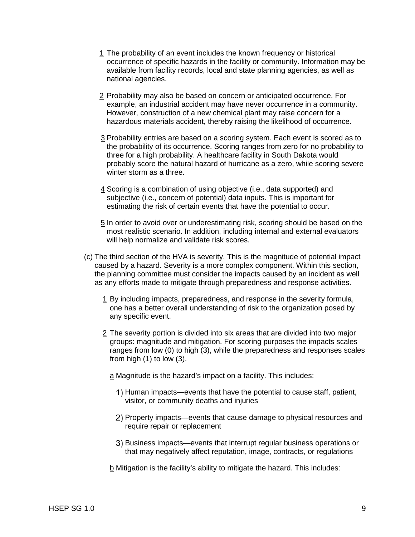- 1 The probability of an event includes the known frequency or historical occurrence of specific hazards in the facility or community. Information may be available from facility records, local and state planning agencies, as well as national agencies.
- 2 Probability may also be based on concern or anticipated occurrence. For example, an industrial accident may have never occurrence in a community. However, construction of a new chemical plant may raise concern for a hazardous materials accident, thereby raising the likelihood of occurrence.
- 3 Probability entries are based on a scoring system. Each event is scored as to the probability of its occurrence. Scoring ranges from zero for no probability to three for a high probability. A healthcare facility in South Dakota would probably score the natural hazard of hurricane as a zero, while scoring severe winter storm as a three.
- 4 Scoring is a combination of using objective (i.e., data supported) and subjective (i.e., concern of potential) data inputs. This is important for estimating the risk of certain events that have the potential to occur.
- 5 In order to avoid over or underestimating risk, scoring should be based on the most realistic scenario. In addition, including internal and external evaluators will help normalize and validate risk scores.
- (c) The third section of the HVA is severity. This is the magnitude of potential impact caused by a hazard. Severity is a more complex component. Within this section, the planning committee must consider the impacts caused by an incident as well as any efforts made to mitigate through preparedness and response activities.
	- 1 By including impacts, preparedness, and response in the severity formula, one has a better overall understanding of risk to the organization posed by any specific event.
	- 2 The severity portion is divided into six areas that are divided into two major groups: magnitude and mitigation. For scoring purposes the impacts scales ranges from low (0) to high (3), while the preparedness and responses scales from high (1) to low (3).

a Magnitude is the hazard's impact on a facility. This includes:

- 1) Human impacts—events that have the potential to cause staff, patient, visitor, or community deaths and injuries
- Property impacts—events that cause damage to physical resources and require repair or replacement
- 3) Business impacts—events that interrupt regular business operations or that may negatively affect reputation, image, contracts, or regulations
- b Mitigation is the facility's ability to mitigate the hazard. This includes: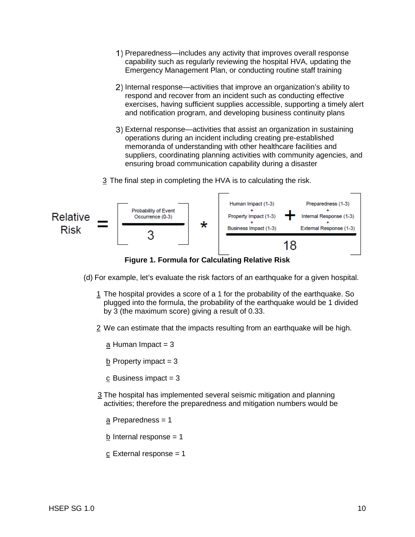- Preparedness—includes any activity that improves overall response capability such as regularly reviewing the hospital HVA, updating the Emergency Management Plan, or conducting routine staff training
- 2) Internal response—activities that improve an organization's ability to respond and recover from an incident such as conducting effective exercises, having sufficient supplies accessible, supporting a timely alert and notification program, and developing business continuity plans
- External response—activities that assist an organization in sustaining operations during an incident including creating pre-established memoranda of understanding with other healthcare facilities and suppliers, coordinating planning activities with community agencies, and ensuring broad communication capability during a disaster
- 3 The final step in completing the HVA is to calculating the risk.



**Figure 1. Formula for Calculating Relative Risk** 

- (d) For example, let's evaluate the risk factors of an earthquake for a given hospital.
	- 1 The hospital provides a score of a 1 for the probability of the earthquake. So plugged into the formula, the probability of the earthquake would be 1 divided by 3 (the maximum score) giving a result of 0.33.
	- 2 We can estimate that the impacts resulting from an earthquake will be high.
		- a Human Impact  $= 3$
		- $\underline{b}$  Property impact = 3
		- c Business impact  $= 3$
	- 3 The hospital has implemented several seismic mitigation and planning activities; therefore the preparedness and mitigation numbers would be
		- a Preparedness = 1
		- b Internal response  $= 1$
		- $c$  External response = 1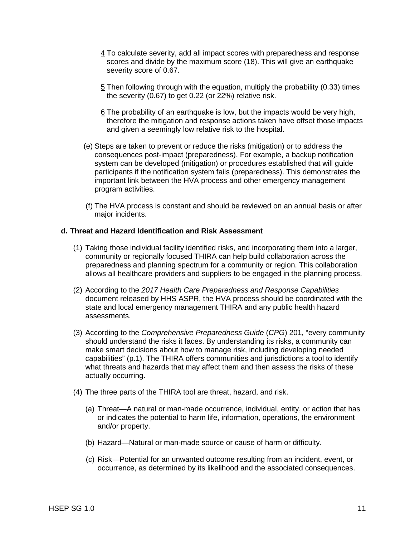- 4 To calculate severity, add all impact scores with preparedness and response scores and divide by the maximum score (18). This will give an earthquake severity score of 0.67.
- 5 Then following through with the equation, multiply the probability (0.33) times the severity (0.67) to get 0.22 (or 22%) relative risk.
- 6 The probability of an earthquake is low, but the impacts would be very high, therefore the mitigation and response actions taken have offset those impacts and given a seemingly low relative risk to the hospital.
- (e) Steps are taken to prevent or reduce the risks (mitigation) or to address the consequences post-impact (preparedness). For example, a backup notification system can be developed (mitigation) or procedures established that will guide participants if the notification system fails (preparedness). This demonstrates the important link between the HVA process and other emergency management program activities.
- (f) The HVA process is constant and should be reviewed on an annual basis or after major incidents.

## **d. Threat and Hazard Identification and Risk Assessment**

- (1) Taking those individual facility identified risks, and incorporating them into a larger, community or regionally focused THIRA can help build collaboration across the preparedness and planning spectrum for a community or region. This collaboration allows all healthcare providers and suppliers to be engaged in the planning process.
- (2) According to the *2017 Health Care Preparedness and Response Capabilities* document released by HHS ASPR, the HVA process should be coordinated with the state and local emergency management THIRA and any public health hazard assessments.
- (3) According to the *Comprehensive Preparedness Guide* (*CPG*) 201, "every community should understand the risks it faces. By understanding its risks, a community can make smart decisions about how to manage risk, including developing needed capabilities" (p.1). The THIRA offers communities and jurisdictions a tool to identify what threats and hazards that may affect them and then assess the risks of these actually occurring.
- (4) The three parts of the THIRA tool are threat, hazard, and risk.
	- (a) Threat—A natural or man-made occurrence, individual, entity, or action that has or indicates the potential to harm life, information, operations, the environment and/or property.
	- (b) Hazard—Natural or man-made source or cause of harm or difficulty.
	- (c) Risk—Potential for an unwanted outcome resulting from an incident, event, or occurrence, as determined by its likelihood and the associated consequences.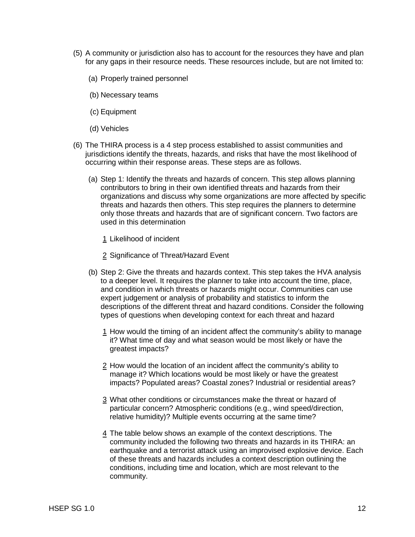- (5) A community or jurisdiction also has to account for the resources they have and plan for any gaps in their resource needs. These resources include, but are not limited to:
	- (a) Properly trained personnel
	- (b) Necessary teams
	- (c) Equipment
	- (d) Vehicles
- (6) The THIRA process is a 4 step process established to assist communities and jurisdictions identify the threats, hazards, and risks that have the most likelihood of occurring within their response areas. These steps are as follows.
	- (a) Step 1: Identify the threats and hazards of concern. This step allows planning contributors to bring in their own identified threats and hazards from their organizations and discuss why some organizations are more affected by specific threats and hazards then others. This step requires the planners to determine only those threats and hazards that are of significant concern. Two factors are used in this determination
		- 1 Likelihood of incident
		- 2 Significance of Threat/Hazard Event
	- (b) Step 2: Give the threats and hazards context. This step takes the HVA analysis to a deeper level. It requires the planner to take into account the time, place, and condition in which threats or hazards might occur. Communities can use expert judgement or analysis of probability and statistics to inform the descriptions of the different threat and hazard conditions. Consider the following types of questions when developing context for each threat and hazard
		- 1 How would the timing of an incident affect the community's ability to manage it? What time of day and what season would be most likely or have the greatest impacts?
		- 2 How would the location of an incident affect the community's ability to manage it? Which locations would be most likely or have the greatest impacts? Populated areas? Coastal zones? Industrial or residential areas?
		- 3 What other conditions or circumstances make the threat or hazard of particular concern? Atmospheric conditions (e.g., wind speed/direction, relative humidity)? Multiple events occurring at the same time?
		- 4 The table below shows an example of the context descriptions. The community included the following two threats and hazards in its THIRA: an earthquake and a terrorist attack using an improvised explosive device. Each of these threats and hazards includes a context description outlining the conditions, including time and location, which are most relevant to the community.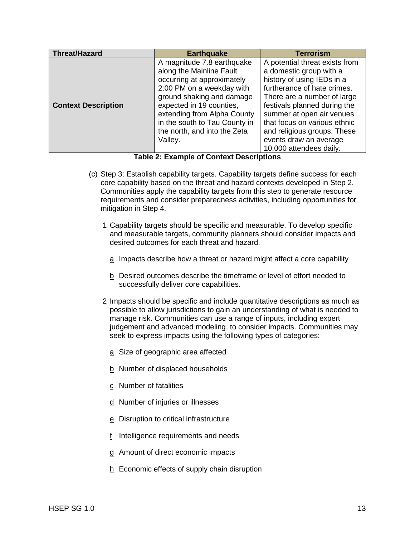| <b>Threat/Hazard</b>       | <b>Earthquake</b>                                                                                                                                                                                                                                                                     | <b>Terrorism</b>                                                                                                                                                                                                                                                                                                                       |
|----------------------------|---------------------------------------------------------------------------------------------------------------------------------------------------------------------------------------------------------------------------------------------------------------------------------------|----------------------------------------------------------------------------------------------------------------------------------------------------------------------------------------------------------------------------------------------------------------------------------------------------------------------------------------|
| <b>Context Description</b> | A magnitude 7.8 earthquake<br>along the Mainline Fault<br>occurring at approximately<br>2:00 PM on a weekday with<br>ground shaking and damage<br>expected in 19 counties,<br>extending from Alpha County<br>in the south to Tau County in<br>the north, and into the Zeta<br>Valley. | A potential threat exists from<br>a domestic group with a<br>history of using IEDs in a<br>furtherance of hate crimes.<br>There are a number of large<br>festivals planned during the<br>summer at open air venues<br>that focus on various ethnic<br>and religious groups. These<br>events draw an average<br>10,000 attendees daily. |

**Table 2: Example of Context Descriptions**

- (c) Step 3: Establish capability targets. Capability targets define success for each core capability based on the threat and hazard contexts developed in Step 2. Communities apply the capability targets from this step to generate resource requirements and consider preparedness activities, including opportunities for mitigation in Step 4.
	- 1 Capability targets should be specific and measurable. To develop specific and measurable targets, community planners should consider impacts and desired outcomes for each threat and hazard.
		- a Impacts describe how a threat or hazard might affect a core capability
		- b Desired outcomes describe the timeframe or level of effort needed to successfully deliver core capabilities.
	- 2 Impacts should be specific and include quantitative descriptions as much as possible to allow jurisdictions to gain an understanding of what is needed to manage risk. Communities can use a range of inputs, including expert judgement and advanced modeling, to consider impacts. Communities may seek to express impacts using the following types of categories:
		- a Size of geographic area affected
		- b Number of displaced households
		- c Number of fatalities
		- d Number of injuries or illnesses
		- e Disruption to critical infrastructure
		- f Intelligence requirements and needs
		- g Amount of direct economic impacts
		- $h$  Economic effects of supply chain disruption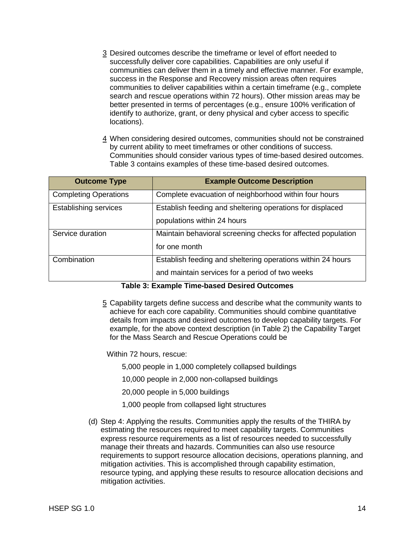- 3 Desired outcomes describe the timeframe or level of effort needed to successfully deliver core capabilities. Capabilities are only useful if communities can deliver them in a timely and effective manner. For example, success in the Response and Recovery mission areas often requires communities to deliver capabilities within a certain timeframe (e.g., complete search and rescue operations within 72 hours). Other mission areas may be better presented in terms of percentages (e.g., ensure 100% verification of identify to authorize, grant, or deny physical and cyber access to specific locations).
- 4 When considering desired outcomes, communities should not be constrained by current ability to meet timeframes or other conditions of success. Communities should consider various types of time-based desired outcomes. Table 3 contains examples of these time-based desired outcomes.

| <b>Outcome Type</b>          | <b>Example Outcome Description</b>                           |
|------------------------------|--------------------------------------------------------------|
| <b>Completing Operations</b> | Complete evacuation of neighborhood within four hours        |
| <b>Establishing services</b> | Establish feeding and sheltering operations for displaced    |
|                              | populations within 24 hours                                  |
| Service duration             | Maintain behavioral screening checks for affected population |
|                              | for one month                                                |
| Combination                  | Establish feeding and sheltering operations within 24 hours  |
|                              | and maintain services for a period of two weeks              |

#### **Table 3: Example Time-based Desired Outcomes**

5 Capability targets define success and describe what the community wants to achieve for each core capability. Communities should combine quantitative details from impacts and desired outcomes to develop capability targets. For example, for the above context description (in Table 2) the Capability Target for the Mass Search and Rescue Operations could be

Within 72 hours, rescue:

5,000 people in 1,000 completely collapsed buildings

10,000 people in 2,000 non-collapsed buildings

20,000 people in 5,000 buildings

- 1,000 people from collapsed light structures
- (d) Step 4: Applying the results. Communities apply the results of the THIRA by estimating the resources required to meet capability targets. Communities express resource requirements as a list of resources needed to successfully manage their threats and hazards. Communities can also use resource requirements to support resource allocation decisions, operations planning, and mitigation activities. This is accomplished through capability estimation, resource typing, and applying these results to resource allocation decisions and mitigation activities.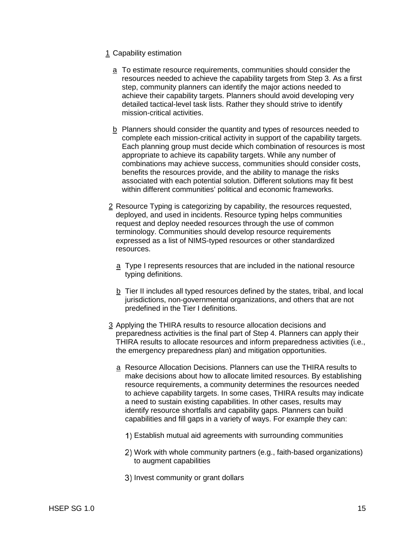- 1 Capability estimation
	- a To estimate resource requirements, communities should consider the resources needed to achieve the capability targets from Step 3. As a first step, community planners can identify the major actions needed to achieve their capability targets. Planners should avoid developing very detailed tactical-level task lists. Rather they should strive to identify mission-critical activities.
	- b Planners should consider the quantity and types of resources needed to complete each mission-critical activity in support of the capability targets. Each planning group must decide which combination of resources is most appropriate to achieve its capability targets. While any number of combinations may achieve success, communities should consider costs, benefits the resources provide, and the ability to manage the risks associated with each potential solution. Different solutions may fit best within different communities' political and economic frameworks.
- 2 Resource Typing is categorizing by capability, the resources requested, deployed, and used in incidents. Resource typing helps communities request and deploy needed resources through the use of common terminology. Communities should develop resource requirements expressed as a list of NIMS-typed resources or other standardized resources.
	- a Type I represents resources that are included in the national resource typing definitions.
	- b Tier II includes all typed resources defined by the states, tribal, and local jurisdictions, non-governmental organizations, and others that are not predefined in the Tier I definitions.
- 3 Applying the THIRA results to resource allocation decisions and preparedness activities is the final part of Step 4. Planners can apply their THIRA results to allocate resources and inform preparedness activities (i.e., the emergency preparedness plan) and mitigation opportunities.
	- a Resource Allocation Decisions. Planners can use the THIRA results to make decisions about how to allocate limited resources. By establishing resource requirements, a community determines the resources needed to achieve capability targets. In some cases, THIRA results may indicate a need to sustain existing capabilities. In other cases, results may identify resource shortfalls and capability gaps. Planners can build capabilities and fill gaps in a variety of ways. For example they can:
		- Establish mutual aid agreements with surrounding communities
		- Work with whole community partners (e.g., faith-based organizations) to augment capabilities
		- 3) Invest community or grant dollars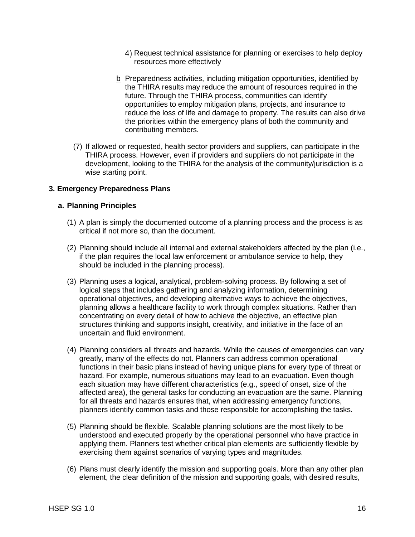- 4) Request technical assistance for planning or exercises to help deploy resources more effectively
- b Preparedness activities, including mitigation opportunities, identified by the THIRA results may reduce the amount of resources required in the future. Through the THIRA process, communities can identify opportunities to employ mitigation plans, projects, and insurance to reduce the loss of life and damage to property. The results can also drive the priorities within the emergency plans of both the community and contributing members.
- (7) If allowed or requested, health sector providers and suppliers, can participate in the THIRA process. However, even if providers and suppliers do not participate in the development, looking to the THIRA for the analysis of the community/jurisdiction is a wise starting point.

# **3. Emergency Preparedness Plans**

## **a. Planning Principles**

- (1) A plan is simply the documented outcome of a planning process and the process is as critical if not more so, than the document.
- (2) Planning should include all internal and external stakeholders affected by the plan (i.e., if the plan requires the local law enforcement or ambulance service to help, they should be included in the planning process).
- (3) Planning uses a logical, analytical, problem-solving process. By following a set of logical steps that includes gathering and analyzing information, determining operational objectives, and developing alternative ways to achieve the objectives, planning allows a healthcare facility to work through complex situations. Rather than concentrating on every detail of how to achieve the objective, an effective plan structures thinking and supports insight, creativity, and initiative in the face of an uncertain and fluid environment.
- (4) Planning considers all threats and hazards. While the causes of emergencies can vary greatly, many of the effects do not. Planners can address common operational functions in their basic plans instead of having unique plans for every type of threat or hazard. For example, numerous situations may lead to an evacuation. Even though each situation may have different characteristics (e.g., speed of onset, size of the affected area), the general tasks for conducting an evacuation are the same. Planning for all threats and hazards ensures that, when addressing emergency functions, planners identify common tasks and those responsible for accomplishing the tasks.
- (5) Planning should be flexible. Scalable planning solutions are the most likely to be understood and executed properly by the operational personnel who have practice in applying them. Planners test whether critical plan elements are sufficiently flexible by exercising them against scenarios of varying types and magnitudes.
- (6) Plans must clearly identify the mission and supporting goals. More than any other plan element, the clear definition of the mission and supporting goals, with desired results,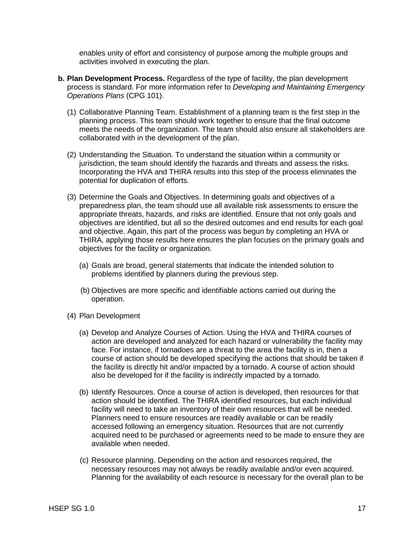enables unity of effort and consistency of purpose among the multiple groups and activities involved in executing the plan.

- **b. Plan Development Process.** Regardless of the type of facility, the plan development process is standard. For more information refer to *Developing and Maintaining Emergency Operations Plans* (CPG 101).
	- (1) Collaborative Planning Team. Establishment of a planning team is the first step in the planning process. This team should work together to ensure that the final outcome meets the needs of the organization. The team should also ensure all stakeholders are collaborated with in the development of the plan.
	- (2) Understanding the Situation. To understand the situation within a community or jurisdiction, the team should identify the hazards and threats and assess the risks. Incorporating the HVA and THIRA results into this step of the process eliminates the potential for duplication of efforts.
	- (3) Determine the Goals and Objectives. In determining goals and objectives of a preparedness plan, the team should use all available risk assessments to ensure the appropriate threats, hazards, and risks are identified. Ensure that not only goals and objectives are identified, but all so the desired outcomes and end results for each goal and objective. Again, this part of the process was begun by completing an HVA or THIRA, applying those results here ensures the plan focuses on the primary goals and objectives for the facility or organization.
		- (a) Goals are broad, general statements that indicate the intended solution to problems identified by planners during the previous step.
		- (b) Objectives are more specific and identifiable actions carried out during the operation.
	- (4) Plan Development
		- (a) Develop and Analyze Courses of Action. Using the HVA and THIRA courses of action are developed and analyzed for each hazard or vulnerability the facility may face. For instance, if tornadoes are a threat to the area the facility is in, then a course of action should be developed specifying the actions that should be taken if the facility is directly hit and/or impacted by a tornado. A course of action should also be developed for if the facility is indirectly impacted by a tornado.
		- (b) Identify Resources. Once a course of action is developed, then resources for that action should be identified. The THIRA identified resources, but each individual facility will need to take an inventory of their own resources that will be needed. Planners need to ensure resources are readily available or can be readily accessed following an emergency situation. Resources that are not currently acquired need to be purchased or agreements need to be made to ensure they are available when needed.
		- (c) Resource planning. Depending on the action and resources required, the necessary resources may not always be readily available and/or even acquired. Planning for the availability of each resource is necessary for the overall plan to be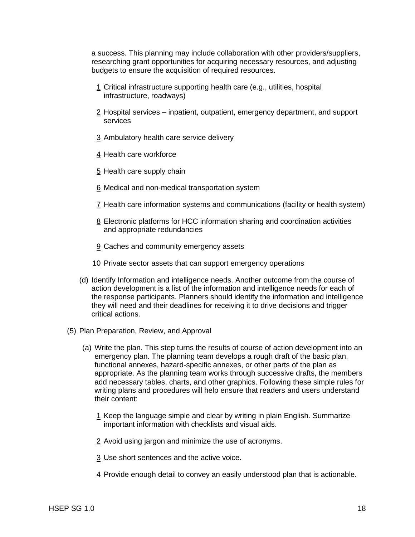a success. This planning may include collaboration with other providers/suppliers, researching grant opportunities for acquiring necessary resources, and adjusting budgets to ensure the acquisition of required resources.

- 1 Critical infrastructure supporting health care (e.g., utilities, hospital infrastructure, roadways)
- 2 Hospital services inpatient, outpatient, emergency department, and support services
- 3 Ambulatory health care service delivery
- 4 Health care workforce
- 5 Health care supply chain
- 6 Medical and non-medical transportation system
- 7 Health care information systems and communications (facility or health system)
- 8 Electronic platforms for HCC information sharing and coordination activities and appropriate redundancies
- 9 Caches and community emergency assets
- 10 Private sector assets that can support emergency operations
- (d) Identify Information and intelligence needs. Another outcome from the course of action development is a list of the information and intelligence needs for each of the response participants. Planners should identify the information and intelligence they will need and their deadlines for receiving it to drive decisions and trigger critical actions.
- (5) Plan Preparation, Review, and Approval
	- (a) Write the plan. This step turns the results of course of action development into an emergency plan. The planning team develops a rough draft of the basic plan, functional annexes, hazard-specific annexes, or other parts of the plan as appropriate. As the planning team works through successive drafts, the members add necessary tables, charts, and other graphics. Following these simple rules for writing plans and procedures will help ensure that readers and users understand their content:
		- 1 Keep the language simple and clear by writing in plain English. Summarize important information with checklists and visual aids.
		- 2 Avoid using jargon and minimize the use of acronyms.
		- 3 Use short sentences and the active voice.
		- 4 Provide enough detail to convey an easily understood plan that is actionable.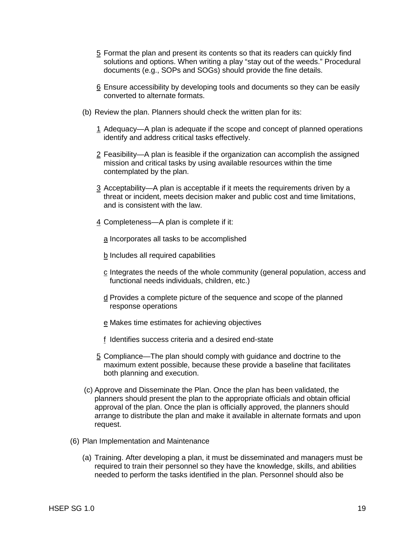- 5 Format the plan and present its contents so that its readers can quickly find solutions and options. When writing a play "stay out of the weeds." Procedural documents (e.g., SOPs and SOGs) should provide the fine details.
- 6 Ensure accessibility by developing tools and documents so they can be easily converted to alternate formats.
- (b) Review the plan. Planners should check the written plan for its:
	- 1 Adequacy—A plan is adequate if the scope and concept of planned operations identify and address critical tasks effectively.
	- 2 Feasibility—A plan is feasible if the organization can accomplish the assigned mission and critical tasks by using available resources within the time contemplated by the plan.
	- 3 Acceptability—A plan is acceptable if it meets the requirements driven by a threat or incident, meets decision maker and public cost and time limitations, and is consistent with the law.
	- 4 Completeness—A plan is complete if it:
		- a Incorporates all tasks to be accomplished
		- b Includes all required capabilities
		- c Integrates the needs of the whole community (general population, access and functional needs individuals, children, etc.)
		- d Provides a complete picture of the sequence and scope of the planned response operations
		- e Makes time estimates for achieving objectives
		- f Identifies success criteria and a desired end-state
	- 5 Compliance—The plan should comply with guidance and doctrine to the maximum extent possible, because these provide a baseline that facilitates both planning and execution.
- (c) Approve and Disseminate the Plan. Once the plan has been validated, the planners should present the plan to the appropriate officials and obtain official approval of the plan. Once the plan is officially approved, the planners should arrange to distribute the plan and make it available in alternate formats and upon request.
- (6) Plan Implementation and Maintenance
	- (a) Training. After developing a plan, it must be disseminated and managers must be required to train their personnel so they have the knowledge, skills, and abilities needed to perform the tasks identified in the plan. Personnel should also be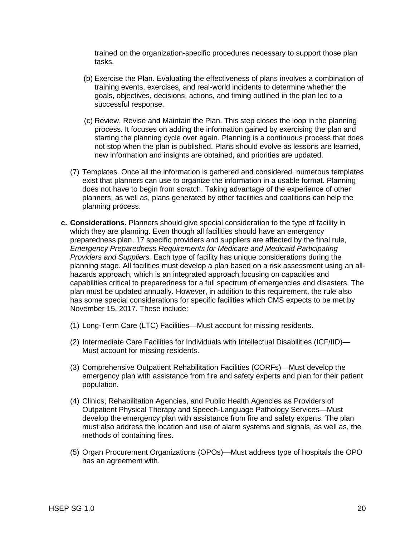trained on the organization-specific procedures necessary to support those plan tasks.

- (b) Exercise the Plan. Evaluating the effectiveness of plans involves a combination of training events, exercises, and real-world incidents to determine whether the goals, objectives, decisions, actions, and timing outlined in the plan led to a successful response.
- (c) Review, Revise and Maintain the Plan. This step closes the loop in the planning process. It focuses on adding the information gained by exercising the plan and starting the planning cycle over again. Planning is a continuous process that does not stop when the plan is published. Plans should evolve as lessons are learned, new information and insights are obtained, and priorities are updated.
- (7) Templates. Once all the information is gathered and considered, numerous templates exist that planners can use to organize the information in a usable format. Planning does not have to begin from scratch. Taking advantage of the experience of other planners, as well as, plans generated by other facilities and coalitions can help the planning process.
- **c. Considerations.** Planners should give special consideration to the type of facility in which they are planning. Even though all facilities should have an emergency preparedness plan, 17 specific providers and suppliers are affected by the final rule, *Emergency Preparedness Requirements for Medicare and Medicaid Participating Providers and Suppliers.* Each type of facility has unique considerations during the planning stage. All facilities must develop a plan based on a risk assessment using an allhazards approach, which is an integrated approach focusing on capacities and capabilities critical to preparedness for a full spectrum of emergencies and disasters. The plan must be updated annually. However, in addition to this requirement, the rule also has some special considerations for specific facilities which CMS expects to be met by November 15, 2017. These include:
	- (1) Long-Term Care (LTC) Facilities—Must account for missing residents.
	- (2) Intermediate Care Facilities for Individuals with Intellectual Disabilities (ICF/IID)— Must account for missing residents.
	- (3) Comprehensive Outpatient Rehabilitation Facilities (CORFs)—Must develop the emergency plan with assistance from fire and safety experts and plan for their patient population.
	- (4) Clinics, Rehabilitation Agencies, and Public Health Agencies as Providers of Outpatient Physical Therapy and Speech-Language Pathology Services—Must develop the emergency plan with assistance from fire and safety experts. The plan must also address the location and use of alarm systems and signals, as well as, the methods of containing fires.
	- (5) Organ Procurement Organizations (OPOs)—Must address type of hospitals the OPO has an agreement with.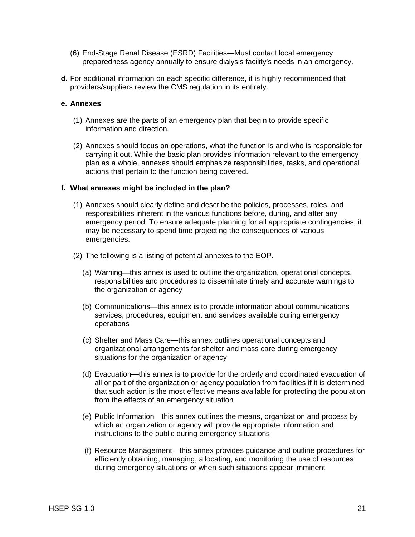- (6) End-Stage Renal Disease (ESRD) Facilities—Must contact local emergency preparedness agency annually to ensure dialysis facility's needs in an emergency.
- **d.** For additional information on each specific difference, it is highly recommended that providers/suppliers review the CMS regulation in its entirety.

#### **e. Annexes**

- (1) Annexes are the parts of an emergency plan that begin to provide specific information and direction.
- (2) Annexes should focus on operations, what the function is and who is responsible for carrying it out. While the basic plan provides information relevant to the emergency plan as a whole, annexes should emphasize responsibilities, tasks, and operational actions that pertain to the function being covered.

#### **f. What annexes might be included in the plan?**

- (1) Annexes should clearly define and describe the policies, processes, roles, and responsibilities inherent in the various functions before, during, and after any emergency period. To ensure adequate planning for all appropriate contingencies, it may be necessary to spend time projecting the consequences of various emergencies.
- (2) The following is a listing of potential annexes to the EOP.
	- (a) Warning—this annex is used to outline the organization, operational concepts, responsibilities and procedures to disseminate timely and accurate warnings to the organization or agency
	- (b) Communications—this annex is to provide information about communications services, procedures, equipment and services available during emergency operations
	- (c) Shelter and Mass Care—this annex outlines operational concepts and organizational arrangements for shelter and mass care during emergency situations for the organization or agency
	- (d) Evacuation—this annex is to provide for the orderly and coordinated evacuation of all or part of the organization or agency population from facilities if it is determined that such action is the most effective means available for protecting the population from the effects of an emergency situation
	- (e) Public Information—this annex outlines the means, organization and process by which an organization or agency will provide appropriate information and instructions to the public during emergency situations
	- (f) Resource Management—this annex provides guidance and outline procedures for efficiently obtaining, managing, allocating, and monitoring the use of resources during emergency situations or when such situations appear imminent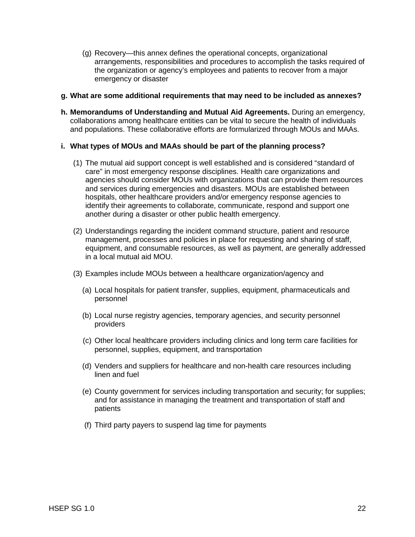(g) Recovery—this annex defines the operational concepts, organizational arrangements, responsibilities and procedures to accomplish the tasks required of the organization or agency's employees and patients to recover from a major emergency or disaster

#### **g. What are some additional requirements that may need to be included as annexes?**

**h. Memorandums of Understanding and Mutual Aid Agreements.** During an emergency, collaborations among healthcare entities can be vital to secure the health of individuals and populations. These collaborative efforts are formularized through MOUs and MAAs.

# **i. What types of MOUs and MAAs should be part of the planning process?**

- (1) The mutual aid support concept is well established and is considered "standard of care" in most emergency response disciplines. Health care organizations and agencies should consider MOUs with organizations that can provide them resources and services during emergencies and disasters. MOUs are established between hospitals, other healthcare providers and/or emergency response agencies to identify their agreements to collaborate, communicate, respond and support one another during a disaster or other public health emergency.
- (2) Understandings regarding the incident command structure, patient and resource management, processes and policies in place for requesting and sharing of staff, equipment, and consumable resources, as well as payment, are generally addressed in a local mutual aid MOU.
- (3) Examples include MOUs between a healthcare organization/agency and
	- (a) Local hospitals for patient transfer, supplies, equipment, pharmaceuticals and personnel
	- (b) Local nurse registry agencies, temporary agencies, and security personnel providers
	- (c) Other local healthcare providers including clinics and long term care facilities for personnel, supplies, equipment, and transportation
	- (d) Venders and suppliers for healthcare and non-health care resources including linen and fuel
	- (e) County government for services including transportation and security; for supplies; and for assistance in managing the treatment and transportation of staff and patients
	- (f) Third party payers to suspend lag time for payments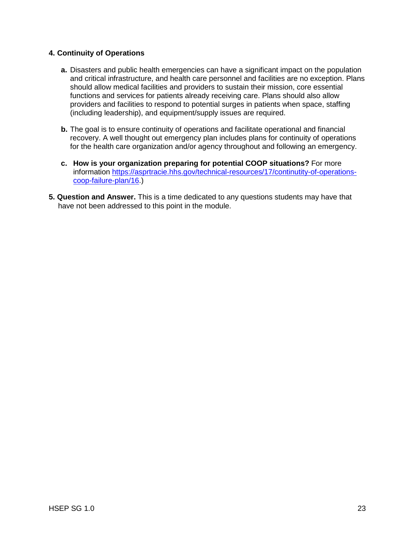# **4. Continuity of Operations**

- **a.** Disasters and public health emergencies can have a significant impact on the population and critical infrastructure, and health care personnel and facilities are no exception. Plans should allow medical facilities and providers to sustain their mission, core essential functions and services for patients already receiving care. Plans should also allow providers and facilities to respond to potential surges in patients when space, staffing (including leadership), and equipment/supply issues are required.
- **b.** The goal is to ensure continuity of operations and facilitate operational and financial recovery. A well thought out emergency plan includes plans for continuity of operations for the health care organization and/or agency throughout and following an emergency.
- **c. How is your organization preparing for potential COOP situations?** For more information [https://asprtracie.hhs.gov/technical-resources/17/continutity-of-operations](https://asprtracie.hhs.gov/technical-resources/17/continutity-of-operations-coop-failure-plan/16)[coop-failure-plan/16.](https://asprtracie.hhs.gov/technical-resources/17/continutity-of-operations-coop-failure-plan/16))
- **5. Question and Answer.** This is a time dedicated to any questions students may have that have not been addressed to this point in the module.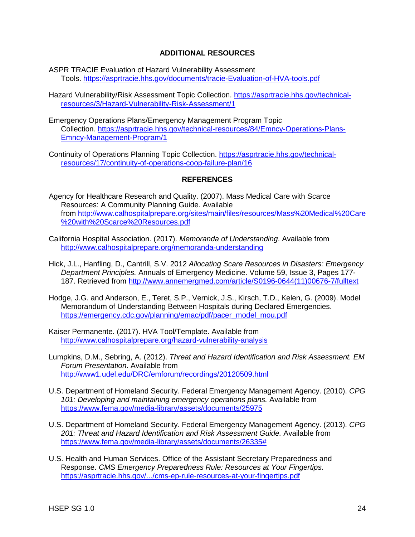## **ADDITIONAL RESOURCES**

- ASPR TRACIE Evaluation of Hazard Vulnerability Assessment Tools.<https://asprtracie.hhs.gov/documents/tracie-Evaluation-of-HVA-tools.pdf>
- Hazard Vulnerability/Risk Assessment Topic Collection. [https://asprtracie.hhs.gov/technical](https://asprtracie.hhs.gov/technical-resources/3/Hazard-Vulnerability-Risk-Assessment/1)[resources/3/Hazard-Vulnerability-Risk-Assessment/1](https://asprtracie.hhs.gov/technical-resources/3/Hazard-Vulnerability-Risk-Assessment/1)
- Emergency Operations Plans/Emergency Management Program Topic Collection. [https://asprtracie.hhs.gov/technical-resources/84/Emncy-Operations-Plans-](https://asprtracie.hhs.gov/technical-resources/84/Emncy-Operations-Plans-Emncy-Management-Program/1)[Emncy-Management-Program/1](https://asprtracie.hhs.gov/technical-resources/84/Emncy-Operations-Plans-Emncy-Management-Program/1)
- Continuity of Operations Planning Topic Collection. [https://asprtracie.hhs.gov/technical](https://asprtracie.hhs.gov/technical-resources/17/continuity-of-operations-coop-failure-plan/16)[resources/17/continuity-of-operations-coop-failure-plan/16](https://asprtracie.hhs.gov/technical-resources/17/continuity-of-operations-coop-failure-plan/16)

## **REFERENCES**

- Agency for Healthcare Research and Quality. (2007). Mass Medical Care with Scarce Resources: A Community Planning Guide. Available from [http://www.calhospitalprepare.org/sites/main/files/resources/Mass%20Medical%20Care](http://www.calhospitalprepare.org/sites/main/files/resources/Mass%20Medical%20Care%20with%20Scarce%20Resources.pdf) [%20with%20Scarce%20Resources.pdf](http://www.calhospitalprepare.org/sites/main/files/resources/Mass%20Medical%20Care%20with%20Scarce%20Resources.pdf)
- California Hospital Association. (2017). *Memoranda of Understanding*. Available from <http://www.calhospitalprepare.org/memoranda-understanding>
- Hick, J.L., Hanfling, D., Cantrill, S.V. 2012 *Allocating Scare Resources in Disasters: Emergency Department Principles.* Annuals of Emergency Medicine. Volume 59, Issue 3, Pages 177- 187. Retrieved from [http://www.annemergmed.com/article/S0196-0644\(11\)00676-7/fulltext](http://www.annemergmed.com/article/S0196-0644(11)00676-7/fulltext)
- Hodge, J.G. and Anderson, E., Teret, S.P., Vernick, J.S., Kirsch, T.D., Kelen, G. (2009). Model Memorandum of Understanding Between Hospitals during Declared Emergencies. [https://emergency.cdc.gov/planning/emac/pdf/pacer\\_model\\_mou.pdf](https://emergency.cdc.gov/planning/emac/pdf/pacer_model_mou.pdf)
- Kaiser Permanente. (2017). HVA Tool/Template. Available from <http://www.calhospitalprepare.org/hazard-vulnerability-analysis>
- Lumpkins, D.M., Sebring, A. (2012). *Threat and Hazard Identification and Risk Assessment. EM Forum Presentation*. Available from <http://www1.udel.edu/DRC/emforum/recordings/20120509.html>
- U.S. Department of Homeland Security. Federal Emergency Management Agency. (2010). *CPG 101: Developing and maintaining emergency operations plans.* Available from <https://www.fema.gov/media-library/assets/documents/25975>
- U.S. Department of Homeland Security. Federal Emergency Management Agency. (2013). *CPG 201: Threat and Hazard Identification and Risk Assessment Guide.* Available from [https://www.fema.gov/media-library/assets/documents/26335#](https://www.fema.gov/media-library/assets/documents/26335)
- U.S. Health and Human Services. Office of the Assistant Secretary Preparedness and Response. *CMS Emergency Preparedness Rule: Resources at Your Fingertips*. <https://asprtracie.hhs.gov/.../cms-ep-rule-resources-at-your-fingertips.pdf>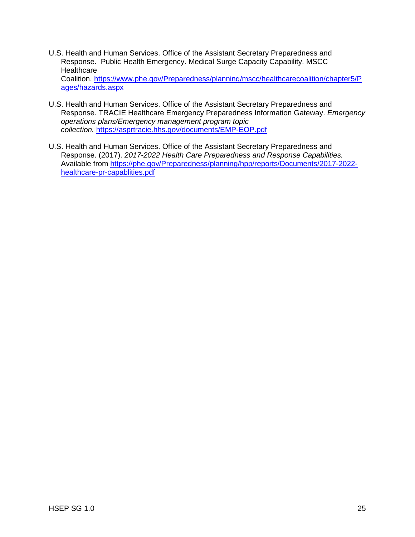- U.S. Health and Human Services. Office of the Assistant Secretary Preparedness and Response. Public Health Emergency. Medical Surge Capacity Capability. MSCC **Healthcare** Coalition. [https://www.phe.gov/Preparedness/planning/mscc/healthcarecoalition/chapter5/P](https://www.phe.gov/Preparedness/planning/mscc/healthcarecoalition/chapter5/Pages/hazards.aspx) [ages/hazards.aspx](https://www.phe.gov/Preparedness/planning/mscc/healthcarecoalition/chapter5/Pages/hazards.aspx)
- U.S. Health and Human Services. Office of the Assistant Secretary Preparedness and Response. TRACIE Healthcare Emergency Preparedness Information Gateway. *Emergency operations plans/Emergency management program topic collection.* <https://asprtracie.hhs.gov/documents/EMP-EOP.pdf>
- U.S. Health and Human Services. Office of the Assistant Secretary Preparedness and Response. (2017). *2017-2022 Health Care Preparedness and Response Capabilities.*  Available from [https://phe.gov/Preparedness/planning/hpp/reports/Documents/2017-2022](https://phe.gov/Preparedness/planning/hpp/reports/Documents/2017-2022-healthcare-pr-capablities.pdf) [healthcare-pr-capablities.pdf](https://phe.gov/Preparedness/planning/hpp/reports/Documents/2017-2022-healthcare-pr-capablities.pdf)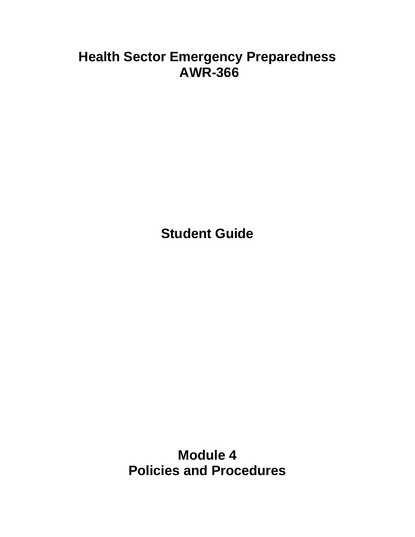# **Health Sector Emergency Preparedness AWR-366**

**Student Guide**

**Module 4 Policies and Procedures**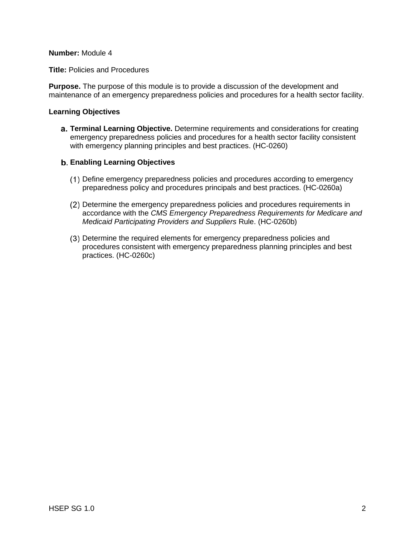#### **Number:** Module 4

**Title:** Policies and Procedures

**Purpose.** The purpose of this module is to provide a discussion of the development and maintenance of an emergency preparedness policies and procedures for a health sector facility.

## **Learning Objectives**

**Terminal Learning Objective.** Determine requirements and considerations for creating emergency preparedness policies and procedures for a health sector facility consistent with emergency planning principles and best practices. (HC-0260)

## **Enabling Learning Objectives**

- Define emergency preparedness policies and procedures according to emergency preparedness policy and procedures principals and best practices. (HC-0260a)
- Determine the emergency preparedness policies and procedures requirements in accordance with the *CMS Emergency Preparedness Requirements for Medicare and Medicaid Participating Providers and Suppliers* Rule. (HC-0260b)
- Determine the required elements for emergency preparedness policies and procedures consistent with emergency preparedness planning principles and best practices. (HC-0260c)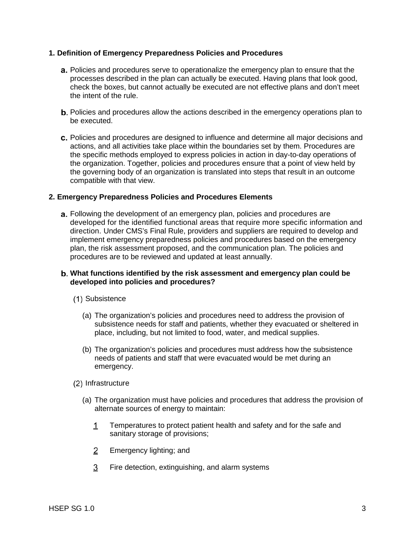### **1. Definition of Emergency Preparedness Policies and Procedures**

- **a.** Policies and procedures serve to operationalize the emergency plan to ensure that the processes described in the plan can actually be executed. Having plans that look good, check the boxes, but cannot actually be executed are not effective plans and don't meet the intent of the rule.
- **b.** Policies and procedures allow the actions described in the emergency operations plan to be executed.
- c. Policies and procedures are designed to influence and determine all major decisions and actions, and all activities take place within the boundaries set by them. Procedures are the specific methods employed to express policies in action in day-to-day operations of the organization. Together, policies and procedures ensure that a point of view held by the governing body of an organization is translated into steps that result in an outcome compatible with that view.

#### **2. Emergency Preparedness Policies and Procedures Elements**

**a.** Following the development of an emergency plan, policies and procedures are developed for the identified functional areas that require more specific information and direction. Under CMS's Final Rule, providers and suppliers are required to develop and implement emergency preparedness policies and procedures based on the emergency plan, the risk assessment proposed, and the communication plan. The policies and procedures are to be reviewed and updated at least annually.

## **What functions identified by the risk assessment and emergency plan could be developed into policies and procedures?**

- (1) Subsistence
	- (a) The organization's policies and procedures need to address the provision of subsistence needs for staff and patients, whether they evacuated or sheltered in place, including, but not limited to food, water, and medical supplies.
	- (b) The organization's policies and procedures must address how the subsistence needs of patients and staff that were evacuated would be met during an emergency.
- (2) Infrastructure
	- (a) The organization must have policies and procedures that address the provision of alternate sources of energy to maintain:
		- Temperatures to protect patient health and safety and for the safe and  $1$ sanitary storage of provisions;
		- $\overline{2}$ Emergency lighting; and
		- 3 Fire detection, extinguishing, and alarm systems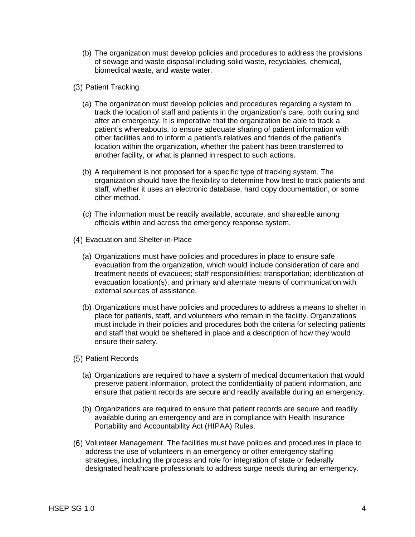- (b) The organization must develop policies and procedures to address the provisions of sewage and waste disposal including solid waste, recyclables, chemical, biomedical waste, and waste water.
- (3) Patient Tracking
	- (a) The organization must develop policies and procedures regarding a system to track the location of staff and patients in the organization's care, both during and after an emergency. It is imperative that the organization be able to track a patient's whereabouts, to ensure adequate sharing of patient information with other facilities and to inform a patient's relatives and friends of the patient's location within the organization, whether the patient has been transferred to another facility, or what is planned in respect to such actions.
	- (b) A requirement is not proposed for a specific type of tracking system. The organization should have the flexibility to determine how best to track patients and staff, whether it uses an electronic database, hard copy documentation, or some other method.
	- (c) The information must be readily available, accurate, and shareable among officials within and across the emergency response system.
- Evacuation and Shelter-in-Place
	- (a) Organizations must have policies and procedures in place to ensure safe evacuation from the organization, which would include consideration of care and treatment needs of evacuees; staff responsibilities; transportation; identification of evacuation location(s); and primary and alternate means of communication with external sources of assistance.
	- (b) Organizations must have policies and procedures to address a means to shelter in place for patients, staff, and volunteers who remain in the facility. Organizations must include in their policies and procedures both the criteria for selecting patients and staff that would be sheltered in place and a description of how they would ensure their safety.
- (5) Patient Records
	- ( a) Organizations are required to have a system of medical documentation that would preserve patient information, protect the confidentiality of patient information, and ensure that patient records are secure and readily available during an emergency.
	- ( b) Organizations are required to ensure that patient records are secure and readily available during an emergency and are in compliance with Health Insurance Portability and Accountability Act (HIPAA) Rules.
- Volunteer Management. The facilities must have policies and procedures in place to address the use of volunteers in an emergency or other emergency staffing strategies, including the process and role for integration of state or federally designated healthcare professionals to address surge needs during an emergency.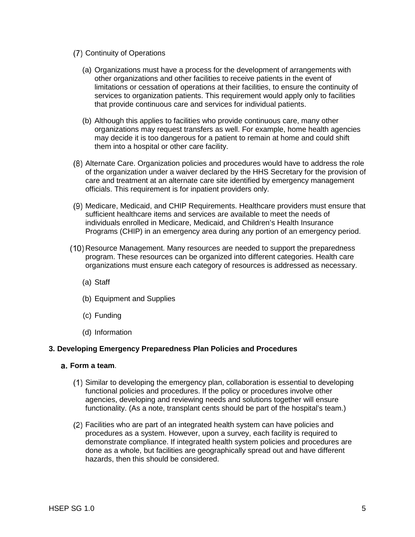- (7) Continuity of Operations
	- ( a) Organizations must have a process for the development of arrangements with other organizations and other facilities to receive patients in the event of limitations or cessation of operations at their facilities, to ensure the continuity of services to organization patients. This requirement would apply only to facilities that provide continuous care and services for individual patients.
	- ( b) Although this applies to facilities who provide continuous care, many other organizations may request transfers as well. For example, home health agencies may decide it is too dangerous for a patient to remain at home and could shift them into a hospital or other care facility.
- Alternate Care. Organization policies and procedures would have to address the role of the organization under a waiver declared by the HHS Secretary for the provision of care and treatment at an alternate care site identified by emergency management officials. This requirement is for inpatient providers only.
- Medicare, Medicaid, and CHIP Requirements. Healthcare providers must ensure that sufficient healthcare items and services are available to meet the needs of individuals enrolled in Medicare, Medicaid, and Children's Health Insurance Programs (CHIP) in an emergency area during any portion of an emergency period.
- (10) Resource Management. Many resources are needed to support the preparedness program. These resources can be organized into different categories. Health care organizations must ensure each category of resources is addressed as necessary.
	- ( a) Staff
	- (b) Equipment and Supplies
	- (c) Funding
	- (d) Information

#### **3. Developing Emergency Preparedness Plan Policies and Procedures**

- **Form a team**.
	- Similar to developing the emergency plan, collaboration is essential to developing functional policies and procedures. If the policy or procedures involve other agencies, developing and reviewing needs and solutions together will ensure functionality. (As a note, transplant cents should be part of the hospital's team.)
	- Facilities who are part of an integrated health system can have policies and procedures as a system. However, upon a survey, each facility is required to demonstrate compliance. If integrated health system policies and procedures are done as a whole, but facilities are geographically spread out and have different hazards, then this should be considered.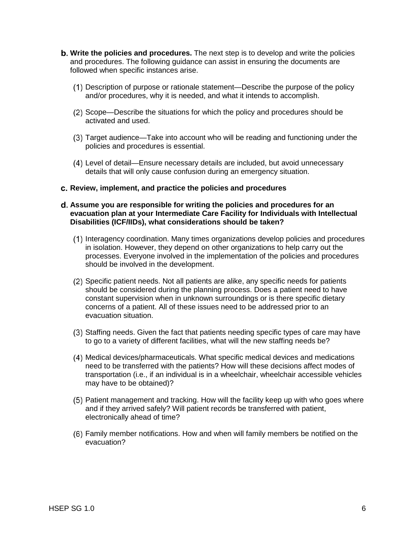- **Write the policies and procedures.** The next step is to develop and write the policies and procedures. The following guidance can assist in ensuring the documents are followed when specific instances arise.
	- Description of purpose or rationale statement—Describe the purpose of the policy and/or procedures, why it is needed, and what it intends to accomplish.
	- (2) Scope—Describe the situations for which the policy and procedures should be activated and used.
	- Target audience—Take into account who will be reading and functioning under the policies and procedures is essential.
	- Level of detail—Ensure necessary details are included, but avoid unnecessary details that will only cause confusion during an emergency situation.
- **Review, implement, and practice the policies and procedures**

#### **Assume you are responsible for writing the policies and procedures for an evacuation plan at your Intermediate Care Facility for Individuals with Intellectual Disabilities (ICF/IIDs), what considerations should be taken?**

- Interagency coordination. Many times organizations develop policies and procedures in isolation. However, they depend on other organizations to help carry out the processes. Everyone involved in the implementation of the policies and procedures should be involved in the development.
- Specific patient needs. Not all patients are alike, any specific needs for patients should be considered during the planning process. Does a patient need to have constant supervision when in unknown surroundings or is there specific dietary concerns of a patient. All of these issues need to be addressed prior to an evacuation situation.
- (3) Staffing needs. Given the fact that patients needing specific types of care may have to go to a variety of different facilities, what will the new staffing needs be?
- Medical devices/pharmaceuticals. What specific medical devices and medications need to be transferred with the patients? How will these decisions affect modes of transportation (i.e., if an individual is in a wheelchair, wheelchair accessible vehicles may have to be obtained)?
- Patient management and tracking. How will the facility keep up with who goes where and if they arrived safely? Will patient records be transferred with patient, electronically ahead of time?
- Family member notifications. How and when will family members be notified on the evacuation?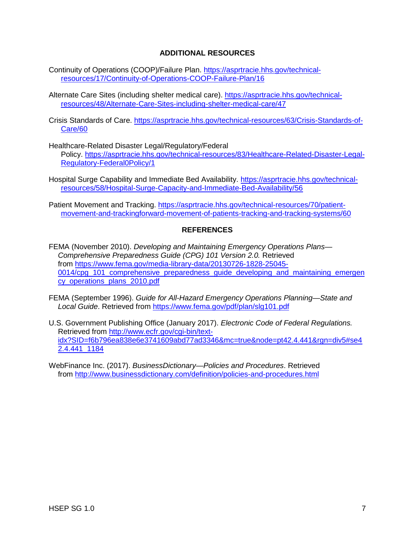## **ADDITIONAL RESOURCES**

- Continuity of Operations (COOP)/Failure Plan. [https://asprtracie.hhs.gov/technical](https://asprtracie.hhs.gov/technical-resources/17/Continuity-of-Operations-COOP-Failure-Plan/16)[resources/17/Continuity-of-Operations-COOP-Failure-Plan/16](https://asprtracie.hhs.gov/technical-resources/17/Continuity-of-Operations-COOP-Failure-Plan/16)
- Alternate Care Sites (including shelter medical care). [https://asprtracie.hhs.gov/technical](https://asprtracie.hhs.gov/technical-resources/48/Alternate-Care-Sites-including-shelter-medical-care/47)[resources/48/Alternate-Care-Sites-including-shelter-medical-care/47](https://asprtracie.hhs.gov/technical-resources/48/Alternate-Care-Sites-including-shelter-medical-care/47)
- Crisis Standards of Care. [https://asprtracie.hhs.gov/technical-resources/63/Crisis-Standards-of-](https://asprtracie.hhs.gov/technical-resources/63/Crisis-Standards-of-Care/60)[Care/60](https://asprtracie.hhs.gov/technical-resources/63/Crisis-Standards-of-Care/60)
- Healthcare-Related Disaster Legal/Regulatory/Federal Policy. [https://asprtracie.hhs.gov/technical-resources/83/Healthcare-Related-Disaster-Legal-](https://asprtracie.hhs.gov/technical-resources/83/Healthcare-Related-Disaster-Legal-Regulatory-Federal0Policy/1)[Regulatory-Federal0Policy/1](https://asprtracie.hhs.gov/technical-resources/83/Healthcare-Related-Disaster-Legal-Regulatory-Federal0Policy/1)
- Hospital Surge Capability and Immediate Bed Availability. [https://asprtracie.hhs.gov/technical](https://asprtracie.hhs.gov/technical-resources/58/Hospital-Surge-Capacity-and-Immediate-Bed-Availability/56)[resources/58/Hospital-Surge-Capacity-and-Immediate-Bed-Availability/56](https://asprtracie.hhs.gov/technical-resources/58/Hospital-Surge-Capacity-and-Immediate-Bed-Availability/56)
- Patient Movement and Tracking. [https://asprtracie.hhs.gov/technical-resources/70/patient](https://asprtracie.hhs.gov/technical-resources/70/patient-movement-and-trackingforward-movement-of-patients-tracking-and-tracking-systems/60)[movement-and-trackingforward-movement-of-patients-tracking-and-tracking-systems/60](https://asprtracie.hhs.gov/technical-resources/70/patient-movement-and-trackingforward-movement-of-patients-tracking-and-tracking-systems/60)

#### **REFERENCES**

- FEMA (November 2010). *Developing and Maintaining Emergency Operations Plans— Comprehensive Preparedness Guide (CPG) 101 Version 2.0.* Retrieved from [https://www.fema.gov/media-library-data/20130726-1828-25045-](https://www.fema.gov/media-library-data/20130726-1828-25045-0014/cpg_101_comprehensive_preparedness_guide_developing_and_maintaining_emergency_operations_plans_2010.pdf) 0014/cpg 101 comprehensive preparedness quide developing and maintaining emergen [cy\\_operations\\_plans\\_2010.pdf](https://www.fema.gov/media-library-data/20130726-1828-25045-0014/cpg_101_comprehensive_preparedness_guide_developing_and_maintaining_emergency_operations_plans_2010.pdf)
- FEMA (September 1996). *Guide for All-Hazard Emergency Operations Planning—State and Local Guide*. Retrieved from <https://www.fema.gov/pdf/plan/slg101.pdf>
- U.S. Government Publishing Office (January 2017). *Electronic Code of Federal Regulations.* Retrieved from [http://www.ecfr.gov/cgi-bin/text](http://www.ecfr.gov/cgi-bin/text-idx?SID=f6b796ea838e6e3741609abd77ad3346&mc=true&node=pt42.4.441&rgn=div5#se42.4.441_1184)[idx?SID=f6b796ea838e6e3741609abd77ad3346&mc=true&node=pt42.4.441&rgn=div5#se4](http://www.ecfr.gov/cgi-bin/text-idx?SID=f6b796ea838e6e3741609abd77ad3346&mc=true&node=pt42.4.441&rgn=div5#se42.4.441_1184) [2.4.441\\_1184](http://www.ecfr.gov/cgi-bin/text-idx?SID=f6b796ea838e6e3741609abd77ad3346&mc=true&node=pt42.4.441&rgn=div5#se42.4.441_1184)

WebFinance Inc. (2017). *BusinessDictionary—Policies and Procedures*. Retrieved from<http://www.businessdictionary.com/definition/policies-and-procedures.html>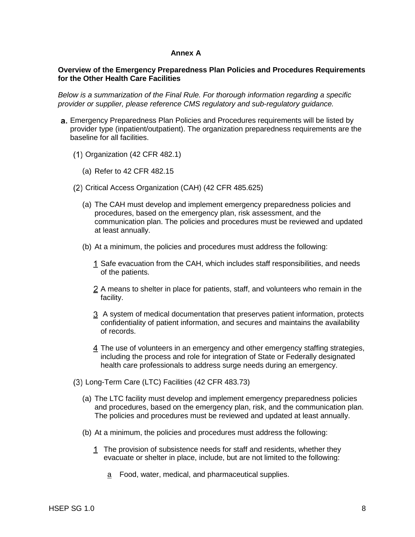### **Annex A**

#### **Overview of the Emergency Preparedness Plan Policies and Procedures Requirements for the Other Health Care Facilities**

*Below is a summarization of the Final Rule. For thorough information regarding a specific provider or supplier, please reference CMS regulatory and sub-regulatory guidance.* 

- a. Emergency Preparedness Plan Policies and Procedures requirements will be listed by provider type (inpatient/outpatient). The organization preparedness requirements are the baseline for all facilities.
	- $(1)$  Organization  $(42$  CFR  $482.1)$ 
		- ( a) Refer to 42 CFR 482.15
	- Critical Access Organization (CAH) (42 CFR 485.625)
		- ( a) The CAH must develop and implement emergency preparedness policies and procedures, based on the emergency plan, risk assessment, and the communication plan. The policies and procedures must be reviewed and updated at least annually.
		- (b) At a minimum, the policies and procedures must address the following:
			- 1 Safe evacuation from the CAH, which includes staff responsibilities, and needs of the patients.
			- f acility. 2 A means to shelter in place for patients, staff, and volunteers who remain in the
			- A system of medical documentation that preserves patient information, protects confidentiality of patient information, and secures and maintains the availability of records.
			- i ncluding the process and role for integration of State or Federally designated The use of volunteers in an emergency and other emergency staffing strategies, health care professionals to address surge needs during an emergency.
	- Long-Term Care (LTC) Facilities (42 CFR 483.73)
		- ( a) The LTC facility must develop and implement emergency preparedness policies and procedures, based on the emergency plan, risk, and the communication plan. The policies and procedures must be reviewed and updated at least annually.
		- (b) At a minimum, the policies and procedures must address the following:
			- The provision of subsistence needs for staff and residents, whether they evacuate or shelter in place, include, but are not limited to the following:
				- a Food, water, medical, and pharmaceutical supplies.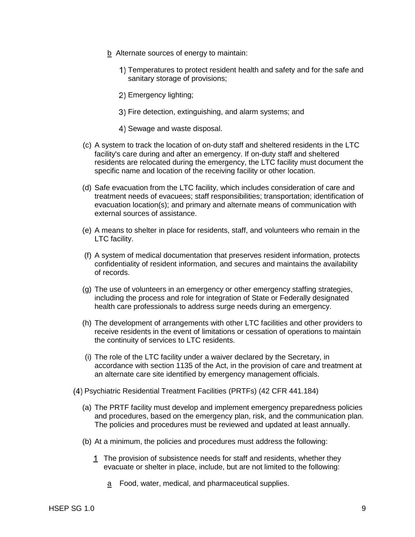- b Alternate sources of energy to maintain:
	- 1) Temperatures to protect resident health and safety and for the safe and sanitary storage of provisions;
	- 2) Emergency lighting;
	- Fire detection, extinguishing, and alarm systems; and
	- 4) Sewage and waste disposal.
- (c) A system to track the location of on-duty staff and sheltered residents in the LTC facility's care during and after an emergency. If on-duty staff and sheltered residents are relocated during the emergency, the LTC facility must document the specific name and location of the receiving facility or other location.
- (d) Safe evacuation from the LTC facility, which includes consideration of care and treatment needs of evacuees; staff responsibilities; transportation; identification of evacuation location(s); and primary and alternate means of communication with external sources of assistance.
- (e) A means to shelter in place for residents, staff, and volunteers who remain in the LTC facility.
- (f) A system of medical documentation that preserves resident information, protects confidentiality of resident information, and secures and maintains the availability of records.
- (g) The use of volunteers in an emergency or other emergency staffing strategies, including the process and role for integration of State or Federally designated health care professionals to address surge needs during an emergency.
- (h) The development of arrangements with other LTC facilities and other providers to receive residents in the event of limitations or cessation of operations to maintain the continuity of services to LTC residents.
- (i) The role of the LTC facility under a waiver declared by the Secretary, in accordance with section 1135 of the Act, in the provision of care and treatment at an alternate care site identified by emergency management officials.
- Psychiatric Residential Treatment Facilities (PRTFs) (42 CFR 441.184)
	- (a) The PRTF facility must develop and implement emergency preparedness policies and procedures, based on the emergency plan, risk, and the communication plan. The policies and procedures must be reviewed and updated at least annually.
	- (b) At a minimum, the policies and procedures must address the following:
		- 1 The provision of subsistence needs for staff and residents, whether they evacuate or shelter in place, include, but are not limited to the following:
			- a Food, water, medical, and pharmaceutical supplies.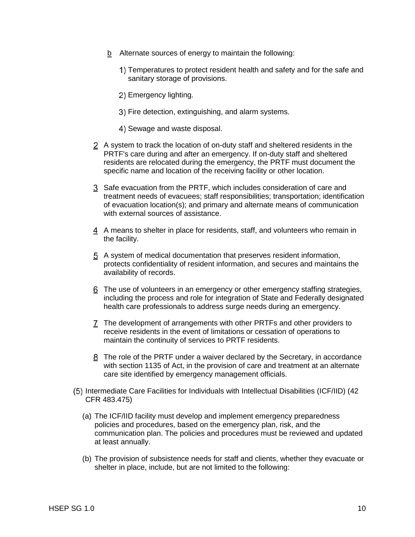- b Alternate sources of energy to maintain the following:
	- 1) Temperatures to protect resident health and safety and for the safe and sanitary storage of provisions.
	- 2) Emergency lighting.
	- 3) Fire detection, extinguishing, and alarm systems.
	- 4) Sewage and waste disposal.
- 2 A system to track the location of on-duty staff and sheltered residents in the PRTF's care during and after an emergency. If on-duty staff and sheltered residents are relocated during the emergency, the PRTF must document the specific name and location of the receiving facility or other location.
- 3 Safe evacuation from the PRTF, which includes consideration of care and treatment needs of evacuees; staff responsibilities; transportation; identification of evacuation location(s); and primary and alternate means of communication with external sources of assistance.
- A means to shelter in place for residents, staff, and volunteers who remain in the facility.
- A system of medical documentation that preserves resident information, protects confidentiality of resident information, and secures and maintains the availability of records.
- The use of volunteers in an emergency or other emergency staffing strategies, including the process and role for integration of State and Federally designated health care professionals to address surge needs during an emergency.
- The development of arrangements with other PRTFs and other providers to receive residents in the event of limitations or cessation of operations to maintain the continuity of services to PRTF residents.
- The role of the PRTF under a waiver declared by the Secretary, in accordance with section 1135 of Act, in the provision of care and treatment at an alternate care site identified by emergency management officials.
- (5) Intermediate Care Facilities for Individuals with Intellectual Disabilities (ICF/IID) (42 CFR 483.475)
	- (a) The ICF/IID facility must develop and implement emergency preparedness policies and procedures, based on the emergency plan, risk, and the communication plan. The policies and procedures must be reviewed and updated at least annually.
	- (b) The provision of subsistence needs for staff and clients, whether they evacuate or shelter in place, include, but are not limited to the following: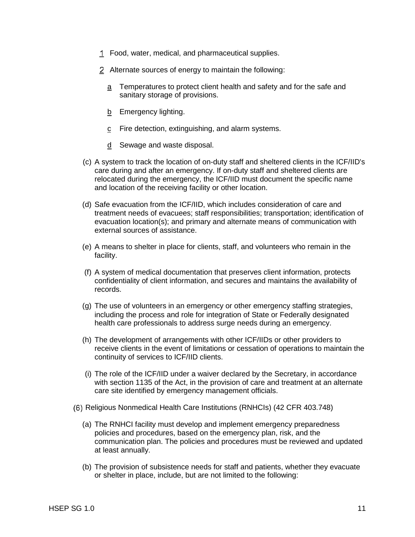- Food, water, medical, and pharmaceutical supplies.
- Alternate sources of energy to maintain the following:
	- a Temperatures to protect client health and safety and for the safe and sanitary storage of provisions.
	- b Emergency lighting.
	- c Fire detection, extinguishing, and alarm systems.
	- d Sewage and waste disposal.
- (c) A system to track the location of on-duty staff and sheltered clients in the ICF/IID's care during and after an emergency. If on-duty staff and sheltered clients are relocated during the emergency, the ICF/IID must document the specific name and location of the receiving facility or other location.
- (d) Safe evacuation from the ICF/IID, which includes consideration of care and treatment needs of evacuees; staff responsibilities; transportation; identification of evacuation location(s); and primary and alternate means of communication with external sources of assistance.
- (e) A means to shelter in place for clients, staff, and volunteers who remain in the facility.
- (f) A system of medical documentation that preserves client information, protects confidentiality of client information, and secures and maintains the availability of records.
- (g) The use of volunteers in an emergency or other emergency staffing strategies, including the process and role for integration of State or Federally designated health care professionals to address surge needs during an emergency.
- (h) The development of arrangements with other ICF/IIDs or other providers to receive clients in the event of limitations or cessation of operations to maintain the continuity of services to ICF/IID clients.
- (i) The role of the ICF/IID under a waiver declared by the Secretary, in accordance with section 1135 of the Act, in the provision of care and treatment at an alternate care site identified by emergency management officials.
- Religious Nonmedical Health Care Institutions (RNHCIs) (42 CFR 403.748)
	- (a) The RNHCI facility must develop and implement emergency preparedness policies and procedures, based on the emergency plan, risk, and the communication plan. The policies and procedures must be reviewed and updated at least annually.
	- (b) The provision of subsistence needs for staff and patients, whether they evacuate or shelter in place, include, but are not limited to the following: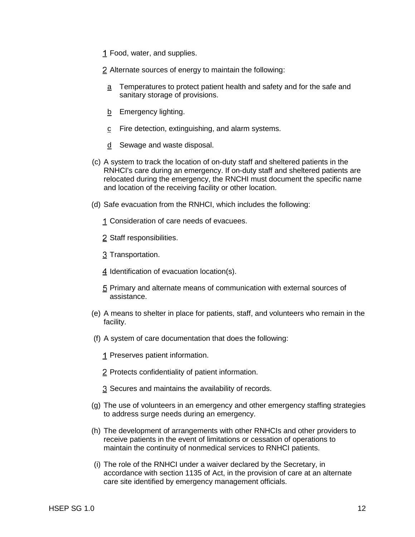1 Food, water, and supplies.

Alternate sources of energy to maintain the following:

- a Temperatures to protect patient health and safety and for the safe and sanitary storage of provisions.
- b Emergency lighting.
- c Fire detection, extinguishing, and alarm systems.
- d Sewage and waste disposal.
- (c) A system to track the location of on-duty staff and sheltered patients in the RNHCI's care during an emergency. If on-duty staff and sheltered patients are relocated during the emergency, the RNCHI must document the specific name and location of the receiving facility or other location.
- (d) Safe evacuation from the RNHCI, which includes the following:
	- Consideration of care needs of evacuees.
	- 2 Staff responsibilities.
	- 3 Transportation.
	- I dentification of evacuation location(s).
	- Primary and alternate means of communication with external sources of assistance.
- (e) A means to shelter in place for patients, staff, and volunteers who remain in the facility.
- (f) A system of care documentation that does the following:
	- 1 Preserves patient information.
	- 2 Protects confidentiality of patient information.
	- Secures and maintains the availability of records.
- (g) The use of volunteers in an emergency and other emergency staffing strategies to address surge needs during an emergency.
- (h) The development of arrangements with other RNHCIs and other providers to receive patients in the event of limitations or cessation of operations to maintain the continuity of nonmedical services to RNHCI patients.
- (i) The role of the RNHCI under a waiver declared by the Secretary, in accordance with section 1135 of Act, in the provision of care at an alternate care site identified by emergency management officials.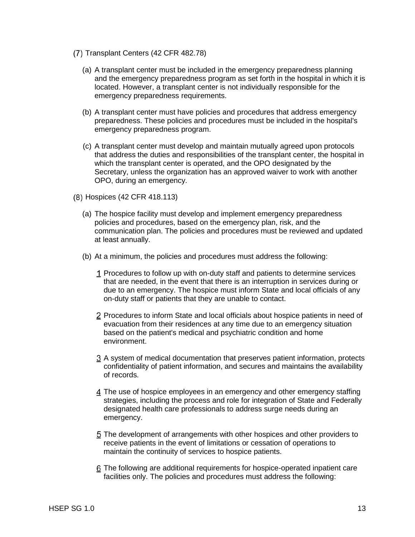- (7) Transplant Centers (42 CFR 482.78)
	- ( a) A transplant center must be included in the emergency preparedness planning and the emergency preparedness program as set forth in the hospital in which it is located. However, a transplant center is not individually responsible for the emergency preparedness requirements.
	- (b) A transplant center must have policies and procedures that address emergency preparedness. These policies and procedures must be included in the hospital's emergency preparedness program.
	- (c) A transplant center must develop and maintain mutually agreed upon protocols that address the duties and responsibilities of the transplant center, the hospital in which the transplant center is operated, and the OPO designated by the Secretary, unless the organization has an approved waiver to work with another OPO, during an emergency.
- Hospices (42 CFR 418.113)
	- (a) The hospice facility must develop and implement emergency preparedness policies and procedures, based on the emergency plan, risk, and the communication plan. The policies and procedures must be reviewed and updated at least annually.
	- (b) At a minimum, the policies and procedures must address the following:
		- Procedures to follow up with on-duty staff and patients to determine services that are needed, in the event that there is an interruption in services during or due to an emergency. The hospice must inform State and local officials of any on-duty staff or patients that they are unable to contact.
		- 2 Procedures to inform State and local officials about hospice patients in need of evacuation from their residences at any time due to an emergency situation based on the patient's medical and psychiatric condition and home environment.
		- A system of medical documentation that preserves patient information, protects confidentiality of patient information, and secures and maintains the availability of records.
		- 4 The use of hospice employees in an emergency and other emergency staffing strategies, including the process and role for integration of State and Federally designated health care professionals to address surge needs during an emergency.
		- The development of arrangements with other hospices and other providers to receive patients in the event of limitations or cessation of operations to maintain the continuity of services to hospice patients.
		- The following are additional requirements for hospice-operated inpatient care facilities only. The policies and procedures must address the following: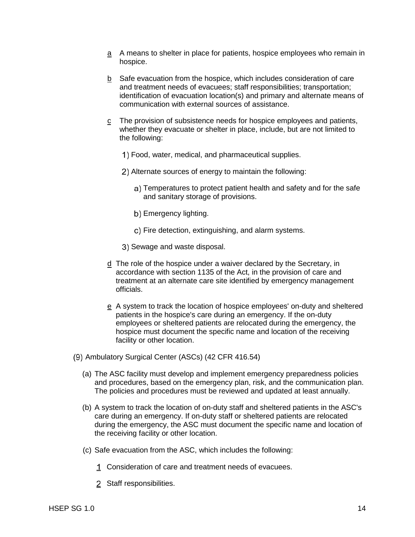- $\overline{a}$  A means to shelter in place for patients, hospice employees who remain in hospice.
- b Safe evacuation from the hospice, which includes consideration of care and treatment needs of evacuees; staff responsibilities; transportation; identification of evacuation location(s) and primary and alternate means of communication with external sources of assistance.
- $\frac{c}{c}$  The provision of subsistence needs for hospice employees and patients, whether they evacuate or shelter in place, include, but are not limited to the following:
	- Food, water, medical, and pharmaceutical supplies.
	- Alternate sources of energy to maintain the following:
		- Temperatures to protect patient health and safety and for the safe and sanitary storage of provisions.
		- b) Emergency lighting.
		- c) Fire detection, extinguishing, and alarm systems.
	- 3) Sewage and waste disposal.
- d The role of the hospice under a waiver declared by the Secretary, in accordance with section 1135 of the Act, in the provision of care and treatment at an alternate care site identified by emergency management officials.
- e A system to track the location of hospice employees' on-duty and sheltered patients in the hospice's care during an emergency. If the on-duty employees or sheltered patients are relocated during the emergency, the hospice must document the specific name and location of the receiving facility or other location.
- (9) Ambulatory Surgical Center (ASCs) (42 CFR 416.54)
	- (a) The ASC facility must develop and implement emergency preparedness policies and procedures, based on the emergency plan, risk, and the communication plan. The policies and procedures must be reviewed and updated at least annually.
	- (b) A system to track the location of on-duty staff and sheltered patients in the ASC's care during an emergency. If on-duty staff or sheltered patients are relocated during the emergency, the ASC must document the specific name and location of the receiving facility or other location.
	- (c) Safe evacuation from the ASC, which includes the following:
		- Consideration of care and treatment needs of evacuees.
		- 2 Staff responsibilities.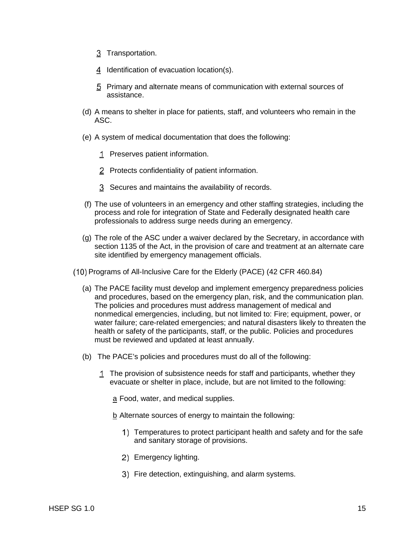- 3 Transportation.
- 4 Identification of evacuation location(s).
- Primary and alternate means of communication with external sources of assistance.
- (d) A means to shelter in place for patients, staff, and volunteers who remain in the ASC.
- (e) A system of medical documentation that does the following:
	- 1 Preserves patient information.
	- 2 Protects confidentiality of patient information.
	- Secures and maintains the availability of records.
- (f) The use of volunteers in an emergency and other staffing strategies, including the process and role for integration of State and Federally designated health care professionals to address surge needs during an emergency.
- (g) The role of the ASC under a waiver declared by the Secretary, in accordance with section 1135 of the Act, in the provision of care and treatment at an alternate care site identified by emergency management officials.
- (10) Programs of All-Inclusive Care for the Elderly (PACE) (42 CFR 460.84)
	- (a) The PACE facility must develop and implement emergency preparedness policies and procedures, based on the emergency plan, risk, and the communication plan. The policies and procedures must address management of medical and nonmedical emergencies, including, but not limited to: Fire; equipment, power, or water failure; care-related emergencies; and natural disasters likely to threaten the health or safety of the participants, staff, or the public. Policies and procedures must be reviewed and updated at least annually.
	- (b) The PACE's policies and procedures must do all of the following:
		- The provision of subsistence needs for staff and participants, whether they evacuate or shelter in place, include, but are not limited to the following:
			- a Food, water, and medical supplies.
			- b Alternate sources of energy to maintain the following:
				- 1) Temperatures to protect participant health and safety and for the safe and sanitary storage of provisions.
				- 2) Emergency lighting.
				- 3) Fire detection, extinguishing, and alarm systems.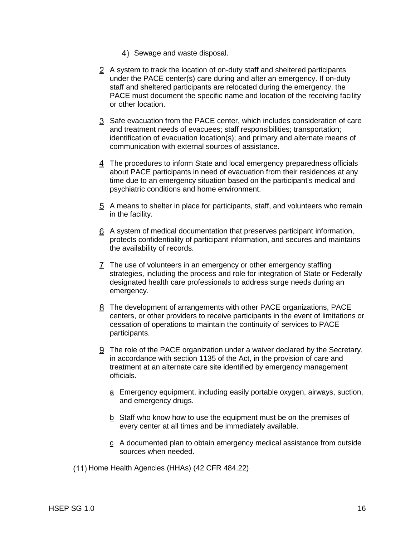- 4) Sewage and waste disposal.
- A system to track the location of on-duty staff and sheltered participants under the PACE center(s) care during and after an emergency. If on-duty staff and sheltered participants are relocated during the emergency, the PACE must document the specific name and location of the receiving facility or other location.
- Safe evacuation from the PACE center, which includes consideration of care and treatment needs of evacuees; staff responsibilities; transportation; identification of evacuation location(s); and primary and alternate means of communication with external sources of assistance.
- The procedures to inform State and local emergency preparedness officials about PACE participants in need of evacuation from their residences at any time due to an emergency situation based on the participant's medical and psychiatric conditions and home environment.
- A means to shelter in place for participants, staff, and volunteers who remain in the facility.
- A system of medical documentation that preserves participant information, protects confidentiality of participant information, and secures and maintains the availability of records.
- The use of volunteers in an emergency or other emergency staffing strategies, including the process and role for integration of State or Federally designated health care professionals to address surge needs during an emergency.
- The development of arrangements with other PACE organizations, PACE centers, or other providers to receive participants in the event of limitations or cessation of operations to maintain the continuity of services to PACE participants.
- The role of the PACE organization under a waiver declared by the Secretary, in accordance with section 1135 of the Act, in the provision of care and treatment at an alternate care site identified by emergency management officials.
	- a Emergency equipment, including easily portable oxygen, airways, suction, and emergency drugs.
	- $b$  Staff who know how to use the equipment must be on the premises of every center at all times and be immediately available.
	- $c$  A documented plan to obtain emergency medical assistance from outside sources when needed.

(11) Home Health Agencies (HHAs) (42 CFR 484.22)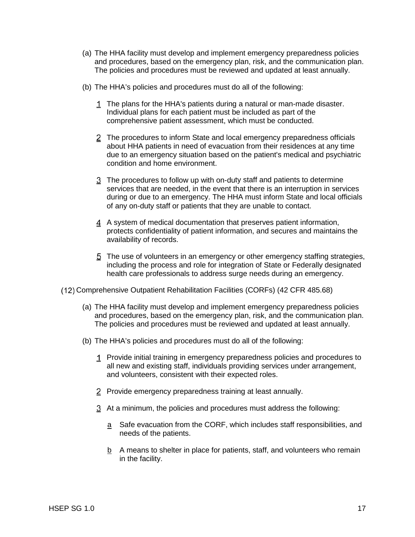- (a) The HHA facility must develop and implement emergency preparedness policies and procedures, based on the emergency plan, risk, and the communication plan. The policies and procedures must be reviewed and updated at least annually.
- (b) The HHA's policies and procedures must do all of the following:
	- 1 The plans for the HHA's patients during a natural or man-made disaster. Individual plans for each patient must be included as part of the comprehensive patient assessment, which must be conducted.
	- 2 The procedures to inform State and local emergency preparedness officials about HHA patients in need of evacuation from their residences at any time due to an emergency situation based on the patient's medical and psychiatric condition and home environment.
	- The procedures to follow up with on-duty staff and patients to determine services that are needed, in the event that there is an interruption in services during or due to an emergency. The HHA must inform State and local officials of any on-duty staff or patients that they are unable to contact.
	- A system of medical documentation that preserves patient information, protects confidentiality of patient information, and secures and maintains the availability of records.
	- The use of volunteers in an emergency or other emergency staffing strategies, including the process and role for integration of State or Federally designated health care professionals to address surge needs during an emergency.
- Comprehensive Outpatient Rehabilitation Facilities (CORFs) (42 CFR 485.68)
	- (a) The HHA facility must develop and implement emergency preparedness policies and procedures, based on the emergency plan, risk, and the communication plan. The policies and procedures must be reviewed and updated at least annually.
	- (b) The HHA's policies and procedures must do all of the following:
		- 1 Provide initial training in emergency preparedness policies and procedures to all new and existing staff, individuals providing services under arrangement, and volunteers, consistent with their expected roles.
		- 2 Provide emergency preparedness training at least annually.
		- At a minimum, the policies and procedures must address the following:
			- a Safe evacuation from the CORF, which includes staff responsibilities, and needs of the patients.
			- $b$  A means to shelter in place for patients, staff, and volunteers who remain in the facility.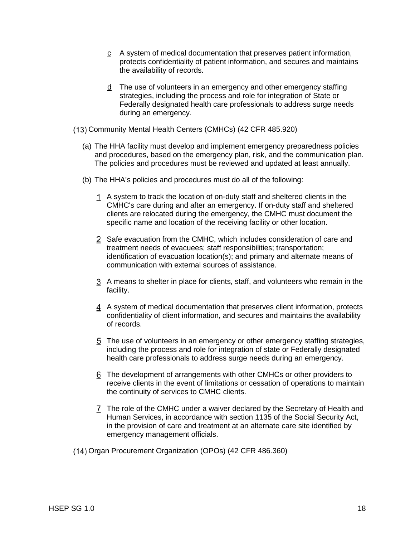- $c$  A system of medical documentation that preserves patient information, protects confidentiality of patient information, and secures and maintains the availability of records.
- $\frac{d}{dx}$  The use of volunteers in an emergency and other emergency staffing strategies, including the process and role for integration of State or Federally designated health care professionals to address surge needs during an emergency.
- Community Mental Health Centers (CMHCs) (42 CFR 485.920)
	- (a) The HHA facility must develop and implement emergency preparedness policies and procedures, based on the emergency plan, risk, and the communication plan. The policies and procedures must be reviewed and updated at least annually.
	- (b) The HHA's policies and procedures must do all of the following:
		- A system to track the location of on-duty staff and sheltered clients in the CMHC's care during and after an emergency. If on-duty staff and sheltered clients are relocated during the emergency, the CMHC must document the specific name and location of the receiving facility or other location.
		- 2 Safe evacuation from the CMHC, which includes consideration of care and treatment needs of evacuees; staff responsibilities; transportation; identification of evacuation location(s); and primary and alternate means of communication with external sources of assistance.
		- A means to shelter in place for clients, staff, and volunteers who remain in the facility.
		- A system of medical documentation that preserves client information, protects confidentiality of client information, and secures and maintains the availability of records.
		- The use of volunteers in an emergency or other emergency staffing strategies, including the process and role for integration of state or Federally designated health care professionals to address surge needs during an emergency.
		- The development of arrangements with other CMHCs or other providers to receive clients in the event of limitations or cessation of operations to maintain the continuity of services to CMHC clients.
		- The role of the CMHC under a waiver declared by the Secretary of Health and Human Services, in accordance with section 1135 of the Social Security Act, in the provision of care and treatment at an alternate care site identified by emergency management officials.
- (14) Organ Procurement Organization (OPOs) (42 CFR 486.360)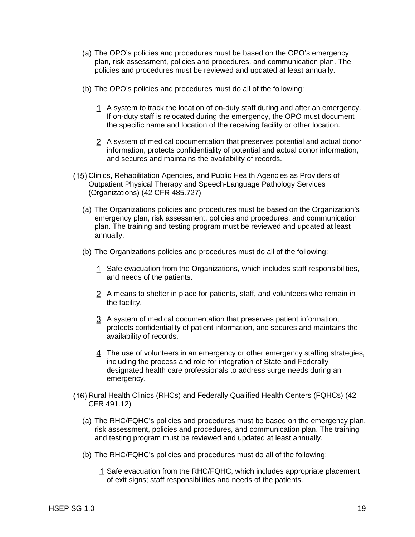- (a) The OPO's policies and procedures must be based on the OPO's emergency plan, risk assessment, policies and procedures, and communication plan. The policies and procedures must be reviewed and updated at least annually.
- (b) The OPO's policies and procedures must do all of the following:
	- A system to track the location of on-duty staff during and after an emergency. If on-duty staff is relocated during the emergency, the OPO must document the specific name and location of the receiving facility or other location.
	- 2 A system of medical documentation that preserves potential and actual donor information, protects confidentiality of potential and actual donor information, and secures and maintains the availability of records.
- (15) Clinics, Rehabilitation Agencies, and Public Health Agencies as Providers of Outpatient Physical Therapy and Speech-Language Pathology Services (Organizations) (42 CFR 485.727)
	- (a) The Organizations policies and procedures must be based on the Organization's emergency plan, risk assessment, policies and procedures, and communication plan. The training and testing program must be reviewed and updated at least annually.
	- (b) The Organizations policies and procedures must do all of the following:
		- 1 Safe evacuation from the Organizations, which includes staff responsibilities, and needs of the patients.
		- 2 A means to shelter in place for patients, staff, and volunteers who remain in the facility.
		- A system of medical documentation that preserves patient information, protects confidentiality of patient information, and secures and maintains the availability of records.
		- The use of volunteers in an emergency or other emergency staffing strategies, including the process and role for integration of State and Federally designated health care professionals to address surge needs during an emergency.
- (16) Rural Health Clinics (RHCs) and Federally Qualified Health Centers (FQHCs) (42 CFR 491.12)
	- (a) The RHC/FQHC's policies and procedures must be based on the emergency plan, risk assessment, policies and procedures, and communication plan. The training and testing program must be reviewed and updated at least annually.
	- (b) The RHC/FQHC's policies and procedures must do all of the following:
		- 1 Safe evacuation from the RHC/FQHC, which includes appropriate placement of exit signs; staff responsibilities and needs of the patients.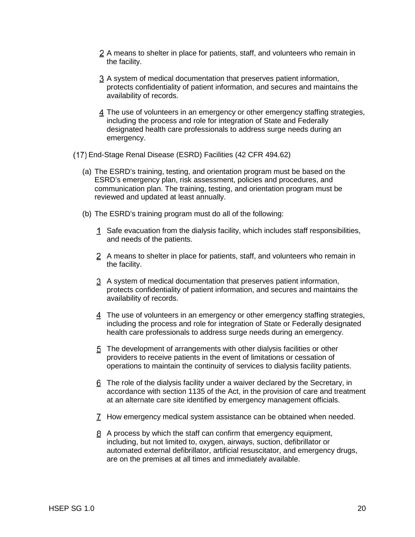- 2 A means to shelter in place for patients, staff, and volunteers who remain in the facility.
- A system of medical documentation that preserves patient information, protects confidentiality of patient information, and secures and maintains the availability of records.
- The use of volunteers in an emergency or other emergency staffing strategies, including the process and role for integration of State and Federally designated health care professionals to address surge needs during an emergency.
- End-Stage Renal Disease (ESRD) Facilities (42 CFR 494.62)
	- (a) The ESRD's training, testing, and orientation program must be based on the ESRD's emergency plan, risk assessment, policies and procedures, and communication plan. The training, testing, and orientation program must be reviewed and updated at least annually.
	- (b) The ESRD's training program must do all of the following:
		- 1 Safe evacuation from the dialysis facility, which includes staff responsibilities, and needs of the patients.
		- A means to shelter in place for patients, staff, and volunteers who remain in the facility.
		- A system of medical documentation that preserves patient information, protects confidentiality of patient information, and secures and maintains the availability of records.
		- 4 The use of volunteers in an emergency or other emergency staffing strategies, including the process and role for integration of State or Federally designated health care professionals to address surge needs during an emergency.
		- The development of arrangements with other dialysis facilities or other providers to receive patients in the event of limitations or cessation of operations to maintain the continuity of services to dialysis facility patients.
		- The role of the dialysis facility under a waiver declared by the Secretary, in accordance with section 1135 of the Act, in the provision of care and treatment at an alternate care site identified by emergency management officials.
		- How emergency medical system assistance can be obtained when needed.
		- A process by which the staff can confirm that emergency equipment, including, but not limited to, oxygen, airways, suction, defibrillator or automated external defibrillator, artificial resuscitator, and emergency drugs, are on the premises at all times and immediately available.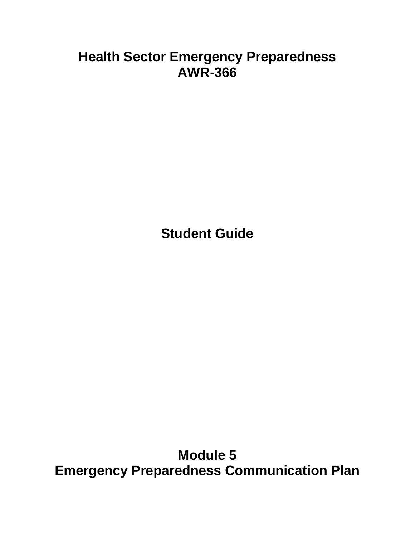# **Health Sector Emergency Preparedness AWR-366**

**Student Guide**

**Module 5 Emergency Preparedness Communication Plan**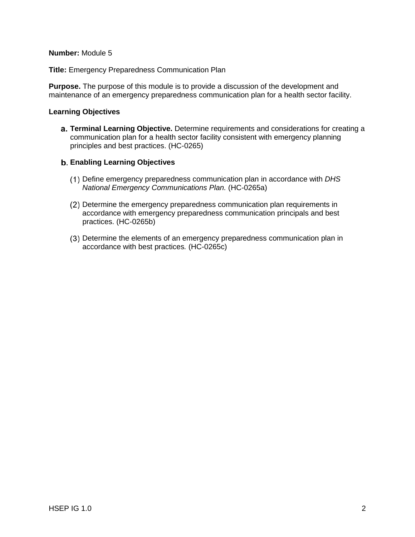### **Number:** Module 5

**Title:** Emergency Preparedness Communication Plan

**Purpose.** The purpose of this module is to provide a discussion of the development and maintenance of an emergency preparedness communication plan for a health sector facility.

## **Learning Objectives**

**Terminal Learning Objective.** Determine requirements and considerations for creating a communication plan for a health sector facility consistent with emergency planning principles and best practices. (HC-0265)

## **Enabling Learning Objectives**

- Define emergency preparedness communication plan in accordance with *DHS National Emergency Communications Plan.* (HC-0265a)
- Determine the emergency preparedness communication plan requirements in accordance with emergency preparedness communication principals and best practices. (HC-0265b)
- Determine the elements of an emergency preparedness communication plan in accordance with best practices*.* (HC-0265c)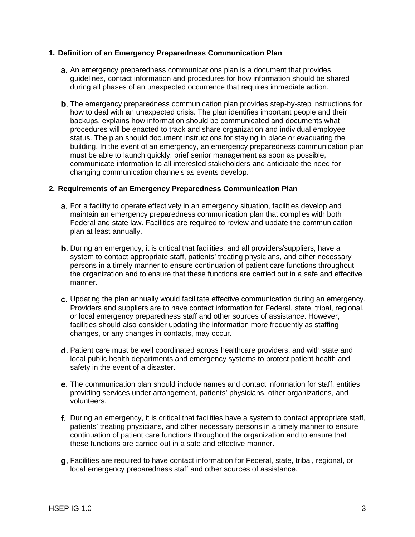## **1. Definition of an Emergency Preparedness Communication Plan**

- **a.** An emergency preparedness communications plan is a document that provides guidelines, contact information and procedures for how information should be shared during all phases of an unexpected occurrence that requires immediate action.
- **b.** The emergency preparedness communication plan provides step-by-step instructions for how to deal with an unexpected crisis. The plan identifies important people and their backups, explains how information should be communicated and documents what procedures will be enacted to track and share organization and individual employee status. The plan should document instructions for staying in place or evacuating the building. In the event of an emergency, an emergency preparedness communication plan must be able to launch quickly, brief senior management as soon as possible, communicate information to all interested stakeholders and anticipate the need for changing communication channels as events develop.

## **2. Requirements of an Emergency Preparedness Communication Plan**

- **a.** For a facility to operate effectively in an emergency situation, facilities develop and maintain an emergency preparedness communication plan that complies with both Federal and state law. Facilities are required to review and update the communication plan at least annually.
- **b.** During an emergency, it is critical that facilities, and all providers/suppliers, have a system to contact appropriate staff, patients' treating physicians, and other necessary persons in a timely manner to ensure continuation of patient care functions throughout the organization and to ensure that these functions are carried out in a safe and effective manner.
- c. Updating the plan annually would facilitate effective communication during an emergency. Providers and suppliers are to have contact information for Federal, state, tribal, regional, or local emergency preparedness staff and other sources of assistance. However, facilities should also consider updating the information more frequently as staffing changes, or any changes in contacts, may occur.
- d. Patient care must be well coordinated across healthcare providers, and with state and local public health departments and emergency systems to protect patient health and safety in the event of a disaster.
- e. The communication plan should include names and contact information for staff, entities providing services under arrangement, patients' physicians, other organizations, and volunteers.
- f. During an emergency, it is critical that facilities have a system to contact appropriate staff, patients' treating physicians, and other necessary persons in a timely manner to ensure continuation of patient care functions throughout the organization and to ensure that these functions are carried out in a safe and effective manner.
- **g.** Facilities are required to have contact information for Federal, state, tribal, regional, or local emergency preparedness staff and other sources of assistance.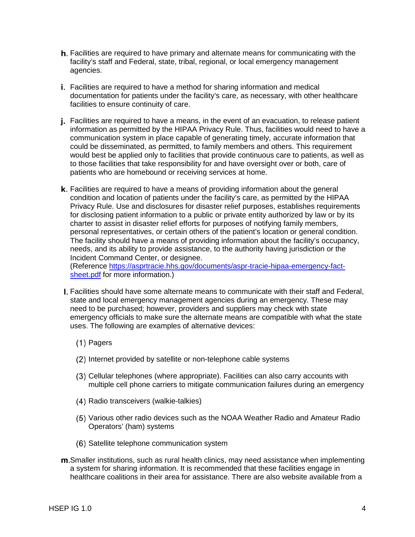- **h.** Facilities are required to have primary and alternate means for communicating with the facility's staff and Federal, state, tribal, regional, or local emergency management agencies.
- **i.** Facilities are required to have a method for sharing information and medical documentation for patients under the facility's care, as necessary, with other healthcare facilities to ensure continuity of care.
- **j.** Facilities are required to have a means, in the event of an evacuation, to release patient information as permitted by the HIPAA Privacy Rule. Thus, facilities would need to have a communication system in place capable of generating timely, accurate information that could be disseminated, as permitted, to family members and others. This requirement would best be applied only to facilities that provide continuous care to patients, as well as to those facilities that take responsibility for and have oversight over or both, care of patients who are homebound or receiving services at home.
- k. Facilities are required to have a means of providing information about the general condition and location of patients under the facility's care, as permitted by the HIPAA Privacy Rule. Use and disclosures for disaster relief purposes, establishes requirements for disclosing patient information to a public or private entity authorized by law or by its charter to assist in disaster relief efforts for purposes of notifying family members, personal representatives, or certain others of the patient's location or general condition. The facility should have a means of providing information about the facility's occupancy, needs, and its ability to provide assistance, to the authority having jurisdiction or the Incident Command Center, or designee.

(Reference [https://asprtracie.hhs.gov/documents/aspr-tracie-hipaa-emergency-fact](https://asprtracie.hhs.gov/documents/aspr-tracie-hipaa-emergency-fact-sheet.pdf)[sheet.pdf](https://asprtracie.hhs.gov/documents/aspr-tracie-hipaa-emergency-fact-sheet.pdf) for more information.)

- Facilities should have some alternate means to communicate with their staff and Federal, state and local emergency management agencies during an emergency. These may need to be purchased; however, providers and suppliers may check with state emergency officials to make sure the alternate means are compatible with what the state uses. The following are examples of alternative devices:
	- (1) Pagers
	- (2) Internet provided by satellite or non-telephone cable systems
	- Cellular telephones (where appropriate). Facilities can also carry accounts with multiple cell phone carriers to mitigate communication failures during an emergency
	- (4) Radio transceivers (walkie-talkies)
	- Various other radio devices such as the NOAA Weather Radio and Amateur Radio Operators' (ham) systems
	- (6) Satellite telephone communication system
- **m.** Smaller institutions, such as rural health clinics, may need assistance when implementing a system for sharing information. It is recommended that these facilities engage in healthcare coalitions in their area for assistance. There are also website available from a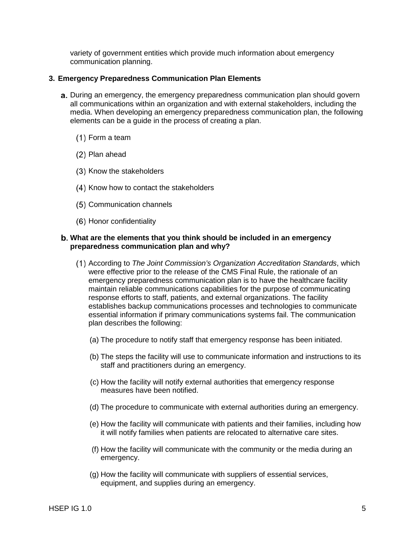variety of government entities which provide much information about emergency communication planning.

#### **3. Emergency Preparedness Communication Plan Elements**

- a. During an emergency, the emergency preparedness communication plan should govern all communications within an organization and with external stakeholders, including the media. When developing an emergency preparedness communication plan, the following elements can be a guide in the process of creating a plan.
	- Form a team
	- Plan ahead
	- (3) Know the stakeholders
	- (4) Know how to contact the stakeholders
	- Communication channels
	- (6) Honor confidentiality

#### **What are the elements that you think should be included in an emergency preparedness communication plan and why?**

- According to *The Joint Commission's Organization Accreditation Standards*, which were effective prior to the release of the CMS Final Rule, the rationale of an emergency preparedness communication plan is to have the healthcare facility maintain reliable communications capabilities for the purpose of communicating response efforts to staff, patients, and external organizations. The facility establishes backup communications processes and technologies to communicate essential information if primary communications systems fail. The communication plan describes the following:
	- (a) The procedure to notify staff that emergency response has been initiated.
	- (b) The steps the facility will use to communicate information and instructions to its staff and practitioners during an emergency.
	- (c) How the facility will notify external authorities that emergency response measures have been notified.
	- (d) The procedure to communicate with external authorities during an emergency.
	- (e) How the facility will communicate with patients and their families, including how it will notify families when patients are relocated to alternative care sites.
	- (f) How the facility will communicate with the community or the media during an emergency.
	- (g) How the facility will communicate with suppliers of essential services, equipment, and supplies during an emergency.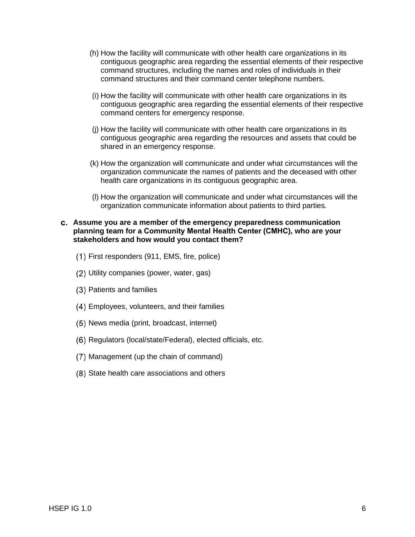- (h) How the facility will communicate with other health care organizations in its contiguous geographic area regarding the essential elements of their respective command structures, including the names and roles of individuals in their command structures and their command center telephone numbers.
- (i) How the facility will communicate with other health care organizations in its contiguous geographic area regarding the essential elements of their respective command centers for emergency response.
- (j) How the facility will communicate with other health care organizations in its contiguous geographic area regarding the resources and assets that could be shared in an emergency response.
- (k) How the organization will communicate and under what circumstances will the organization communicate the names of patients and the deceased with other health care organizations in its contiguous geographic area.
- (l) How the organization will communicate and under what circumstances will the organization communicate information about patients to third parties.

#### **Assume you are a member of the emergency preparedness communication planning team for a Community Mental Health Center (CMHC), who are your stakeholders and how would you contact them?**

- First responders (911, EMS, fire, police)
- Utility companies (power, water, gas)
- Patients and families
- Employees, volunteers, and their families
- (5) News media (print, broadcast, internet)
- (6) Regulators (local/state/Federal), elected officials, etc.
- (7) Management (up the chain of command)
- (8) State health care associations and others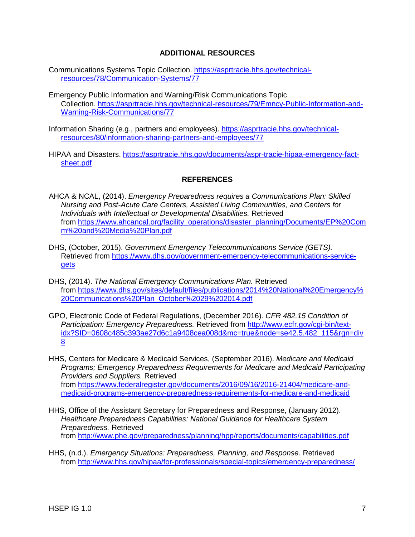## **ADDITIONAL RESOURCES**

- Communications Systems Topic Collection. [https://asprtracie.hhs.gov/technical](https://asprtracie.hhs.gov/technical-resources/78/Communication-Systems/77)[resources/78/Communication-Systems/77](https://asprtracie.hhs.gov/technical-resources/78/Communication-Systems/77)
- Emergency Public Information and Warning/Risk Communications Topic Collection. [https://asprtracie.hhs.gov/technical-resources/79/Emncy-Public-Information-and-](https://asprtracie.hhs.gov/technical-resources/79/Emncy-Public-Information-and-Warning-Risk-Communications/77)[Warning-Risk-Communications/77](https://asprtracie.hhs.gov/technical-resources/79/Emncy-Public-Information-and-Warning-Risk-Communications/77)
- Information Sharing (e.g., partners and employees). [https://asprtracie.hhs.gov/technical](https://asprtracie.hhs.gov/technical-resources/80/information-sharing-partners-and-employees/77)[resources/80/information-sharing-partners-and-employees/77](https://asprtracie.hhs.gov/technical-resources/80/information-sharing-partners-and-employees/77)
- HIPAA and Disasters. [https://asprtracie.hhs.gov/documents/aspr-tracie-hipaa-emergency-fact](https://asprtracie.hhs.gov/documents/aspr-tracie-hipaa-emergency-fact-sheet.pdf)[sheet.pdf](https://asprtracie.hhs.gov/documents/aspr-tracie-hipaa-emergency-fact-sheet.pdf)

# **REFERENCES**

- AHCA & NCAL, (2014). *Emergency Preparedness requires a Communications Plan: Skilled Nursing and Post-Acute Care Centers, Assisted Living Communities, and Centers for Individuals with Intellectual or Developmental Disabilities.* Retrieved from [https://www.ahcancal.org/facility\\_operations/disaster\\_planning/Documents/EP%20Com](https://www.ahcancal.org/facility_operations/disaster_planning/Documents/EP%20Comm%20and%20Media%20Plan.pdf) [m%20and%20Media%20Plan.pdf](https://www.ahcancal.org/facility_operations/disaster_planning/Documents/EP%20Comm%20and%20Media%20Plan.pdf)
- DHS, (October, 2015). *Government Emergency Telecommunications Service (GETS).*  Retrieved from [https://www.dhs.gov/government-emergency-telecommunications-service](https://www.dhs.gov/government-emergency-telecommunications-service-gets)[gets](https://www.dhs.gov/government-emergency-telecommunications-service-gets)
- DHS, (2014). *The National Emergency Communications Plan.* Retrieved from [https://www.dhs.gov/sites/default/files/publications/2014%20National%20Emergency%](https://www.dhs.gov/sites/default/files/publications/2014%20National%20Emergency%20Communications%20Plan_October%2029%202014.pdf) [20Communications%20Plan\\_October%2029%202014.pdf](https://www.dhs.gov/sites/default/files/publications/2014%20National%20Emergency%20Communications%20Plan_October%2029%202014.pdf)
- GPO, Electronic Code of Federal Regulations, (December 2016). *CFR 482.15 Condition of Participation: Emergency Preparedness.* Retrieved from [http://www.ecfr.gov/cgi-bin/text](http://www.ecfr.gov/cgi-bin/text-idx?SID=0608c485c393ae27d6c1a9408cea008d&mc=true&node=se42.5.482_115&rgn=div8)[idx?SID=0608c485c393ae27d6c1a9408cea008d&mc=true&node=se42.5.482\\_115&rgn=div](http://www.ecfr.gov/cgi-bin/text-idx?SID=0608c485c393ae27d6c1a9408cea008d&mc=true&node=se42.5.482_115&rgn=div8) [8](http://www.ecfr.gov/cgi-bin/text-idx?SID=0608c485c393ae27d6c1a9408cea008d&mc=true&node=se42.5.482_115&rgn=div8)
- HHS, Centers for Medicare & Medicaid Services, (September 2016). *Medicare and Medicaid Programs; Emergency Preparedness Requirements for Medicare and Medicaid Participating Providers and Suppliers.* Retrieved from [https://www.federalregister.gov/documents/2016/09/16/2016-21404/medicare-and](https://www.federalregister.gov/documents/2016/09/16/2016-21404/medicare-and-medicaid-programs-emergency-preparedness-requirements-for-medicare-and-medicaid)[medicaid-programs-emergency-preparedness-requirements-for-medicare-and-medicaid](https://www.federalregister.gov/documents/2016/09/16/2016-21404/medicare-and-medicaid-programs-emergency-preparedness-requirements-for-medicare-and-medicaid)
- HHS, Office of the Assistant Secretary for Preparedness and Response, (January 2012). *Healthcare Preparedness Capabilities: National Guidance for Healthcare System Preparedness.* Retrieved from<http://www.phe.gov/preparedness/planning/hpp/reports/documents/capabilities.pdf>
- HHS, (n.d.). *Emergency Situations: Preparedness, Planning, and Response.* Retrieved from<http://www.hhs.gov/hipaa/for-professionals/special-topics/emergency-preparedness/>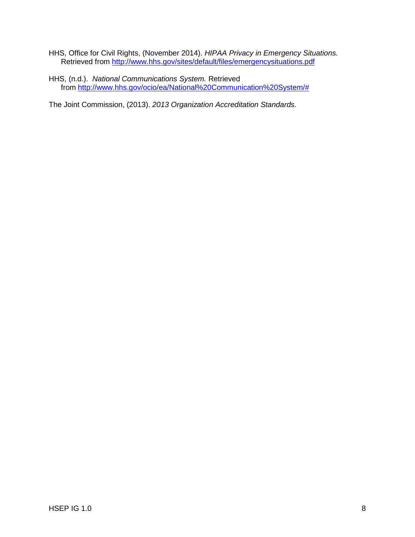- HHS, Office for Civil Rights, (November 2014). *HIPAA Privacy in Emergency Situations.*  Retrieved from<http://www.hhs.gov/sites/default/files/emergencysituations.pdf>
- HHS, (n.d.). *National Communications System.* Retrieved from [http://www.hhs.gov/ocio/ea/National%20Communication%20System/#](http://www.hhs.gov/ocio/ea/National%20Communication%20System/)

The Joint Commission, (2013). *2013 Organization Accreditation Standards.*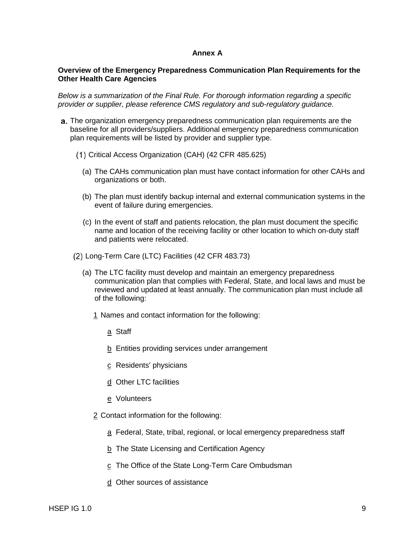#### **Annex A**

#### **Overview of the Emergency Preparedness Communication Plan Requirements for the Other Health Care Agencies**

*Below is a summarization of the Final Rule. For thorough information regarding a specific provider or supplier, please reference CMS regulatory and sub-regulatory guidance.*

- **a.** The organization emergency preparedness communication plan requirements are the baseline for all providers/suppliers. Additional emergency preparedness communication plan requirements will be listed by provider and supplier type.
	- Critical Access Organization (CAH) (42 CFR 485.625)
		- ( a) The CAHs communication plan must have contact information for other CAHs and organizations or both.
		- ( b) The plan must identify backup internal and external communication systems in the event of failure during emergencies.
		- ( c) In the event of staff and patients relocation, the plan must document the specific name and location of the receiving facility or other location to which on-duty staff and patients were relocated.
	- Long-Term Care (LTC) Facilities (42 CFR 483.73)
		- ( a) The LTC facility must develop and maintain an emergency preparedness communication plan that complies with Federal, State, and local laws and must be reviewed and updated at least annually. The communication plan must include all of the following:
			- 1 Names and contact information for the following:
				- a Staff
				- b Entities providing services under arrangement
				- c Residents' physicians
				- d Other LTC facilities
				- e Volunteers
			- 2 Contact information for the following:
				- a Federal, State, tribal, regional, or local emergency preparedness staff
				- b The State Licensing and Certification Agency
				- c The Office of the State Long-Term Care Ombudsman
				- d Other sources of assistance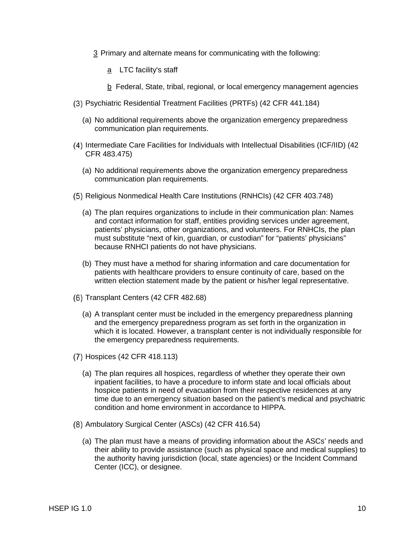- 3 Primary and alternate means for communicating with the following:
	- a LTC facility's staff
	- b Federal, State, tribal, regional, or local emergency management agencies
- Psychiatric Residential Treatment Facilities (PRTFs) (42 CFR 441.184)
	- ( a) No additional requirements above the organization emergency preparedness communication plan requirements.
- (4) Intermediate Care Facilities for Individuals with Intellectual Disabilities (ICF/IID) (42 CFR 483.475)
	- ( a) No additional requirements above the organization emergency preparedness communication plan requirements.
- Religious Nonmedical Health Care Institutions (RNHCIs) (42 CFR 403.748)
	- ( a) The plan requires organizations to include in their communication plan: Names and contact information for staff, entities providing services under agreement, patients' physicians, other organizations, and volunteers. For RNHCIs, the plan must substitute "next of kin, guardian, or custodian" for "patients' physicians" because RNHCI patients do not have physicians.
	- ( b) They must have a method for sharing information and care documentation for patients with healthcare providers to ensure continuity of care, based on the written election statement made by the patient or his/her legal representative.
- (6) Transplant Centers (42 CFR 482.68)
	- ( a) A transplant center must be included in the emergency preparedness planning and the emergency preparedness program as set forth in the organization in which it is located. However, a transplant center is not individually responsible for the emergency preparedness requirements.
- (7) Hospices (42 CFR 418.113)
	- ( a) The plan requires all hospices, regardless of whether they operate their own inpatient facilities, to have a procedure to inform state and local officials about hospice patients in need of evacuation from their respective residences at any time due to an emergency situation based on the patient's medical and psychiatric condition and home environment in accordance to HIPPA.
- (8) Ambulatory Surgical Center (ASCs) (42 CFR 416.54)
	- ( a) The plan must have a means of providing information about the ASCs' needs and their ability to provide assistance (such as physical space and medical supplies) to the authority having jurisdiction (local, state agencies) or the Incident Command Center (ICC), or designee.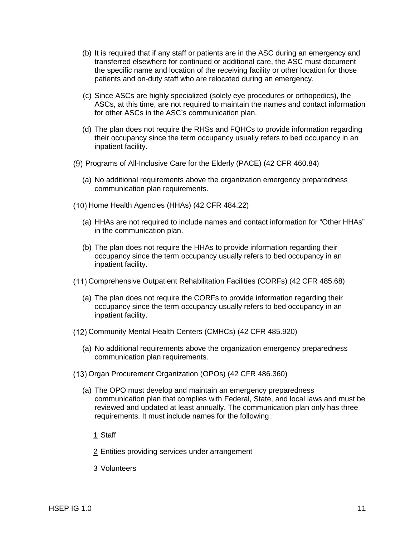- (b) It is required that if any staff or patients are in the ASC during an emergency and transferred elsewhere for continued or additional care, the ASC must document the specific name and location of the receiving facility or other location for those patients and on-duty staff who are relocated during an emergency.
- (c) Since ASCs are highly specialized (solely eye procedures or orthopedics), the ASCs, at this time, are not required to maintain the names and contact information for other ASCs in the ASC's communication plan.
- (d) The plan does not require the RHSs and FQHCs to provide information regarding their occupancy since the term occupancy usually refers to bed occupancy in an inpatient facility.
- (9) Programs of All-Inclusive Care for the Elderly (PACE) (42 CFR 460.84)
	- ( a) No additional requirements above the organization emergency preparedness communication plan requirements.
- (10) Home Health Agencies (HHAs) (42 CFR 484.22)
	- ( a) HHAs are not required to include names and contact information for "Other HHAs" in the communication plan.
	- ( b) The plan does not require the HHAs to provide information regarding their occupancy since the term occupancy usually refers to bed occupancy in an inpatient facility.
- Comprehensive Outpatient Rehabilitation Facilities (CORFs) (42 CFR 485.68)
	- ( a) The plan does not require the CORFs to provide information regarding their occupancy since the term occupancy usually refers to bed occupancy in an inpatient facility.
- Community Mental Health Centers (CMHCs) (42 CFR 485.920)
	- (a) No additional requirements above the organization emergency preparedness communication plan requirements.
- Organ Procurement Organization (OPOs) (42 CFR 486.360)
	- (a) The OPO must develop and maintain an emergency preparedness communication plan that complies with Federal, State, and local laws and must be reviewed and updated at least annually. The communication plan only has three requirements. It must include names for the following:
		- 1 Staff
		- 2 Entities providing services under arrangement
		- 3 Volunteers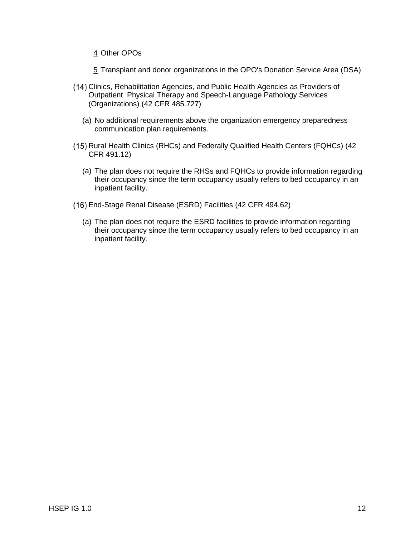- 4 Other OPOs
- 5 Transplant and donor organizations in the OPO's Donation Service Area (DSA)
- Clinics, Rehabilitation Agencies, and Public Health Agencies as Providers of Outpatient Physical Therapy and Speech-Language Pathology Services (Organizations) (42 CFR 485.727)
	- ( a) No additional requirements above the organization emergency preparedness communication plan requirements.
- (15) Rural Health Clinics (RHCs) and Federally Qualified Health Centers (FQHCs) (42 CFR 491.12)
	- ( a) The plan does not require the RHSs and FQHCs to provide information regarding their occupancy since the term occupancy usually refers to bed occupancy in an inpatient facility.
- End-Stage Renal Disease (ESRD) Facilities (42 CFR 494.62)
	- (a) The plan does not require the ESRD facilities to provide information regarding their occupancy since the term occupancy usually refers to bed occupancy in an inpatient facility.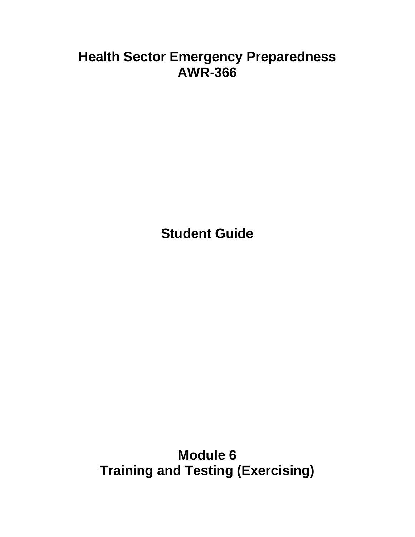# **Health Sector Emergency Preparedness AWR-366**

**Student Guide**

**Module 6 Training and Testing (Exercising)**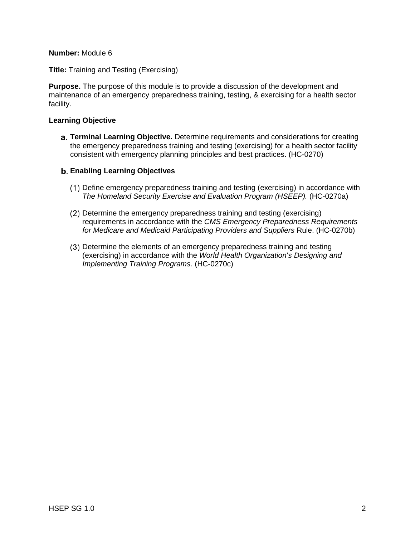## **Number:** Module 6

**Title:** Training and Testing (Exercising)

**Purpose.** The purpose of this module is to provide a discussion of the development and maintenance of an emergency preparedness training, testing, & exercising for a health sector facility.

## **Learning Objective**

**Terminal Learning Objective.** Determine requirements and considerations for creating the emergency preparedness training and testing (exercising) for a health sector facility consistent with emergency planning principles and best practices. (HC-0270)

## **Enabling Learning Objectives**

- Define emergency preparedness training and testing (exercising) in accordance with *The Homeland Security Exercise and Evaluation Program (HSEEP).* (HC-0270a)
- Determine the emergency preparedness training and testing (exercising) requirements in accordance with the *CMS Emergency Preparedness Requirements for Medicare and Medicaid Participating Providers and Suppliers* Rule. (HC-0270b)
- Determine the elements of an emergency preparedness training and testing (exercising) in accordance with the *World Health Organization*'*s Designing and Implementing Training Programs*. (HC-0270c)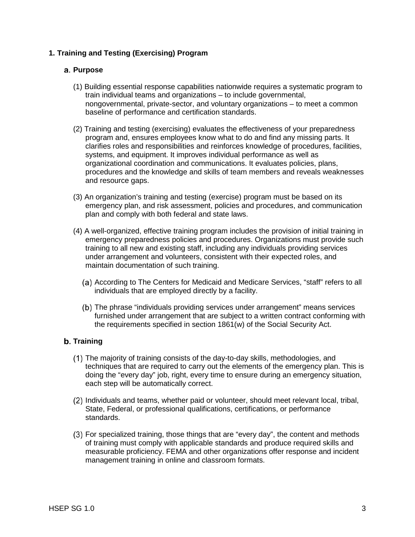# **1. Training and Testing (Exercising) Program**

## **Purpose**

- (1) Building essential response capabilities nationwide requires a systematic program to train individual teams and organizations – to include governmental, nongovernmental, private-sector, and voluntary organizations – to meet a common baseline of performance and certification standards.
- (2) Training and testing (exercising) evaluates the effectiveness of your preparedness program and, ensures employees know what to do and find any missing parts. It clarifies roles and responsibilities and reinforces knowledge of procedures, facilities, systems, and equipment. It improves individual performance as well as organizational coordination and communications. It evaluates policies, plans, procedures and the knowledge and skills of team members and reveals weaknesses and resource gaps.
- (3) An organization's training and testing (exercise) program must be based on its emergency plan, and risk assessment, policies and procedures, and communication plan and comply with both federal and state laws.
- (4) A well-organized, effective training program includes the provision of initial training in emergency preparedness policies and procedures. Organizations must provide such training to all new and existing staff, including any individuals providing services under arrangement and volunteers, consistent with their expected roles, and maintain documentation of such training.
	- i ndividuals that are employed directly by a facility. (a) According to The Centers for Medicaid and Medicare Services, "staff" refers to all
	- The phrase "individuals providing services under arrangement" means services furnished under arrangement that are subject to a written contract conforming with the requirements specified in section 1861(w) of the Social Security Act.

# **b.** Training

- The majority of training consists of the day-to-day skills, methodologies, and techniques that are required to carry out the elements of the emergency plan. This is doing the "every day" job, right, every time to ensure during an emergency situation, each step will be automatically correct.
- (2) Individuals and teams, whether paid or volunteer, should meet relevant local, tribal, State, Federal, or professional qualifications, certifications, or performance standards.
- For specialized training, those things that are "every day", the content and methods of training must comply with applicable standards and produce required skills and measurable proficiency. FEMA and other organizations offer response and incident management training in online and classroom formats.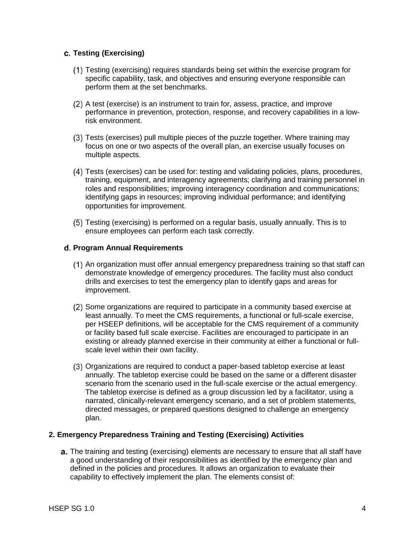# **Testing (Exercising)**

- Testing (exercising) requires standards being set within the exercise program for specific capability, task, and objectives and ensuring everyone responsible can perform them at the set benchmarks.
- A test (exercise) is an instrument to train for, assess, practice, and improve performance in prevention, protection, response, and recovery capabilities in a lowrisk environment.
- Tests (exercises) pull multiple pieces of the puzzle together. Where training may focus on one or two aspects of the overall plan, an exercise usually focuses on multiple aspects.
- Tests (exercises) can be used for: testing and validating policies, plans, procedures, training, equipment, and interagency agreements; clarifying and training personnel in roles and responsibilities; improving interagency coordination and communications; identifying gaps in resources; improving individual performance; and identifying opportunities for improvement.
- Testing (exercising) is performed on a regular basis, usually annually. This is to ensure employees can perform each task correctly.

# **Program Annual Requirements**

- An organization must offer annual emergency preparedness training so that staff can demonstrate knowledge of emergency procedures. The facility must also conduct drills and exercises to test the emergency plan to identify gaps and areas for improvement.
- (2) Some organizations are required to participate in a community based exercise at least annually. To meet the CMS requirements, a functional or full-scale exercise, per HSEEP definitions, will be acceptable for the CMS requirement of a community or facility based full scale exercise. Facilities are encouraged to participate in an existing or already planned exercise in their community at either a functional or fullscale level within their own facility.
- Organizations are required to conduct a paper-based tabletop exercise at least annually. The tabletop exercise could be based on the same or a different disaster scenario from the scenario used in the full-scale exercise or the actual emergency. The tabletop exercise is defined as a group discussion led by a facilitator, using a narrated, clinically-relevant emergency scenario, and a set of problem statements, directed messages, or prepared questions designed to challenge an emergency plan.

#### **2. Emergency Preparedness Training and Testing (Exercising) Activities**

a. The training and testing (exercising) elements are necessary to ensure that all staff have a good understanding of their responsibilities as identified by the emergency plan and defined in the policies and procedures. It allows an organization to evaluate their capability to effectively implement the plan. The elements consist of: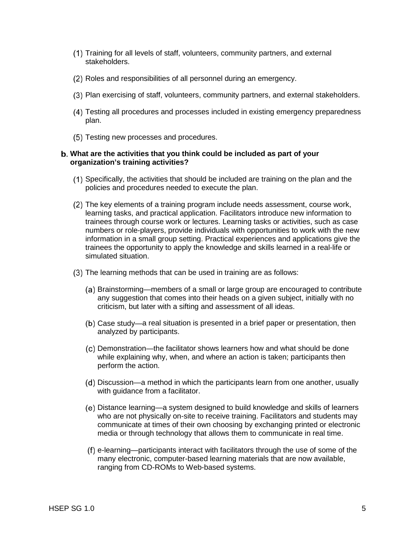- Training for all levels of staff, volunteers, community partners, and external stakeholders.
- (2) Roles and responsibilities of all personnel during an emergency.
- Plan exercising of staff, volunteers, community partners, and external stakeholders.
- Testing all procedures and processes included in existing emergency preparedness plan.
- (5) Testing new processes and procedures.

#### **What are the activities that you think could be included as part of your organization's training activities?**

- Specifically, the activities that should be included are training on the plan and the policies and procedures needed to execute the plan.
- The key elements of a training program include needs assessment, course work, learning tasks, and practical application. Facilitators introduce new information to trainees through course work or lectures. Learning tasks or activities, such as case numbers or role-players, provide individuals with opportunities to work with the new information in a small group setting. Practical experiences and applications give the trainees the opportunity to apply the knowledge and skills learned in a real-life or simulated situation.
- (3) The learning methods that can be used in training are as follows:
	- (a) Brainstorming—members of a small or large group are encouraged to contribute any suggestion that comes into their heads on a given subject, initially with no criticism, but later with a sifting and assessment of all ideas.
	- Case study—a real situation is presented in a brief paper or presentation, then analyzed by participants.
	- Demonstration—the facilitator shows learners how and what should be done while explaining why, when, and where an action is taken; participants then perform the action.
	- (d) Discussion—a method in which the participants learn from one another, usually with guidance from a facilitator.
	- Distance learning—a system designed to build knowledge and skills of learners who are not physically on-site to receive training. Facilitators and students may communicate at times of their own choosing by exchanging printed or electronic media or through technology that allows them to communicate in real time.
	- e-learning—participants interact with facilitators through the use of some of the many electronic, computer-based learning materials that are now available, ranging from CD-ROMs to Web-based systems.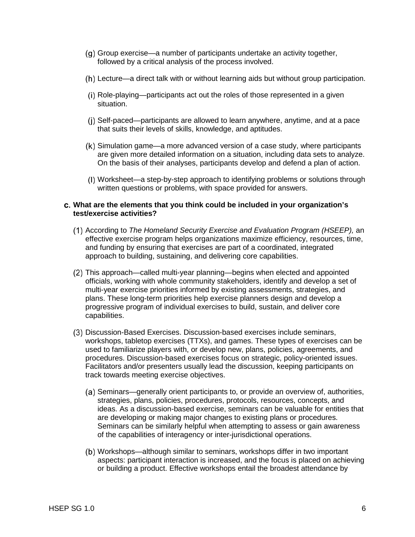- (q) Group exercise—a number of participants undertake an activity together, followed by a critical analysis of the process involved.
- Lecture—a direct talk with or without learning aids but without group participation.
- (i) Role-playing—participants act out the roles of those represented in a given situation.
- (i) Self-paced—participants are allowed to learn anywhere, anytime, and at a pace that suits their levels of skills, knowledge, and aptitudes.
- Simulation game—a more advanced version of a case study, where participants are given more detailed information on a situation, including data sets to analyze. On the basis of their analyses, participants develop and defend a plan of action.
- Worksheet—a step-by-step approach to identifying problems or solutions through written questions or problems, with space provided for answers.

#### **What are the elements that you think could be included in your organization's test/exercise activities?**

- According to *The Homeland Security Exercise and Evaluation Program (HSEEP),* an effective exercise program helps organizations maximize efficiency, resources, time, and funding by ensuring that exercises are part of a coordinated, integrated approach to building, sustaining, and delivering core capabilities.
- This approach—called multi-year planning—begins when elected and appointed officials, working with whole community stakeholders, identify and develop a set of multi-year exercise priorities informed by existing assessments, strategies, and plans. These long-term priorities help exercise planners design and develop a progressive program of individual exercises to build, sustain, and deliver core capabilities.
- Discussion-Based Exercises. Discussion-based exercises include seminars, workshops, tabletop exercises (TTXs), and games. These types of exercises can be used to familiarize players with, or develop new, plans, policies, agreements, and procedures. Discussion-based exercises focus on strategic, policy-oriented issues. Facilitators and/or presenters usually lead the discussion, keeping participants on track towards meeting exercise objectives.
	- (a) Seminars—generally orient participants to, or provide an overview of, authorities, strategies, plans, policies, procedures, protocols, resources, concepts, and ideas. As a discussion-based exercise, seminars can be valuable for entities that are developing or making major changes to existing plans or procedures. Seminars can be similarly helpful when attempting to assess or gain awareness of the capabilities of interagency or inter-jurisdictional operations.
	- (b) Workshops—although similar to seminars, workshops differ in two important aspects: participant interaction is increased, and the focus is placed on achieving or building a product. Effective workshops entail the broadest attendance by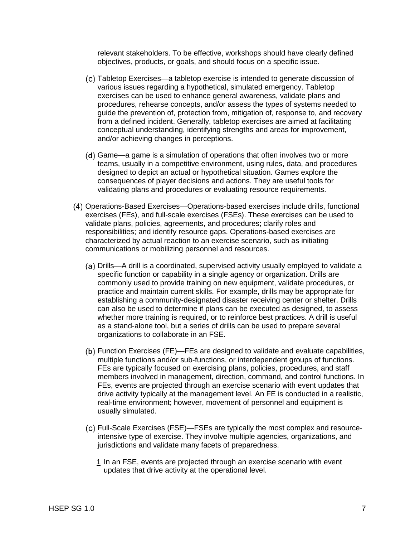relevant stakeholders. To be effective, workshops should have clearly defined objectives, products, or goals, and should focus on a specific issue.

- Tabletop Exercises—a tabletop exercise is intended to generate discussion of various issues regarding a hypothetical, simulated emergency. Tabletop exercises can be used to enhance general awareness, validate plans and procedures, rehearse concepts, and/or assess the types of systems needed to guide the prevention of, protection from, mitigation of, response to, and recovery from a defined incident. Generally, tabletop exercises are aimed at facilitating conceptual understanding, identifying strengths and areas for improvement, and/or achieving changes in perceptions.
- (d) Game—a game is a simulation of operations that often involves two or more teams, usually in a competitive environment, using rules, data, and procedures designed to depict an actual or hypothetical situation. Games explore the consequences of player decisions and actions. They are useful tools for validating plans and procedures or evaluating resource requirements.
- Operations-Based Exercises—Operations-based exercises include drills, functional exercises (FEs), and full-scale exercises (FSEs). These exercises can be used to validate plans, policies, agreements, and procedures; clarify roles and responsibilities; and identify resource gaps. Operations-based exercises are characterized by actual reaction to an exercise scenario, such as initiating communications or mobilizing personnel and resources.
	- Drills—A drill is a coordinated, supervised activity usually employed to validate a specific function or capability in a single agency or organization. Drills are commonly used to provide training on new equipment, validate procedures, or practice and maintain current skills. For example, drills may be appropriate for establishing a community-designated disaster receiving center or shelter. Drills can also be used to determine if plans can be executed as designed, to assess whether more training is required, or to reinforce best practices. A drill is useful as a stand-alone tool, but a series of drills can be used to prepare several organizations to collaborate in an FSE.
	- Function Exercises (FE)—FEs are designed to validate and evaluate capabilities, multiple functions and/or sub-functions, or interdependent groups of functions. FEs are typically focused on exercising plans, policies, procedures, and staff members involved in management, direction, command, and control functions. In FEs, events are projected through an exercise scenario with event updates that drive activity typically at the management level. An FE is conducted in a realistic, real-time environment; however, movement of personnel and equipment is usually simulated.
	- Full-Scale Exercises (FSE)—FSEs are typically the most complex and resourceintensive type of exercise. They involve multiple agencies, organizations, and jurisdictions and validate many facets of preparedness.
		- 1 In an FSE, events are projected through an exercise scenario with event updates that drive activity at the operational level.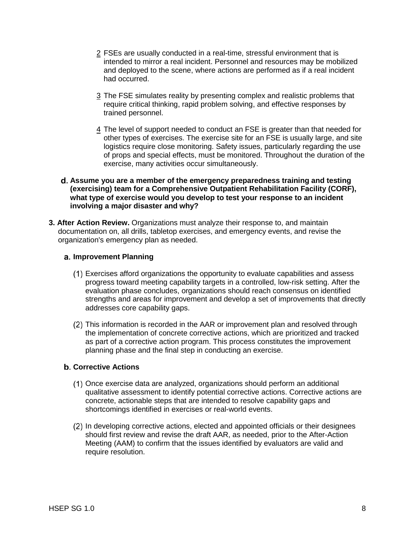- 2 FSEs are usually conducted in a real-time, stressful environment that is intended to mirror a real incident. Personnel and resources may be mobilized and deployed to the scene, where actions are performed as if a real incident had occurred.
- 3 The FSE simulates reality by presenting complex and realistic problems that require critical thinking, rapid problem solving, and effective responses by trained personnel.
- 4 The level of support needed to conduct an FSE is greater than that needed for other types of exercises. The exercise site for an FSE is usually large, and site logistics require close monitoring. Safety issues, particularly regarding the use of props and special effects, must be monitored. Throughout the duration of the exercise, many activities occur simultaneously.

## **Assume you are a member of the emergency preparedness training and testing (exercising) team for a Comprehensive Outpatient Rehabilitation Facility (CORF), what type of exercise would you develop to test your response to an incident involving a major disaster and why?**

**3. After Action Review.** Organizations must analyze their response to, and maintain documentation on, all drills, tabletop exercises, and emergency events, and revise the organization's emergency plan as needed.

## **Improvement Planning**

- Exercises afford organizations the opportunity to evaluate capabilities and assess progress toward meeting capability targets in a controlled, low-risk setting. After the evaluation phase concludes, organizations should reach consensus on identified strengths and areas for improvement and develop a set of improvements that directly addresses core capability gaps.
- (2) This information is recorded in the AAR or improvement plan and resolved through the implementation of concrete corrective actions, which are prioritized and tracked as part of a corrective action program. This process constitutes the improvement planning phase and the final step in conducting an exercise.

# **Corrective Actions**

- Once exercise data are analyzed, organizations should perform an additional qualitative assessment to identify potential corrective actions. Corrective actions are concrete, actionable steps that are intended to resolve capability gaps and shortcomings identified in exercises or real-world events.
- (2) In developing corrective actions, elected and appointed officials or their designees should first review and revise the draft AAR, as needed, prior to the After-Action Meeting (AAM) to confirm that the issues identified by evaluators are valid and require resolution.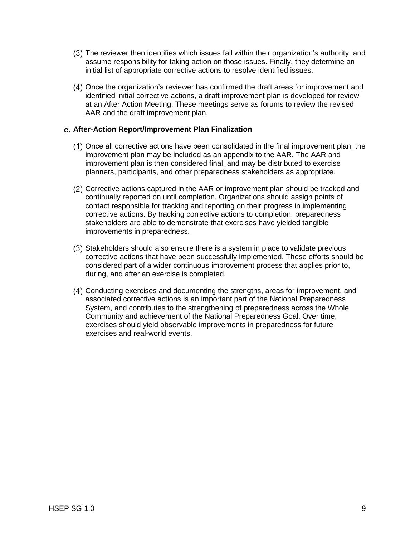- The reviewer then identifies which issues fall within their organization's authority, and assume responsibility for taking action on those issues. Finally, they determine an initial list of appropriate corrective actions to resolve identified issues.
- Once the organization's reviewer has confirmed the draft areas for improvement and identified initial corrective actions, a draft improvement plan is developed for review at an After Action Meeting. These meetings serve as forums to review the revised AAR and the draft improvement plan.

## **After-Action Report/Improvement Plan Finalization**

- $(1)$  Once all corrective actions have been consolidated in the final improvement plan, the improvement plan may be included as an appendix to the AAR. The AAR and improvement plan is then considered final, and may be distributed to exercise planners, participants, and other preparedness stakeholders as appropriate.
- Corrective actions captured in the AAR or improvement plan should be tracked and continually reported on until completion. Organizations should assign points of contact responsible for tracking and reporting on their progress in implementing corrective actions. By tracking corrective actions to completion, preparedness stakeholders are able to demonstrate that exercises have yielded tangible improvements in preparedness.
- Stakeholders should also ensure there is a system in place to validate previous corrective actions that have been successfully implemented. These efforts should be considered part of a wider continuous improvement process that applies prior to, during, and after an exercise is completed.
- Conducting exercises and documenting the strengths, areas for improvement, and associated corrective actions is an important part of the National Preparedness System, and contributes to the strengthening of preparedness across the Whole Community and achievement of the National Preparedness Goal. Over time, exercises should yield observable improvements in preparedness for future exercises and real-world events.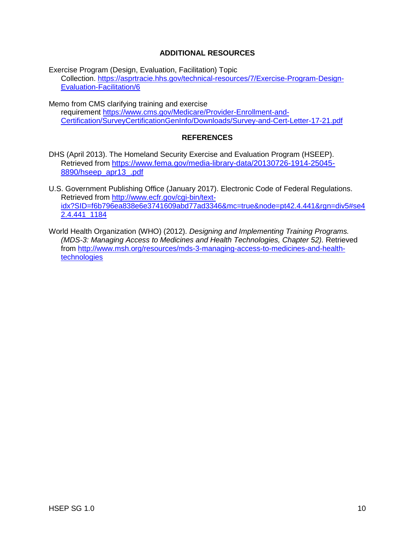# **ADDITIONAL RESOURCES**

Exercise Program (Design, Evaluation, Facilitation) Topic Collection. [https://asprtracie.hhs.gov/technical-resources/7/Exercise-Program-Design-](https://asprtracie.hhs.gov/technical-resources/7/Exercise-Program-Design-Evaluation-Facilitation/6)[Evaluation-Facilitation/6](https://asprtracie.hhs.gov/technical-resources/7/Exercise-Program-Design-Evaluation-Facilitation/6)

Memo from CMS clarifying training and exercise requirement [https://www.cms.gov/Medicare/Provider-Enrollment-and-](https://www.cms.gov/Medicare/Provider-Enrollment-and-Certification/SurveyCertificationGenInfo/Downloads/Survey-and-Cert-Letter-17-21.pdf)[Certification/SurveyCertificationGenInfo/Downloads/Survey-and-Cert-Letter-17-21.pdf](https://www.cms.gov/Medicare/Provider-Enrollment-and-Certification/SurveyCertificationGenInfo/Downloads/Survey-and-Cert-Letter-17-21.pdf)

# **REFERENCES**

- DHS (April 2013). The Homeland Security Exercise and Evaluation Program (HSEEP). Retrieved from [https://www.fema.gov/media-library-data/20130726-1914-25045-](https://www.fema.gov/media-library-data/20130726-1914-25045-8890/hseep_apr13_.pdf) [8890/hseep\\_apr13\\_.pdf](https://www.fema.gov/media-library-data/20130726-1914-25045-8890/hseep_apr13_.pdf)
- U.S. Government Publishing Office (January 2017). Electronic Code of Federal Regulations. Retrieved from [http://www.ecfr.gov/cgi-bin/text](http://www.ecfr.gov/cgi-bin/text-idx?SID=f6b796ea838e6e3741609abd77ad3346&mc=true&node=pt42.4.441&rgn=div5#se42.4.441_1184)[idx?SID=f6b796ea838e6e3741609abd77ad3346&mc=true&node=pt42.4.441&rgn=div5#se4](http://www.ecfr.gov/cgi-bin/text-idx?SID=f6b796ea838e6e3741609abd77ad3346&mc=true&node=pt42.4.441&rgn=div5#se42.4.441_1184) [2.4.441\\_1184](http://www.ecfr.gov/cgi-bin/text-idx?SID=f6b796ea838e6e3741609abd77ad3346&mc=true&node=pt42.4.441&rgn=div5#se42.4.441_1184)
- World Health Organization (WHO) (2012). *Designing and Implementing Training Programs. (MDS-3: Managing Access to Medicines and Health Technologies, Chapter 52).* Retrieved from [http://www.msh.org/resources/mds-3-managing-access-to-medicines-and-health](http://www.msh.org/resources/mds-3-managing-access-to-medicines-and-health-technologies)[technologies](http://www.msh.org/resources/mds-3-managing-access-to-medicines-and-health-technologies)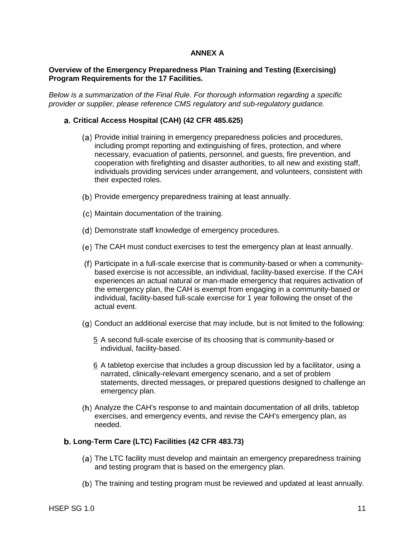## **ANNEX A**

## **Overview of the Emergency Preparedness Plan Training and Testing (Exercising) Program Requirements for the 17 Facilities.**

*Below is a summarization of the Final Rule. For thorough information regarding a specific provider or supplier, please reference CMS regulatory and sub-regulatory guidance.*

#### **Critical Access Hospital (CAH) (42 CFR 485.625)**

- (a) Provide initial training in emergency preparedness policies and procedures, including prompt reporting and extinguishing of fires, protection, and where necessary, evacuation of patients, personnel, and guests, fire prevention, and cooperation with firefighting and disaster authorities, to all new and existing staff, individuals providing services under arrangement, and volunteers, consistent with their expected roles.
- (b) Provide emergency preparedness training at least annually.
- (c) Maintain documentation of the training.
- (d) Demonstrate staff knowledge of emergency procedures.
- The CAH must conduct exercises to test the emergency plan at least annually.
- Participate in a full-scale exercise that is community-based or when a communitybased exercise is not accessible, an individual, facility-based exercise. If the CAH experiences an actual natural or man-made emergency that requires activation of the emergency plan, the CAH is exempt from engaging in a community-based or individual, facility-based full-scale exercise for 1 year following the onset of the actual event.
- $(q)$  Conduct an additional exercise that may include, but is not limited to the following:
	- 5 A second full-scale exercise of its choosing that is community-based or individual, facility-based.
	- 6 A tabletop exercise that includes a group discussion led by a facilitator, using a narrated, clinically-relevant emergency scenario, and a set of problem statements, directed messages, or prepared questions designed to challenge an emergency plan.
- Analyze the CAH's response to and maintain documentation of all drills, tabletop exercises, and emergency events, and revise the CAH's emergency plan, as needed.

#### **Long-Term Care (LTC) Facilities (42 CFR 483.73)**

- (a) The LTC facility must develop and maintain an emergency preparedness training and testing program that is based on the emergency plan.
- The training and testing program must be reviewed and updated at least annually.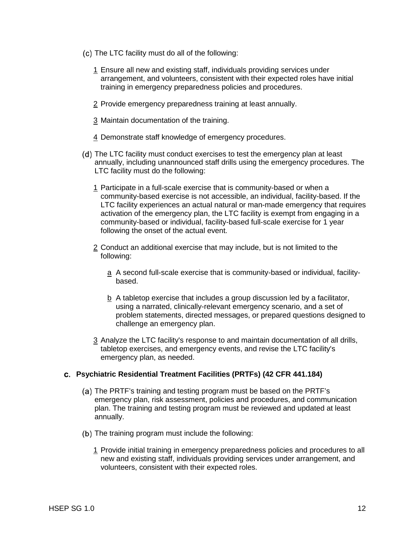- The LTC facility must do all of the following:
	- 1 Ensure all new and existing staff, individuals providing services under arrangement, and volunteers, consistent with their expected roles have initial training in emergency preparedness policies and procedures.
	- 2 Provide emergency preparedness training at least annually.
	- 3 Maintain documentation of the training.
	- 4 Demonstrate staff knowledge of emergency procedures.
- (d) The LTC facility must conduct exercises to test the emergency plan at least annually, including unannounced staff drills using the emergency procedures. The LTC facility must do the following:
	- 1 Participate in a full-scale exercise that is community-based or when a community-based exercise is not accessible, an individual, facility-based. If the LTC facility experiences an actual natural or man-made emergency that requires activation of the emergency plan, the LTC facility is exempt from engaging in a community-based or individual, facility-based full-scale exercise for 1 year following the onset of the actual event.
	- 2 Conduct an additional exercise that may include, but is not limited to the following:
		- a A second full-scale exercise that is community-based or individual, facilitybased.
		- $b$  A tabletop exercise that includes a group discussion led by a facilitator, using a narrated, clinically-relevant emergency scenario, and a set of problem statements, directed messages, or prepared questions designed to challenge an emergency plan.
	- 3 Analyze the LTC facility's response to and maintain documentation of all drills. tabletop exercises, and emergency events, and revise the LTC facility's emergency plan, as needed.

#### **Psychiatric Residential Treatment Facilities (PRTFs) (42 CFR 441.184)**

- (a) The PRTF's training and testing program must be based on the PRTF's emergency plan, risk assessment, policies and procedures, and communication plan. The training and testing program must be reviewed and updated at least annually.
- (b) The training program must include the following:
	- 1 Provide initial training in emergency preparedness policies and procedures to all new and existing staff, individuals providing services under arrangement, and volunteers, consistent with their expected roles.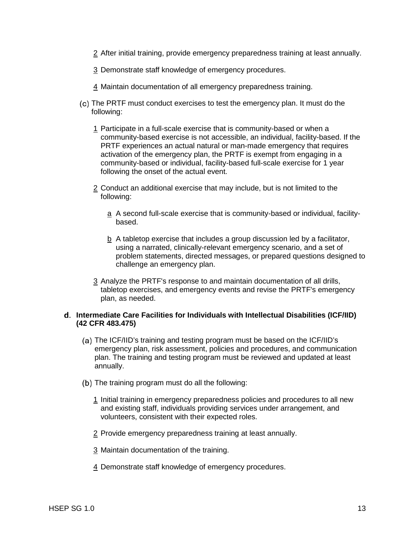- 2 After initial training, provide emergency preparedness training at least annually.
- 3 Demonstrate staff knowledge of emergency procedures.
- 4 Maintain documentation of all emergency preparedness training.
- (c) The PRTF must conduct exercises to test the emergency plan. It must do the following:
	- 1 Participate in a full-scale exercise that is community-based or when a community-based exercise is not accessible, an individual, facility-based. If the PRTF experiences an actual natural or man-made emergency that requires activation of the emergency plan, the PRTF is exempt from engaging in a community-based or individual, facility-based full-scale exercise for 1 year following the onset of the actual event.
	- 2 Conduct an additional exercise that may include, but is not limited to the following:
		- a A second full-scale exercise that is community-based or individual, facilitybased.
		- b A tabletop exercise that includes a group discussion led by a facilitator, using a narrated, clinically-relevant emergency scenario, and a set of problem statements, directed messages, or prepared questions designed to challenge an emergency plan.
	- 3 Analyze the PRTF's response to and maintain documentation of all drills, tabletop exercises, and emergency events and revise the PRTF's emergency plan, as needed.

#### **Intermediate Care Facilities for Individuals with Intellectual Disabilities (ICF/IID) (42 CFR 483.475)**

- The ICF/IID's training and testing program must be based on the ICF/IID's emergency plan, risk assessment, policies and procedures, and communication plan. The training and testing program must be reviewed and updated at least annually.
- (b) The training program must do all the following:
	- 1 Initial training in emergency preparedness policies and procedures to all new and existing staff, individuals providing services under arrangement, and volunteers, consistent with their expected roles.
	- 2 Provide emergency preparedness training at least annually.
	- 3 Maintain documentation of the training.
	- 4 Demonstrate staff knowledge of emergency procedures.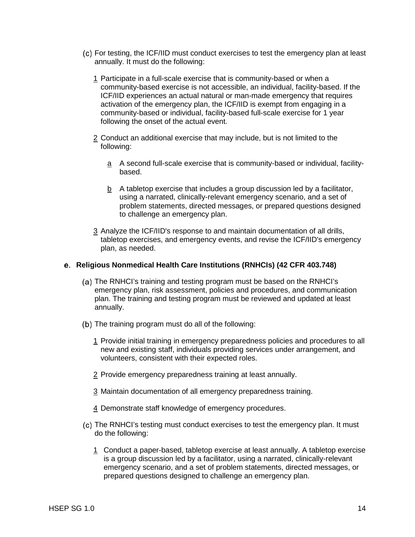- For testing, the ICF/IID must conduct exercises to test the emergency plan at least annually. It must do the following:
	- 1 Participate in a full-scale exercise that is community-based or when a community-based exercise is not accessible, an individual, facility-based. If the ICF/IID experiences an actual natural or man-made emergency that requires activation of the emergency plan, the ICF/IID is exempt from engaging in a community-based or individual, facility-based full-scale exercise for 1 year following the onset of the actual event.
	- 2 Conduct an additional exercise that may include, but is not limited to the following:
		- a A second full-scale exercise that is community-based or individual, facilitybased.
		- $b$  A tabletop exercise that includes a group discussion led by a facilitator, using a narrated, clinically-relevant emergency scenario, and a set of problem statements, directed messages, or prepared questions designed to challenge an emergency plan.
	- 3 Analyze the ICF/IID's response to and maintain documentation of all drills, tabletop exercises, and emergency events, and revise the ICF/IID's emergency plan, as needed.

#### **Religious Nonmedical Health Care Institutions (RNHCIs) (42 CFR 403.748)**

- (a) The RNHCI's training and testing program must be based on the RNHCI's emergency plan, risk assessment, policies and procedures, and communication plan. The training and testing program must be reviewed and updated at least annually.
- (b) The training program must do all of the following:
	- 1 Provide initial training in emergency preparedness policies and procedures to all new and existing staff, individuals providing services under arrangement, and volunteers, consistent with their expected roles.
	- 2 Provide emergency preparedness training at least annually.
	- 3 Maintain documentation of all emergency preparedness training.
	- 4 Demonstrate staff knowledge of emergency procedures.
- (c) The RNHCI's testing must conduct exercises to test the emergency plan. It must do the following:
	- 1 Conduct a paper-based, tabletop exercise at least annually. A tabletop exercise is a group discussion led by a facilitator, using a narrated, clinically-relevant emergency scenario, and a set of problem statements, directed messages, or prepared questions designed to challenge an emergency plan.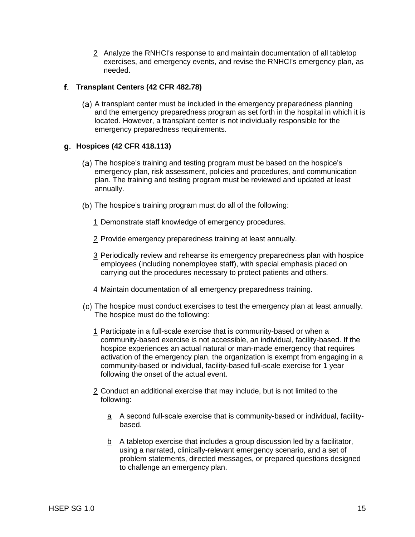2 Analyze the RNHCI's response to and maintain documentation of all tabletop exercises, and emergency events, and revise the RNHCI's emergency plan, as needed.

# **Transplant Centers (42 CFR 482.78)**

A transplant center must be included in the emergency preparedness planning and the emergency preparedness program as set forth in the hospital in which it is located. However, a transplant center is not individually responsible for the emergency preparedness requirements.

# **Hospices (42 CFR 418.113)**

- (a) The hospice's training and testing program must be based on the hospice's emergency plan, risk assessment, policies and procedures, and communication plan. The training and testing program must be reviewed and updated at least annually.
- (b) The hospice's training program must do all of the following:
	- 1 Demonstrate staff knowledge of emergency procedures.
	- 2 Provide emergency preparedness training at least annually.
	- 3 Periodically review and rehearse its emergency preparedness plan with hospice employees (including nonemployee staff), with special emphasis placed on carrying out the procedures necessary to protect patients and others.
	- 4 Maintain documentation of all emergency preparedness training.
- The hospice must conduct exercises to test the emergency plan at least annually. The hospice must do the following:
	- 1 Participate in a full-scale exercise that is community-based or when a community-based exercise is not accessible, an individual, facility-based. If the hospice experiences an actual natural or man-made emergency that requires activation of the emergency plan, the organization is exempt from engaging in a community-based or individual, facility-based full-scale exercise for 1 year following the onset of the actual event.
	- 2 Conduct an additional exercise that may include, but is not limited to the following:
		- a A second full-scale exercise that is community-based or individual, facilitybased.
		- b A tabletop exercise that includes a group discussion led by a facilitator, using a narrated, clinically-relevant emergency scenario, and a set of problem statements, directed messages, or prepared questions designed to challenge an emergency plan.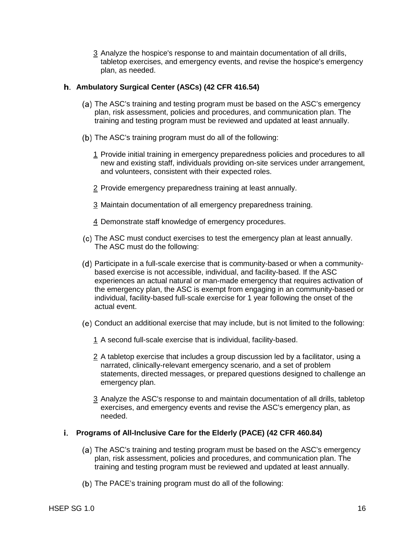3 Analyze the hospice's response to and maintain documentation of all drills, tabletop exercises, and emergency events, and revise the hospice's emergency plan, as needed.

## **Ambulatory Surgical Center (ASCs) (42 CFR 416.54)**

- (a) The ASC's training and testing program must be based on the ASC's emergency plan, risk assessment, policies and procedures, and communication plan. The training and testing program must be reviewed and updated at least annually.
- (b) The ASC's training program must do all of the following:
	- 1 Provide initial training in emergency preparedness policies and procedures to all new and existing staff, individuals providing on-site services under arrangement, and volunteers, consistent with their expected roles.
	- 2 Provide emergency preparedness training at least annually.
	- 3 Maintain documentation of all emergency preparedness training.
	- 4 Demonstrate staff knowledge of emergency procedures.
- (c) The ASC must conduct exercises to test the emergency plan at least annually. The ASC must do the following:
- Participate in a full-scale exercise that is community-based or when a communitybased exercise is not accessible, individual, and facility-based. If the ASC experiences an actual natural or man-made emergency that requires activation of the emergency plan, the ASC is exempt from engaging in an community-based or individual, facility-based full-scale exercise for 1 year following the onset of the actual event.
- Conduct an additional exercise that may include, but is not limited to the following:
	- 1 A second full-scale exercise that is individual, facility-based.
	- 2 A tabletop exercise that includes a group discussion led by a facilitator, using a narrated, clinically-relevant emergency scenario, and a set of problem statements, directed messages, or prepared questions designed to challenge an emergency plan.
	- 3 Analyze the ASC's response to and maintain documentation of all drills, tabletop exercises, and emergency events and revise the ASC's emergency plan, as needed.

# **Programs of All-Inclusive Care for the Elderly (PACE) (42 CFR 460.84)**

- (a) The ASC's training and testing program must be based on the ASC's emergency plan, risk assessment, policies and procedures, and communication plan. The training and testing program must be reviewed and updated at least annually.
- (b) The PACE's training program must do all of the following: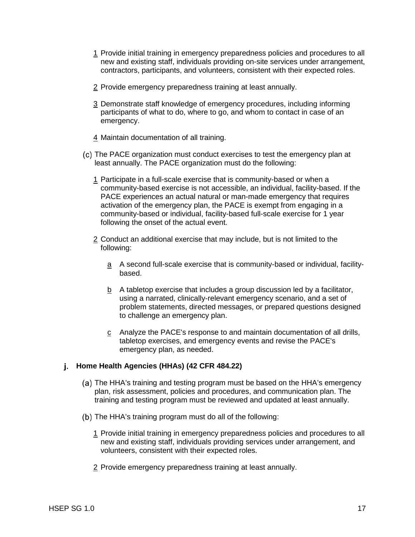- 1 Provide initial training in emergency preparedness policies and procedures to all new and existing staff, individuals providing on-site services under arrangement, contractors, participants, and volunteers, consistent with their expected roles.
- 2 Provide emergency preparedness training at least annually.
- 3 Demonstrate staff knowledge of emergency procedures, including informing participants of what to do, where to go, and whom to contact in case of an emergency.
- 4 Maintain documentation of all training.
- The PACE organization must conduct exercises to test the emergency plan at least annually. The PACE organization must do the following:
	- 1 Participate in a full-scale exercise that is community-based or when a community-based exercise is not accessible, an individual, facility-based. If the PACE experiences an actual natural or man-made emergency that requires activation of the emergency plan, the PACE is exempt from engaging in a community-based or individual, facility-based full-scale exercise for 1 year following the onset of the actual event.
	- 2 Conduct an additional exercise that may include, but is not limited to the following:
		- a A second full-scale exercise that is community-based or individual, facilitybased.
		- b A tabletop exercise that includes a group discussion led by a facilitator, using a narrated, clinically-relevant emergency scenario, and a set of problem statements, directed messages, or prepared questions designed to challenge an emergency plan.
		- c Analyze the PACE's response to and maintain documentation of all drills, tabletop exercises, and emergency events and revise the PACE's emergency plan, as needed.

# **Home Health Agencies (HHAs) (42 CFR 484.22)**

- (a) The HHA's training and testing program must be based on the HHA's emergency plan, risk assessment, policies and procedures, and communication plan. The training and testing program must be reviewed and updated at least annually.
- (b) The HHA's training program must do all of the following:
	- 1 Provide initial training in emergency preparedness policies and procedures to all new and existing staff, individuals providing services under arrangement, and volunteers, consistent with their expected roles.
	- 2 Provide emergency preparedness training at least annually.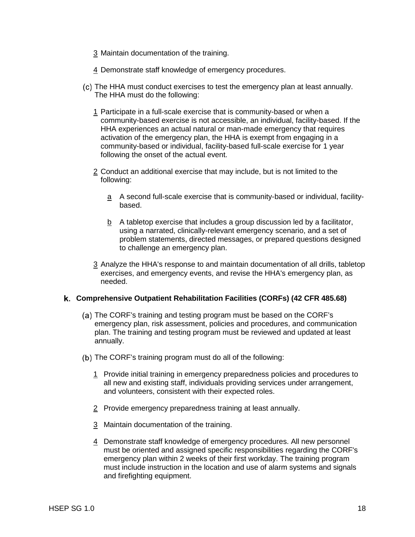- 3 Maintain documentation of the training.
- 4 Demonstrate staff knowledge of emergency procedures.
- The HHA must conduct exercises to test the emergency plan at least annually. The HHA must do the following:
	- 1 Participate in a full-scale exercise that is community-based or when a community-based exercise is not accessible, an individual, facility-based. If the HHA experiences an actual natural or man-made emergency that requires activation of the emergency plan, the HHA is exempt from engaging in a community-based or individual, facility-based full-scale exercise for 1 year following the onset of the actual event.
	- 2 Conduct an additional exercise that may include, but is not limited to the following:
		- a A second full-scale exercise that is community-based or individual, facilitybased.
		- $b$  A tabletop exercise that includes a group discussion led by a facilitator, using a narrated, clinically-relevant emergency scenario, and a set of problem statements, directed messages, or prepared questions designed to challenge an emergency plan.
	- 3 Analyze the HHA's response to and maintain documentation of all drills, tabletop exercises, and emergency events, and revise the HHA's emergency plan, as needed.

# **Comprehensive Outpatient Rehabilitation Facilities (CORFs) (42 CFR 485.68)**

- (a) The CORF's training and testing program must be based on the CORF's emergency plan, risk assessment, policies and procedures, and communication plan. The training and testing program must be reviewed and updated at least annually.
- (b) The CORF's training program must do all of the following:
	- 1 Provide initial training in emergency preparedness policies and procedures to all new and existing staff, individuals providing services under arrangement, and volunteers, consistent with their expected roles.
	- 2 Provide emergency preparedness training at least annually.
	- 3 Maintain documentation of the training.
	- 4 Demonstrate staff knowledge of emergency procedures. All new personnel must be oriented and assigned specific responsibilities regarding the CORF's emergency plan within 2 weeks of their first workday. The training program must include instruction in the location and use of alarm systems and signals and firefighting equipment.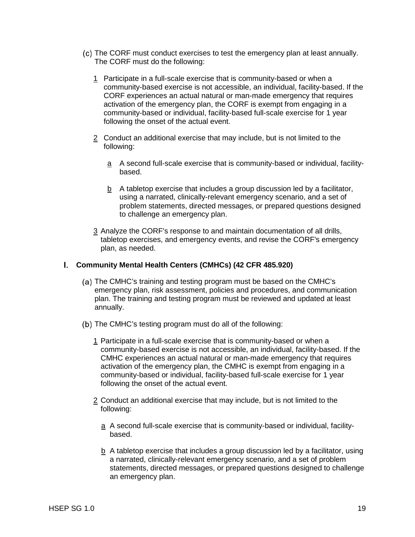- The CORF must conduct exercises to test the emergency plan at least annually. The CORF must do the following:
	- 1 Participate in a full-scale exercise that is community-based or when a community-based exercise is not accessible, an individual, facility-based. If the CORF experiences an actual natural or man-made emergency that requires activation of the emergency plan, the CORF is exempt from engaging in a community-based or individual, facility-based full-scale exercise for 1 year following the onset of the actual event.
	- 2 Conduct an additional exercise that may include, but is not limited to the following:
		- a A second full-scale exercise that is community-based or individual, facilitybased.
		- b A tabletop exercise that includes a group discussion led by a facilitator, using a narrated, clinically-relevant emergency scenario, and a set of problem statements, directed messages, or prepared questions designed to challenge an emergency plan.
	- 3 Analyze the CORF's response to and maintain documentation of all drills, tabletop exercises, and emergency events, and revise the CORF's emergency plan, as needed.

#### **Community Mental Health Centers (CMHCs) (42 CFR 485.920)**

- (a) The CMHC's training and testing program must be based on the CMHC's emergency plan, risk assessment, policies and procedures, and communication plan. The training and testing program must be reviewed and updated at least annually.
- (b) The CMHC's testing program must do all of the following:
	- 1 Participate in a full-scale exercise that is community-based or when a community-based exercise is not accessible, an individual, facility-based. If the CMHC experiences an actual natural or man-made emergency that requires activation of the emergency plan, the CMHC is exempt from engaging in a community-based or individual, facility-based full-scale exercise for 1 year following the onset of the actual event.
	- 2 Conduct an additional exercise that may include, but is not limited to the following:
		- a A second full-scale exercise that is community-based or individual, facilitybased.
		- $b$  A tabletop exercise that includes a group discussion led by a facilitator, using a narrated, clinically-relevant emergency scenario, and a set of problem statements, directed messages, or prepared questions designed to challenge an emergency plan.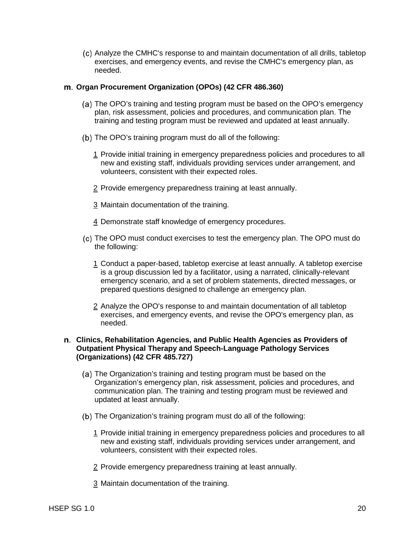Analyze the CMHC's response to and maintain documentation of all drills, tabletop exercises, and emergency events, and revise the CMHC's emergency plan, as needed.

## **Organ Procurement Organization (OPOs) (42 CFR 486.360)**

- The OPO's training and testing program must be based on the OPO's emergency plan, risk assessment, policies and procedures, and communication plan. The training and testing program must be reviewed and updated at least annually.
- (b) The OPO's training program must do all of the following:
	- 1 Provide initial training in emergency preparedness policies and procedures to all new and existing staff, individuals providing services under arrangement, and volunteers, consistent with their expected roles.
	- 2 Provide emergency preparedness training at least annually.
	- 3 Maintain documentation of the training.
	- 4 Demonstrate staff knowledge of emergency procedures.
- The OPO must conduct exercises to test the emergency plan. The OPO must do the following:
	- 1 Conduct a paper-based, tabletop exercise at least annually. A tabletop exercise is a group discussion led by a facilitator, using a narrated, clinically-relevant emergency scenario, and a set of problem statements, directed messages, or prepared questions designed to challenge an emergency plan.
	- 2 Analyze the OPO's response to and maintain documentation of all tabletop exercises, and emergency events, and revise the OPO's emergency plan, as needed.

## **Clinics, Rehabilitation Agencies, and Public Health Agencies as Providers of Outpatient Physical Therapy and Speech-Language Pathology Services (Organizations) (42 CFR 485.727)**

- (a) The Organization's training and testing program must be based on the Organization's emergency plan, risk assessment, policies and procedures, and communication plan. The training and testing program must be reviewed and updated at least annually.
- (b) The Organization's training program must do all of the following:
	- 1 Provide initial training in emergency preparedness policies and procedures to all new and existing staff, individuals providing services under arrangement, and volunteers, consistent with their expected roles.
	- 2 Provide emergency preparedness training at least annually.
	- 3 Maintain documentation of the training.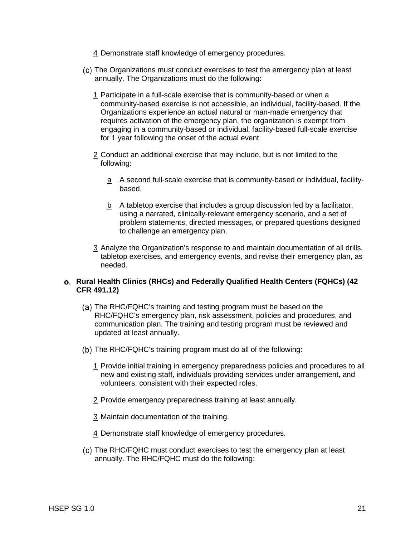- 4 Demonstrate staff knowledge of emergency procedures.
- The Organizations must conduct exercises to test the emergency plan at least annually. The Organizations must do the following:
	- 1 Participate in a full-scale exercise that is community-based or when a community-based exercise is not accessible, an individual, facility-based. If the Organizations experience an actual natural or man-made emergency that requires activation of the emergency plan, the organization is exempt from engaging in a community-based or individual, facility-based full-scale exercise for 1 year following the onset of the actual event.
	- 2 Conduct an additional exercise that may include, but is not limited to the following:
		- a A second full-scale exercise that is community-based or individual, facilitybased.
		- b A tabletop exercise that includes a group discussion led by a facilitator, using a narrated, clinically-relevant emergency scenario, and a set of problem statements, directed messages, or prepared questions designed to challenge an emergency plan.
	- 3 Analyze the Organization's response to and maintain documentation of all drills, tabletop exercises, and emergency events, and revise their emergency plan, as needed.

## **Rural Health Clinics (RHCs) and Federally Qualified Health Centers (FQHCs) (42 CFR 491.12)**

- (a) The RHC/FQHC's training and testing program must be based on the RHC/FQHC's emergency plan, risk assessment, policies and procedures, and communication plan. The training and testing program must be reviewed and updated at least annually.
- (b) The RHC/FQHC's training program must do all of the following:
	- 1 Provide initial training in emergency preparedness policies and procedures to all new and existing staff, individuals providing services under arrangement, and volunteers, consistent with their expected roles.
	- 2 Provide emergency preparedness training at least annually.
	- 3 Maintain documentation of the training.
	- 4 Demonstrate staff knowledge of emergency procedures.
- The RHC/FQHC must conduct exercises to test the emergency plan at least annually. The RHC/FQHC must do the following: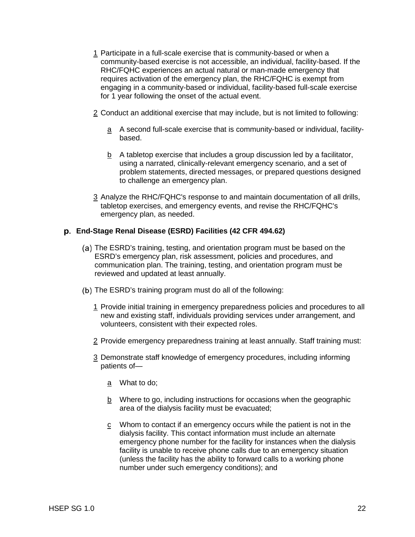- 1 Participate in a full-scale exercise that is community-based or when a community-based exercise is not accessible, an individual, facility-based. If the RHC/FQHC experiences an actual natural or man-made emergency that requires activation of the emergency plan, the RHC/FQHC is exempt from engaging in a community-based or individual, facility-based full-scale exercise for 1 year following the onset of the actual event.
- 2 Conduct an additional exercise that may include, but is not limited to following:
	- $a$  A second full-scale exercise that is community-based or individual, facilitybased.
	- b A tabletop exercise that includes a group discussion led by a facilitator, using a narrated, clinically-relevant emergency scenario, and a set of problem statements, directed messages, or prepared questions designed to challenge an emergency plan.
- 3 Analyze the RHC/FQHC's response to and maintain documentation of all drills, tabletop exercises, and emergency events, and revise the RHC/FQHC's emergency plan, as needed.

# **End-Stage Renal Disease (ESRD) Facilities (42 CFR 494.62)**

- (a) The ESRD's training, testing, and orientation program must be based on the ESRD's emergency plan, risk assessment, policies and procedures, and communication plan. The training, testing, and orientation program must be reviewed and updated at least annually.
- (b) The ESRD's training program must do all of the following:
	- 1 Provide initial training in emergency preparedness policies and procedures to all new and existing staff, individuals providing services under arrangement, and volunteers, consistent with their expected roles.
	- 2 Provide emergency preparedness training at least annually. Staff training must:
	- 3 Demonstrate staff knowledge of emergency procedures, including informing patients of
		- a What to do;
		- b Where to go, including instructions for occasions when the geographic area of the dialysis facility must be evacuated;
		- $\frac{c}{c}$  Whom to contact if an emergency occurs while the patient is not in the dialysis facility. This contact information must include an alternate emergency phone number for the facility for instances when the dialysis facility is unable to receive phone calls due to an emergency situation (unless the facility has the ability to forward calls to a working phone number under such emergency conditions); and